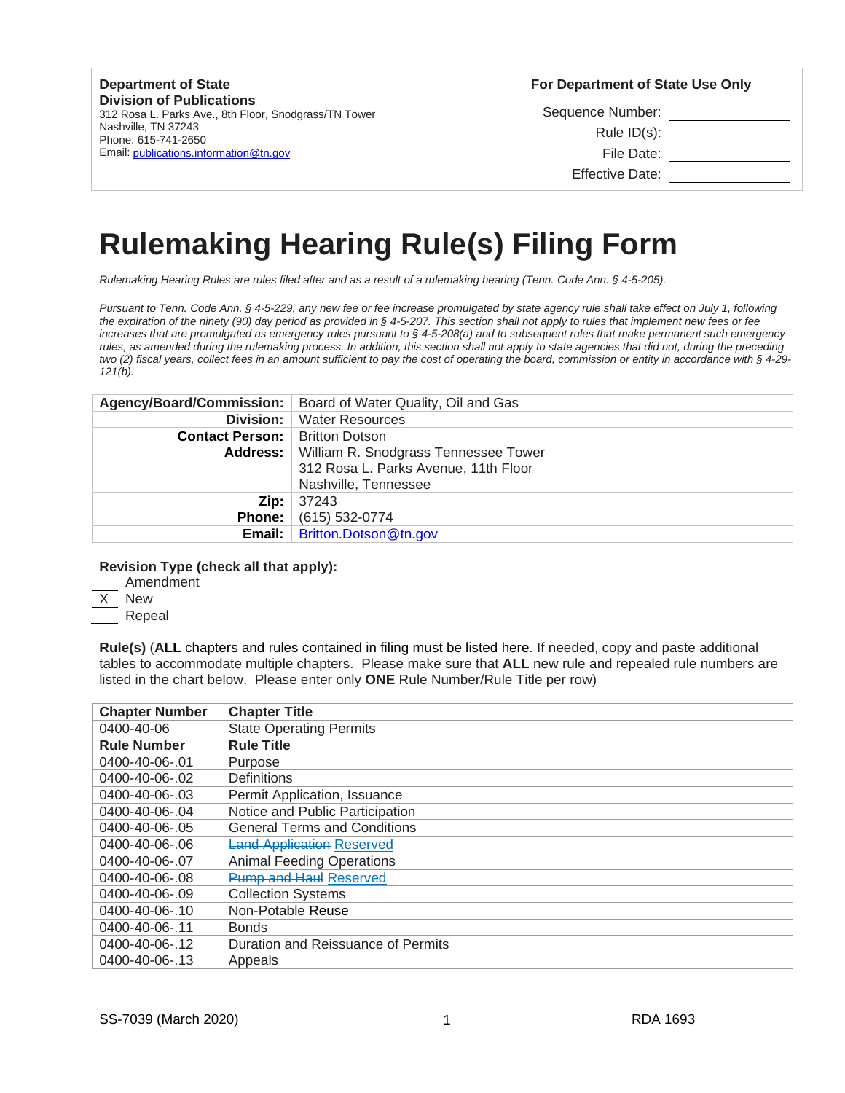#### **Department of State Division of Publications**

312 Rosa L. Parks Ave., 8th Floor, Snodgrass/TN Tower Nashville, TN 37243 Phone: 615-741-2650 Email: publications.information@tn.gov

**For Department of State Use Only** 

Sequence Number: Rule ID(s): File Date: Effective Date:

# **Rulemaking Hearing Rule(s) Filing Form**

*Rulemaking Hearing Rules are rules filed after and as a result of a rulemaking hearing (Tenn. Code Ann. § 4-5-205).*

*Pursuant to Tenn. Code Ann. § 4-5-229, any new fee or fee increase promulgated by state agency rule shall take effect on July 1, following the expiration of the ninety (90) day period as provided in § 4-5-207. This section shall not apply to rules that implement new fees or fee increases that are promulgated as emergency rules pursuant to § 4-5-208(a) and to subsequent rules that make permanent such emergency rules, as amended during the rulemaking process. In addition, this section shall not apply to state agencies that did not, during the preceding two (2) fiscal years, collect fees in an amount sufficient to pay the cost of operating the board, commission or entity in accordance with § 4-29- 121(b).*

|                                         | Agency/Board/Commission:   Board of Water Quality, Oil and Gas |
|-----------------------------------------|----------------------------------------------------------------|
| Division:                               | <b>Water Resources</b>                                         |
| <b>Contact Person:</b>   Britton Dotson |                                                                |
|                                         | <b>Address:</b>   William R. Snodgrass Tennessee Tower         |
|                                         | 312 Rosa L. Parks Avenue, 11th Floor                           |
|                                         | Nashville, Tennessee                                           |
| Zip:                                    | 37243                                                          |
| <b>Phone:</b>                           | (615) 532-0774                                                 |
| Email:                                  | Britton.Dotson@tn.gov                                          |

## **Revision Type (check all that apply):**

Amendment

X New

Repeal

**Rule(s)** (**ALL** chapters and rules contained in filing must be listed here. If needed, copy and paste additional tables to accommodate multiple chapters. Please make sure that **ALL** new rule and repealed rule numbers are listed in the chart below. Please enter only **ONE** Rule Number/Rule Title per row)

| <b>Chapter Number</b> | <b>Chapter Title</b>                |
|-----------------------|-------------------------------------|
| 0400-40-06            | <b>State Operating Permits</b>      |
| <b>Rule Number</b>    | <b>Rule Title</b>                   |
| 0400-40-06-.01        | Purpose                             |
| 0400-40-06-.02        | <b>Definitions</b>                  |
| 0400-40-06-.03        | Permit Application, Issuance        |
| 0400-40-06-.04        | Notice and Public Participation     |
| 0400-40-06-.05        | <b>General Terms and Conditions</b> |
| 0400-40-06-.06        | <b>Land Application Reserved</b>    |
| 0400-40-06-.07        | <b>Animal Feeding Operations</b>    |
| 0400-40-06-.08        | <b>Pump and Haul Reserved</b>       |
| 0400-40-06-.09        | <b>Collection Systems</b>           |
| 0400-40-06-.10        | Non-Potable Reuse                   |
| 0400-40-06-.11        | <b>Bonds</b>                        |
| 0400-40-06-.12        | Duration and Reissuance of Permits  |
| 0400-40-06-.13        | Appeals                             |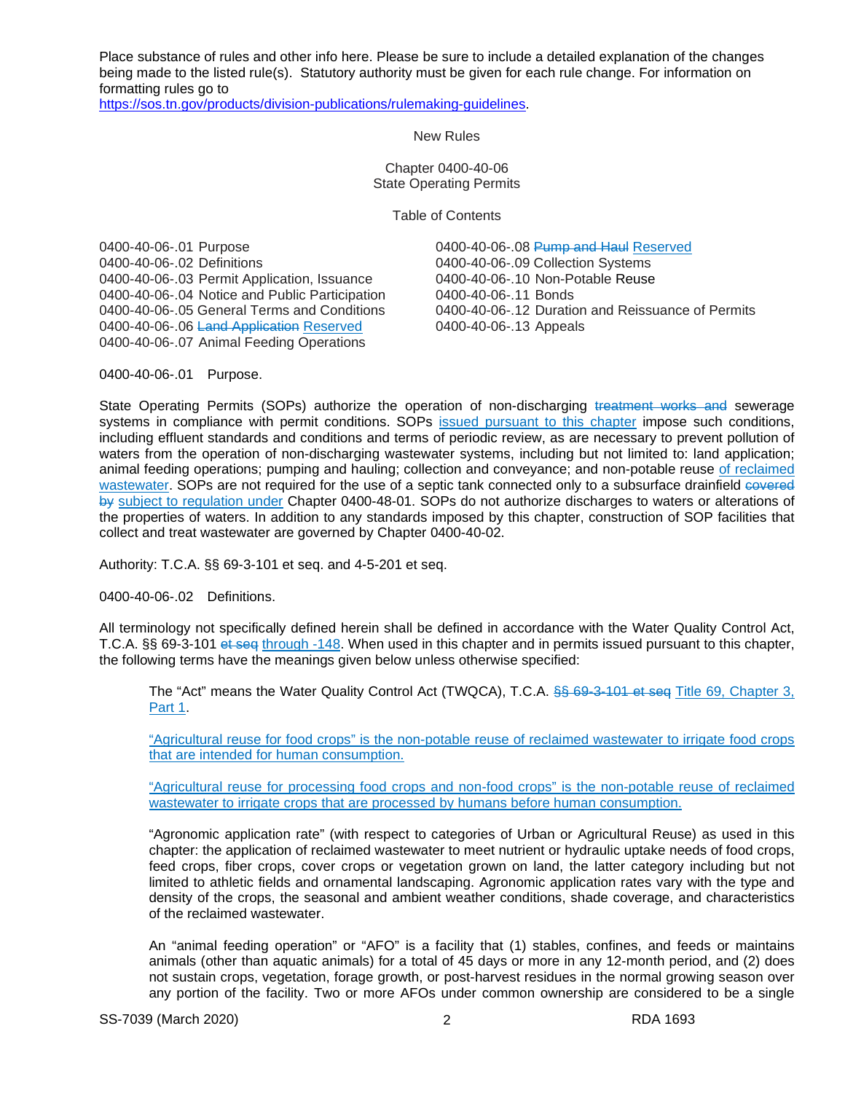Place substance of rules and other info here. Please be sure to include a detailed explanation of the changes being made to the listed rule(s). Statutory authority must be given for each rule change. For information on formatting rules go to

[https://sos.tn.gov/products/division-publications/rulemaking-guidelines.](https://sos.tn.gov/products/division-publications/rulemaking-guidelines)

New Rules

Chapter 0400-40-06 State Operating Permits

Table of Contents

0400-40-06-.01 Purpose **0400-10-06-08 Pump and Haul Reserved** 0400-40-06-.02 Definitions<br>0400-40-06-.03 Permit Application, Issuance 0400-40-06-.10 Non-Potable Reuse 0400-40-06-.03 Permit Application, Issuance 0400-40-06-.10 Non-Potable 0400-40-06-.11 Bonds 0400-40-06-.04 Notice and Public Participation<br>0400-40-06-.05 General Terms and Conditions 0400-40-06-.06 Land Application Reserved 0400-40-06-.07 Animal Feeding Operations

0400-40-06-.12 Duration and Reissuance of Permits 0400-40-06-.13 Appeals

0400-40-06-.01 Purpose.

State Operating Permits (SOPs) authorize the operation of non-discharging treatment works and sewerage systems in compliance with permit conditions. SOPs issued pursuant to this chapter impose such conditions, including effluent standards and conditions and terms of periodic review, as are necessary to prevent pollution of waters from the operation of non-discharging wastewater systems, including but not limited to: land application; animal feeding operations; pumping and hauling; collection and conveyance; and non-potable reuse of reclaimed wastewater. SOPs are not required for the use of a septic tank connected only to a subsurface drainfield covered by subject to regulation under Chapter 0400-48-01. SOPs do not authorize discharges to waters or alterations of the properties of waters. In addition to any standards imposed by this chapter, construction of SOP facilities that collect and treat wastewater are governed by Chapter 0400-40-02.

Authority: T.C.A. §§ 69-3-101 et seq. and 4-5-201 et seq.

0400-40-06-.02 Definitions.

All terminology not specifically defined herein shall be defined in accordance with the Water Quality Control Act, T.C.A. §§ 69-3-101 et seq through -148. When used in this chapter and in permits issued pursuant to this chapter, the following terms have the meanings given below unless otherwise specified:

The "Act" means the Water Quality Control Act (TWQCA), T.C.A. \$\$ 69-3-101 et seq Title 69, Chapter 3, Part 1.

"Agricultural reuse for food crops" is the non-potable reuse of reclaimed wastewater to irrigate food crops that are intended for human consumption.

"Agricultural reuse for processing food crops and non-food crops" is the non-potable reuse of reclaimed wastewater to irrigate crops that are processed by humans before human consumption.

"Agronomic application rate" (with respect to categories of Urban or Agricultural Reuse) as used in this chapter: the application of reclaimed wastewater to meet nutrient or hydraulic uptake needs of food crops, feed crops, fiber crops, cover crops or vegetation grown on land, the latter category including but not limited to athletic fields and ornamental landscaping. Agronomic application rates vary with the type and density of the crops, the seasonal and ambient weather conditions, shade coverage, and characteristics of the reclaimed wastewater.

An "animal feeding operation" or "AFO" is a facility that (1) stables, confines, and feeds or maintains animals (other than aquatic animals) for a total of 45 days or more in any 12-month period, and (2) does not sustain crops, vegetation, forage growth, or post-harvest residues in the normal growing season over any portion of the facility. Two or more AFOs under common ownership are considered to be a single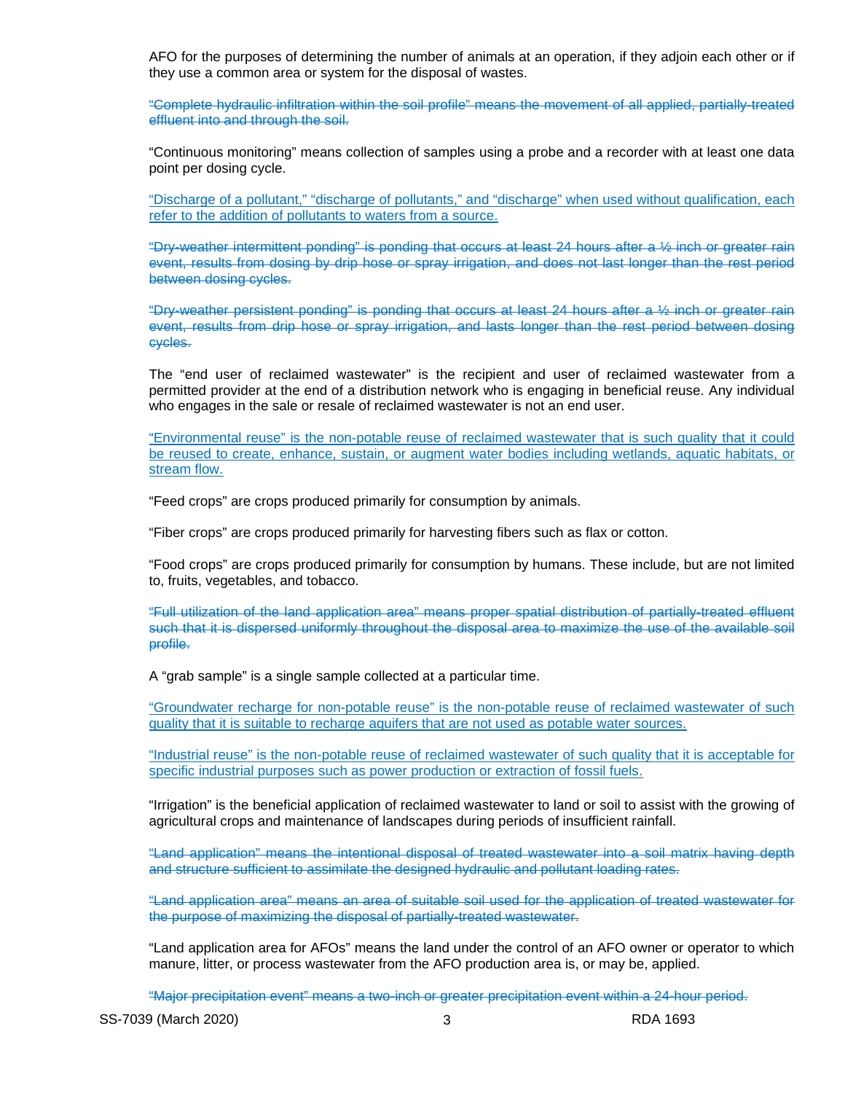AFO for the purposes of determining the number of animals at an operation, if they adjoin each other or if they use a common area or system for the disposal of wastes.

"Complete hydraulic infiltration within the soil profile" means the movement of all applied, partially-treated effluent into and through the soil.

"Continuous monitoring" means collection of samples using a probe and a recorder with at least one data point per dosing cycle.

"Discharge of a pollutant," "discharge of pollutants," and "discharge" when used without qualification, each refer to the addition of pollutants to waters from a source.

"Dry-weather intermittent ponding" is ponding that occurs at least 24 hours after a ½ inch or greater rain event, results from dosing by drip hose or spray irrigation, and does not last longer than the rest period between dosing cycles.

"Dry-weather persistent ponding" is ponding that occurs at least 24 hours after a ½ inch or greater rain event, results from drip hose or spray irrigation, and lasts longer than the rest period between dosing cycles.

The "end user of reclaimed wastewater" is the recipient and user of reclaimed wastewater from a permitted provider at the end of a distribution network who is engaging in beneficial reuse. Any individual who engages in the sale or resale of reclaimed wastewater is not an end user.

"Environmental reuse" is the non-potable reuse of reclaimed wastewater that is such quality that it could be reused to create, enhance, sustain, or augment water bodies including wetlands, aquatic habitats, or stream flow.

"Feed crops" are crops produced primarily for consumption by animals.

"Fiber crops" are crops produced primarily for harvesting fibers such as flax or cotton.

"Food crops" are crops produced primarily for consumption by humans. These include, but are not limited to, fruits, vegetables, and tobacco.

"Full utilization of the land application area" means proper spatial distribution of partially-treated effluent such that it is dispersed uniformly throughout the disposal area to maximize the use of the available soil profile.

A "grab sample" is a single sample collected at a particular time.

"Groundwater recharge for non-potable reuse" is the non-potable reuse of reclaimed wastewater of such quality that it is suitable to recharge aquifers that are not used as potable water sources.

"Industrial reuse" is the non-potable reuse of reclaimed wastewater of such quality that it is acceptable for specific industrial purposes such as power production or extraction of fossil fuels.

"Irrigation" is the beneficial application of reclaimed wastewater to land or soil to assist with the growing of agricultural crops and maintenance of landscapes during periods of insufficient rainfall.

"Land application" means the intentional disposal of treated wastewater into a soil matrix having depth and structure sufficient to assimilate the designed hydraulic and pollutant loading rates.

"Land application area" means an area of suitable soil used for the application of treated wastewater for the purpose of maximizing the disposal of partially-treated wastewater.

"Land application area for AFOs" means the land under the control of an AFO owner or operator to which manure, litter, or process wastewater from the AFO production area is, or may be, applied.

"Major precipitation event" means a two-inch or greater precipitation event within a 24-hour period.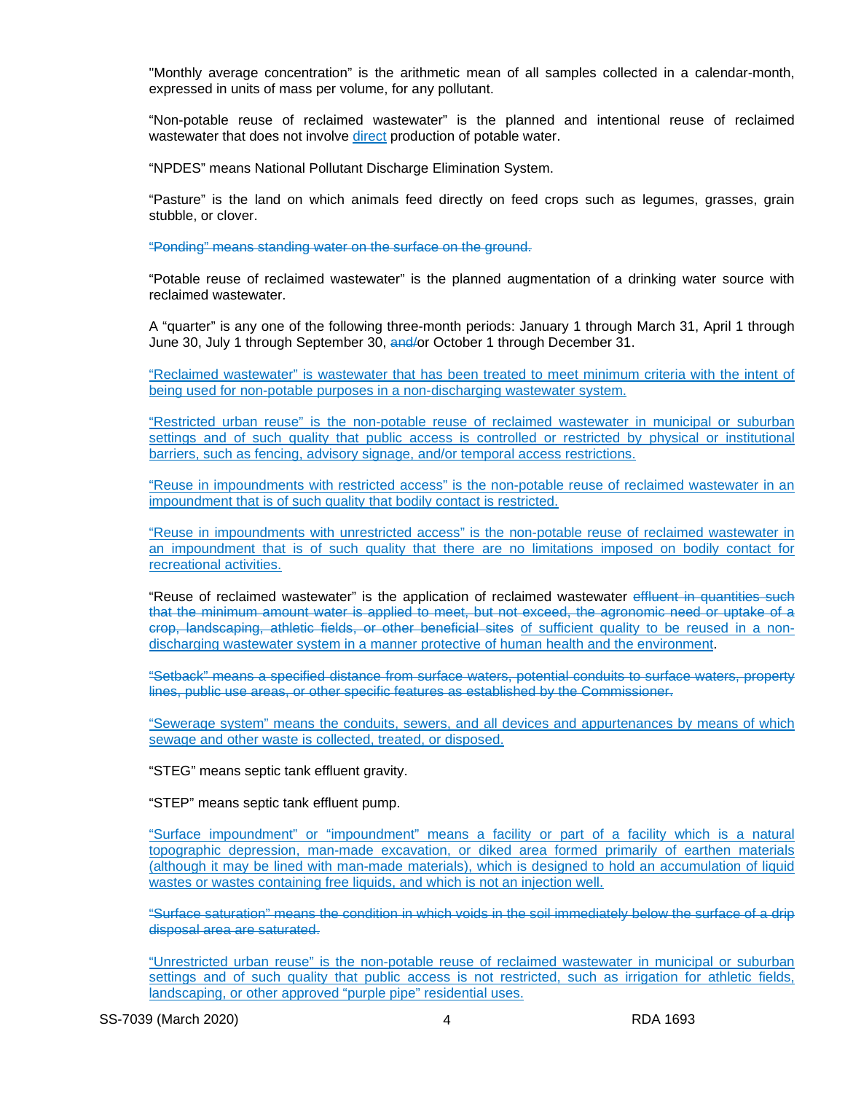"Monthly average concentration" is the arithmetic mean of all samples collected in a calendar-month, expressed in units of mass per volume, for any pollutant.

"Non-potable reuse of reclaimed wastewater" is the planned and intentional reuse of reclaimed wastewater that does not involve direct production of potable water.

"NPDES" means National Pollutant Discharge Elimination System.

"Pasture" is the land on which animals feed directly on feed crops such as legumes, grasses, grain stubble, or clover.

"Ponding" means standing water on the surface on the ground.

"Potable reuse of reclaimed wastewater" is the planned augmentation of a drinking water source with reclaimed wastewater.

A "quarter" is any one of the following three-month periods: January 1 through March 31, April 1 through June 30, July 1 through September 30, and/or October 1 through December 31.

"Reclaimed wastewater" is wastewater that has been treated to meet minimum criteria with the intent of being used for non-potable purposes in a non-discharging wastewater system.

"Restricted urban reuse" is the non-potable reuse of reclaimed wastewater in municipal or suburban settings and of such quality that public access is controlled or restricted by physical or institutional barriers, such as fencing, advisory signage, and/or temporal access restrictions.

"Reuse in impoundments with restricted access" is the non-potable reuse of reclaimed wastewater in an impoundment that is of such quality that bodily contact is restricted.

"Reuse in impoundments with unrestricted access" is the non-potable reuse of reclaimed wastewater in an impoundment that is of such quality that there are no limitations imposed on bodily contact for recreational activities.

"Reuse of reclaimed wastewater" is the application of reclaimed wastewater effluent in quantities such that the minimum amount water is applied to meet, but not exceed, the agronomic need or uptake of a crop, landscaping, athletic fields, or other beneficial sites of sufficient quality to be reused in a nondischarging wastewater system in a manner protective of human health and the environment.

"Setback" means a specified distance from surface waters, potential conduits to surface waters, property lines, public use areas, or other specific features as established by the Commissioner.

"Sewerage system" means the conduits, sewers, and all devices and appurtenances by means of which sewage and other waste is collected, treated, or disposed.

"STEG" means septic tank effluent gravity.

"STEP" means septic tank effluent pump.

"Surface impoundment" or "impoundment" means a facility or part of a facility which is a natural topographic depression, man-made excavation, or diked area formed primarily of earthen materials (although it may be lined with man-made materials), which is designed to hold an accumulation of liquid wastes or wastes containing free liquids, and which is not an injection well.

"Surface saturation" means the condition in which voids in the soil immediately below the surface of a drip disposal area are saturated.

"Unrestricted urban reuse" is the non-potable reuse of reclaimed wastewater in municipal or suburban settings and of such quality that public access is not restricted, such as irrigation for athletic fields, landscaping, or other approved "purple pipe" residential uses.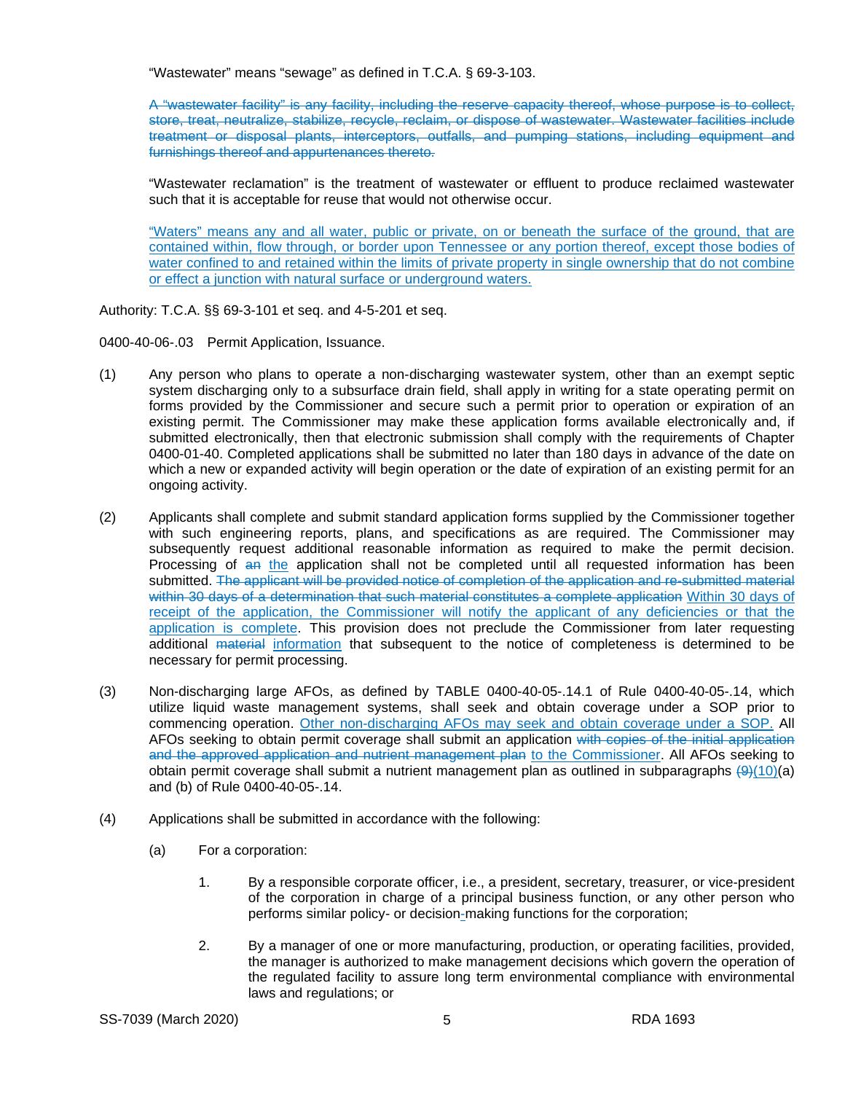"Wastewater" means "sewage" as defined in T.C.A. § 69-3-103.

A "wastewater facility" is any facility, including the reserve capacity thereof, whose purpose is to collect, store, treat, neutralize, stabilize, recycle, reclaim, or dispose of wastewater. Wastewater facilities include treatment or disposal plants, interceptors, outfalls, and pumping stations, including equipment and furnishings thereof and appurtenances thereto.

"Wastewater reclamation" is the treatment of wastewater or effluent to produce reclaimed wastewater such that it is acceptable for reuse that would not otherwise occur.

"Waters" means any and all water, public or private, on or beneath the surface of the ground, that are contained within, flow through, or border upon Tennessee or any portion thereof, except those bodies of water confined to and retained within the limits of private property in single ownership that do not combine or effect a junction with natural surface or underground waters.

Authority: T.C.A. §§ 69-3-101 et seq. and 4-5-201 et seq.

0400-40-06-.03 Permit Application, Issuance.

- (1) Any person who plans to operate a non-discharging wastewater system, other than an exempt septic system discharging only to a subsurface drain field, shall apply in writing for a state operating permit on forms provided by the Commissioner and secure such a permit prior to operation or expiration of an existing permit. The Commissioner may make these application forms available electronically and, if submitted electronically, then that electronic submission shall comply with the requirements of Chapter 0400-01-40. Completed applications shall be submitted no later than 180 days in advance of the date on which a new or expanded activity will begin operation or the date of expiration of an existing permit for an ongoing activity.
- (2) Applicants shall complete and submit standard application forms supplied by the Commissioner together with such engineering reports, plans, and specifications as are required. The Commissioner may subsequently request additional reasonable information as required to make the permit decision. Processing of an the application shall not be completed until all requested information has been submitted. The applicant will be provided notice of completion of the application and re-submitted material within 30 days of a determination that such material constitutes a complete application Within 30 days of receipt of the application, the Commissioner will notify the applicant of any deficiencies or that the application is complete. This provision does not preclude the Commissioner from later requesting additional material information that subsequent to the notice of completeness is determined to be necessary for permit processing.
- (3) Non-discharging large AFOs, as defined by TABLE 0400-40-05-.14.1 of Rule 0400-40-05-.14, which utilize liquid waste management systems, shall seek and obtain coverage under a SOP prior to commencing operation. Other non-discharging AFOs may seek and obtain coverage under a SOP. All AFOs seeking to obtain permit coverage shall submit an application with copies of the initial application and the approved application and nutrient management plan to the Commissioner. All AFOs seeking to obtain permit coverage shall submit a nutrient management plan as outlined in subparagraphs  $(9)(10)(a)$ and (b) of Rule 0400-40-05-.14.
- (4) Applications shall be submitted in accordance with the following:
	- (a) For a corporation:
		- 1. By a responsible corporate officer, i.e., a president, secretary, treasurer, or vice-president of the corporation in charge of a principal business function, or any other person who performs similar policy- or decision-making functions for the corporation;
		- 2. By a manager of one or more manufacturing, production, or operating facilities, provided, the manager is authorized to make management decisions which govern the operation of the regulated facility to assure long term environmental compliance with environmental laws and regulations; or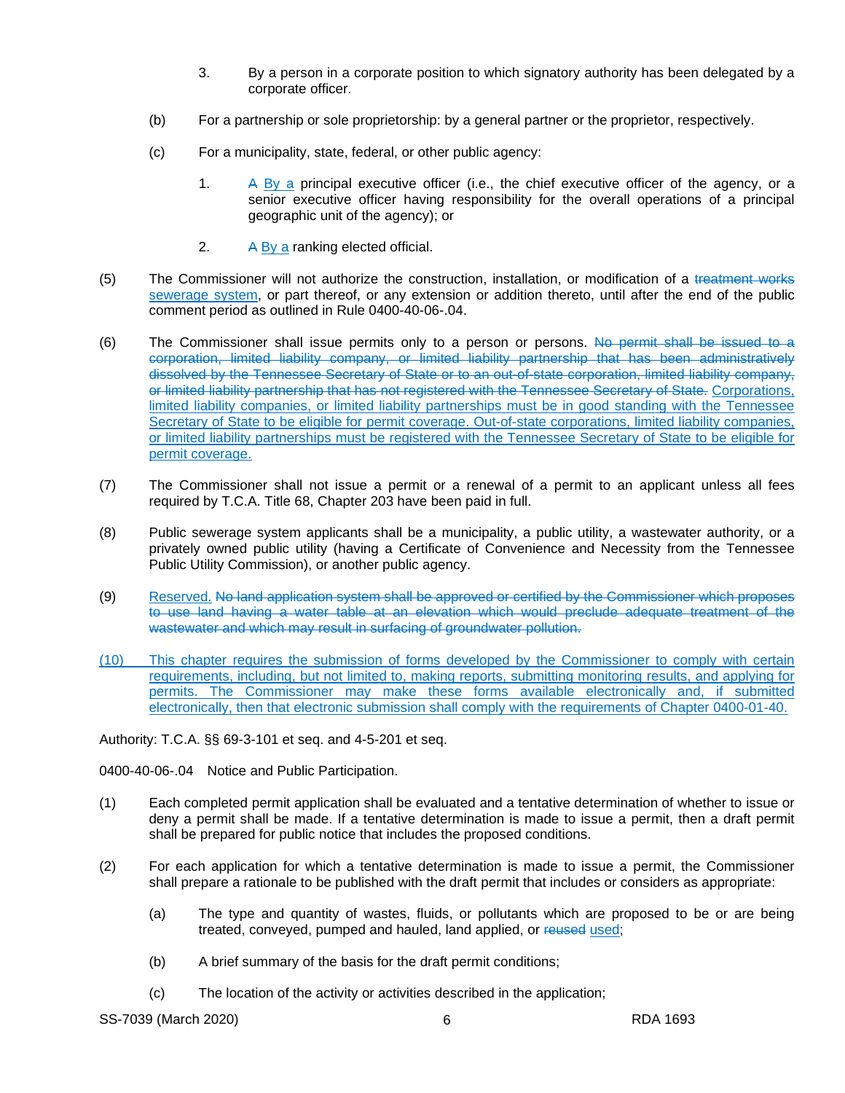- 3. By a person in a corporate position to which signatory authority has been delegated by a corporate officer.
- (b) For a partnership or sole proprietorship: by a general partner or the proprietor, respectively.
- (c) For a municipality, state, federal, or other public agency:
	- 1. A By a principal executive officer (i.e., the chief executive officer of the agency, or a senior executive officer having responsibility for the overall operations of a principal geographic unit of the agency); or
	- 2. A By a ranking elected official.
- (5) The Commissioner will not authorize the construction, installation, or modification of a treatment works sewerage system, or part thereof, or any extension or addition thereto, until after the end of the public comment period as outlined in Rule 0400-40-06-.04.
- (6) The Commissioner shall issue permits only to a person or persons. No permit shall be issued to a corporation, limited liability company, or limited liability partnership that has been administratively dissolved by the Tennessee Secretary of State or to an out-of-state corporation, limited liability company, or limited liability partnership that has not registered with the Tennessee Secretary of State. Corporations, limited liability companies, or limited liability partnerships must be in good standing with the Tennessee Secretary of State to be eligible for permit coverage. Out-of-state corporations, limited liability companies, or limited liability partnerships must be registered with the Tennessee Secretary of State to be eligible for permit coverage.
- (7) The Commissioner shall not issue a permit or a renewal of a permit to an applicant unless all fees required by T.C.A. Title 68, Chapter 203 have been paid in full.
- (8) Public sewerage system applicants shall be a municipality, a public utility, a wastewater authority, or a privately owned public utility (having a Certificate of Convenience and Necessity from the Tennessee Public Utility Commission), or another public agency.
- (9) Reserved. No land application system shall be approved or certified by the Commissioner which proposes to use land having a water table at an elevation which would preclude adequate treatment of the wastewater and which may result in surfacing of groundwater pollution.
- (10) This chapter requires the submission of forms developed by the Commissioner to comply with certain requirements, including, but not limited to, making reports, submitting monitoring results, and applying for permits. The Commissioner may make these forms available electronically and, if submitted electronically, then that electronic submission shall comply with the requirements of Chapter 0400-01-40.

Authority: T.C.A. §§ 69-3-101 et seq. and 4-5-201 et seq.

0400-40-06-.04 Notice and Public Participation.

- (1) Each completed permit application shall be evaluated and a tentative determination of whether to issue or deny a permit shall be made. If a tentative determination is made to issue a permit, then a draft permit shall be prepared for public notice that includes the proposed conditions.
- (2) For each application for which a tentative determination is made to issue a permit, the Commissioner shall prepare a rationale to be published with the draft permit that includes or considers as appropriate:
	- (a) The type and quantity of wastes, fluids, or pollutants which are proposed to be or are being treated, conveyed, pumped and hauled, land applied, or reused used;
	- (b) A brief summary of the basis for the draft permit conditions;
	- (c) The location of the activity or activities described in the application;

SS-7039 (March 2020) 6 RDA 1693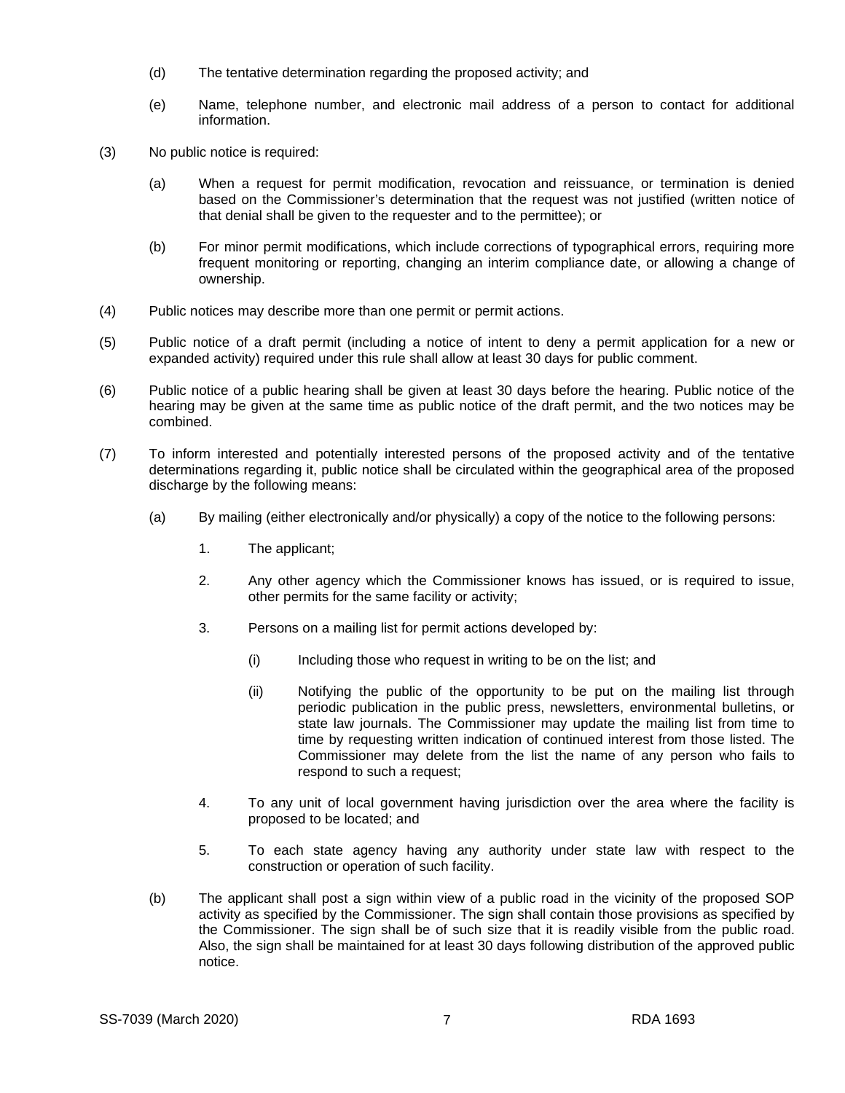- (d) The tentative determination regarding the proposed activity; and
- (e) Name, telephone number, and electronic mail address of a person to contact for additional information.
- (3) No public notice is required:
	- (a) When a request for permit modification, revocation and reissuance, or termination is denied based on the Commissioner's determination that the request was not justified (written notice of that denial shall be given to the requester and to the permittee); or
	- (b) For minor permit modifications, which include corrections of typographical errors, requiring more frequent monitoring or reporting, changing an interim compliance date, or allowing a change of ownership.
- (4) Public notices may describe more than one permit or permit actions.
- (5) Public notice of a draft permit (including a notice of intent to deny a permit application for a new or expanded activity) required under this rule shall allow at least 30 days for public comment.
- (6) Public notice of a public hearing shall be given at least 30 days before the hearing. Public notice of the hearing may be given at the same time as public notice of the draft permit, and the two notices may be combined.
- (7) To inform interested and potentially interested persons of the proposed activity and of the tentative determinations regarding it, public notice shall be circulated within the geographical area of the proposed discharge by the following means:
	- (a) By mailing (either electronically and/or physically) a copy of the notice to the following persons:
		- 1. The applicant;
		- 2. Any other agency which the Commissioner knows has issued, or is required to issue, other permits for the same facility or activity;
		- 3. Persons on a mailing list for permit actions developed by:
			- (i) Including those who request in writing to be on the list; and
			- (ii) Notifying the public of the opportunity to be put on the mailing list through periodic publication in the public press, newsletters, environmental bulletins, or state law journals. The Commissioner may update the mailing list from time to time by requesting written indication of continued interest from those listed. The Commissioner may delete from the list the name of any person who fails to respond to such a request;
		- 4. To any unit of local government having jurisdiction over the area where the facility is proposed to be located; and
		- 5. To each state agency having any authority under state law with respect to the construction or operation of such facility.
	- (b) The applicant shall post a sign within view of a public road in the vicinity of the proposed SOP activity as specified by the Commissioner. The sign shall contain those provisions as specified by the Commissioner. The sign shall be of such size that it is readily visible from the public road. Also, the sign shall be maintained for at least 30 days following distribution of the approved public notice.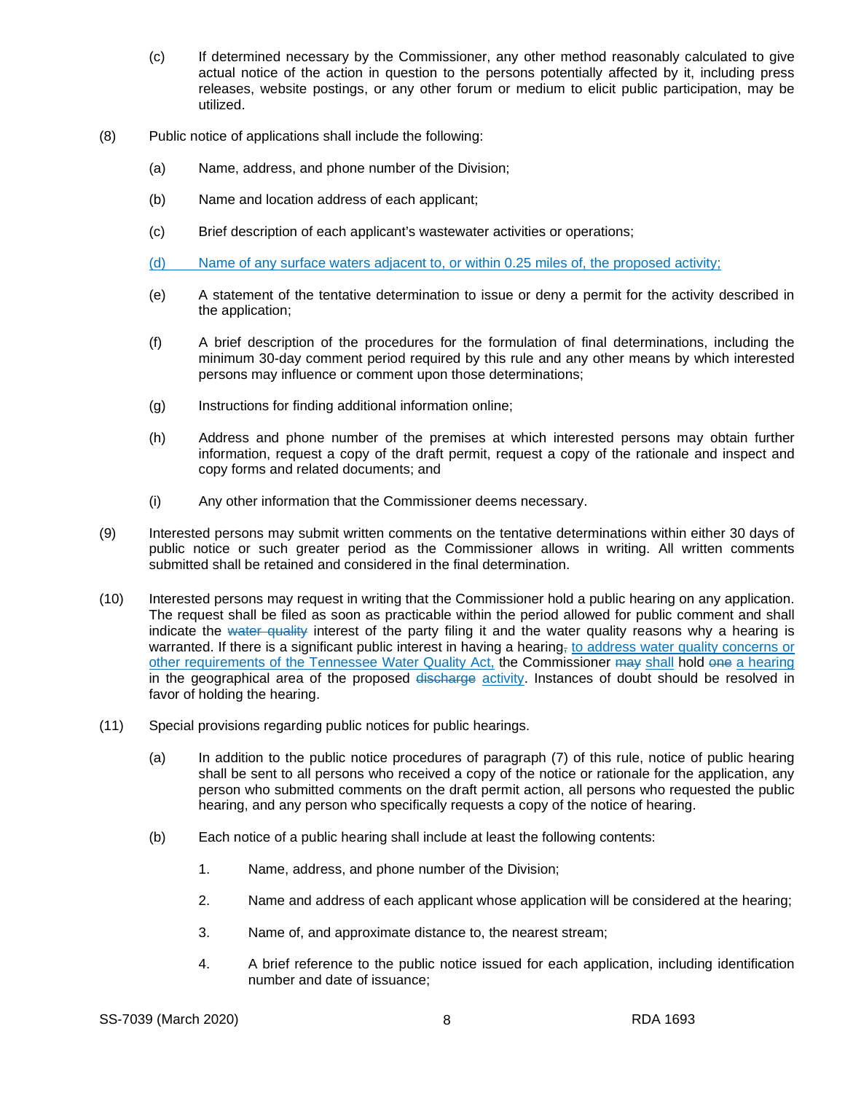- (c) If determined necessary by the Commissioner, any other method reasonably calculated to give actual notice of the action in question to the persons potentially affected by it, including press releases, website postings, or any other forum or medium to elicit public participation, may be utilized.
- (8) Public notice of applications shall include the following:
	- (a) Name, address, and phone number of the Division;
	- (b) Name and location address of each applicant;
	- (c) Brief description of each applicant's wastewater activities or operations;
	- (d) Name of any surface waters adjacent to, or within 0.25 miles of, the proposed activity;
	- (e) A statement of the tentative determination to issue or deny a permit for the activity described in the application;
	- (f) A brief description of the procedures for the formulation of final determinations, including the minimum 30-day comment period required by this rule and any other means by which interested persons may influence or comment upon those determinations;
	- (g) Instructions for finding additional information online;
	- (h) Address and phone number of the premises at which interested persons may obtain further information, request a copy of the draft permit, request a copy of the rationale and inspect and copy forms and related documents; and
	- (i) Any other information that the Commissioner deems necessary.
- (9) Interested persons may submit written comments on the tentative determinations within either 30 days of public notice or such greater period as the Commissioner allows in writing. All written comments submitted shall be retained and considered in the final determination.
- (10) Interested persons may request in writing that the Commissioner hold a public hearing on any application. The request shall be filed as soon as practicable within the period allowed for public comment and shall indicate the water quality interest of the party filing it and the water quality reasons why a hearing is warranted. If there is a significant public interest in having a hearing, to address water quality concerns or other requirements of the Tennessee Water Quality Act, the Commissioner may shall hold one a hearing in the geographical area of the proposed discharge activity. Instances of doubt should be resolved in favor of holding the hearing.
- (11) Special provisions regarding public notices for public hearings.
	- (a) In addition to the public notice procedures of paragraph (7) of this rule, notice of public hearing shall be sent to all persons who received a copy of the notice or rationale for the application, any person who submitted comments on the draft permit action, all persons who requested the public hearing, and any person who specifically requests a copy of the notice of hearing.
	- (b) Each notice of a public hearing shall include at least the following contents:
		- 1. Name, address, and phone number of the Division;
		- 2. Name and address of each applicant whose application will be considered at the hearing;
		- 3. Name of, and approximate distance to, the nearest stream;
		- 4. A brief reference to the public notice issued for each application, including identification number and date of issuance;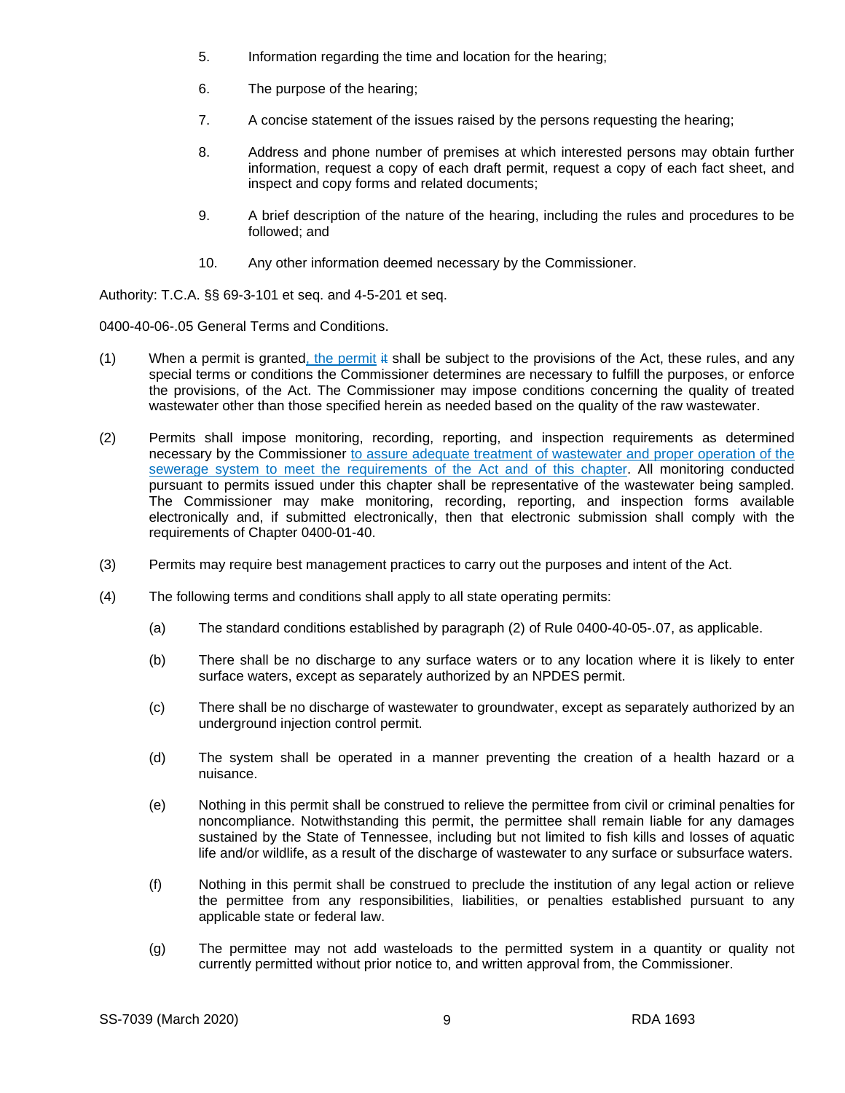- 5. Information regarding the time and location for the hearing;
- 6. The purpose of the hearing;
- 7. A concise statement of the issues raised by the persons requesting the hearing;
- 8. Address and phone number of premises at which interested persons may obtain further information, request a copy of each draft permit, request a copy of each fact sheet, and inspect and copy forms and related documents;
- 9. A brief description of the nature of the hearing, including the rules and procedures to be followed; and
- 10. Any other information deemed necessary by the Commissioner.

Authority: T.C.A. §§ 69-3-101 et seq. and 4-5-201 et seq.

0400-40-06-.05 General Terms and Conditions.

- (1) When a permit is granted, the permit  $\ddot{\textbf{a}}$  shall be subject to the provisions of the Act, these rules, and any special terms or conditions the Commissioner determines are necessary to fulfill the purposes, or enforce the provisions, of the Act. The Commissioner may impose conditions concerning the quality of treated wastewater other than those specified herein as needed based on the quality of the raw wastewater.
- (2) Permits shall impose monitoring, recording, reporting, and inspection requirements as determined necessary by the Commissioner to assure adequate treatment of wastewater and proper operation of the sewerage system to meet the requirements of the Act and of this chapter. All monitoring conducted pursuant to permits issued under this chapter shall be representative of the wastewater being sampled. The Commissioner may make monitoring, recording, reporting, and inspection forms available electronically and, if submitted electronically, then that electronic submission shall comply with the requirements of Chapter 0400-01-40.
- (3) Permits may require best management practices to carry out the purposes and intent of the Act.
- (4) The following terms and conditions shall apply to all state operating permits:
	- (a) The standard conditions established by paragraph (2) of Rule 0400-40-05-.07, as applicable.
	- (b) There shall be no discharge to any surface waters or to any location where it is likely to enter surface waters, except as separately authorized by an NPDES permit.
	- (c) There shall be no discharge of wastewater to groundwater, except as separately authorized by an underground injection control permit.
	- (d) The system shall be operated in a manner preventing the creation of a health hazard or a nuisance.
	- (e) Nothing in this permit shall be construed to relieve the permittee from civil or criminal penalties for noncompliance. Notwithstanding this permit, the permittee shall remain liable for any damages sustained by the State of Tennessee, including but not limited to fish kills and losses of aquatic life and/or wildlife, as a result of the discharge of wastewater to any surface or subsurface waters.
	- (f) Nothing in this permit shall be construed to preclude the institution of any legal action or relieve the permittee from any responsibilities, liabilities, or penalties established pursuant to any applicable state or federal law.
	- (g) The permittee may not add wasteloads to the permitted system in a quantity or quality not currently permitted without prior notice to, and written approval from, the Commissioner.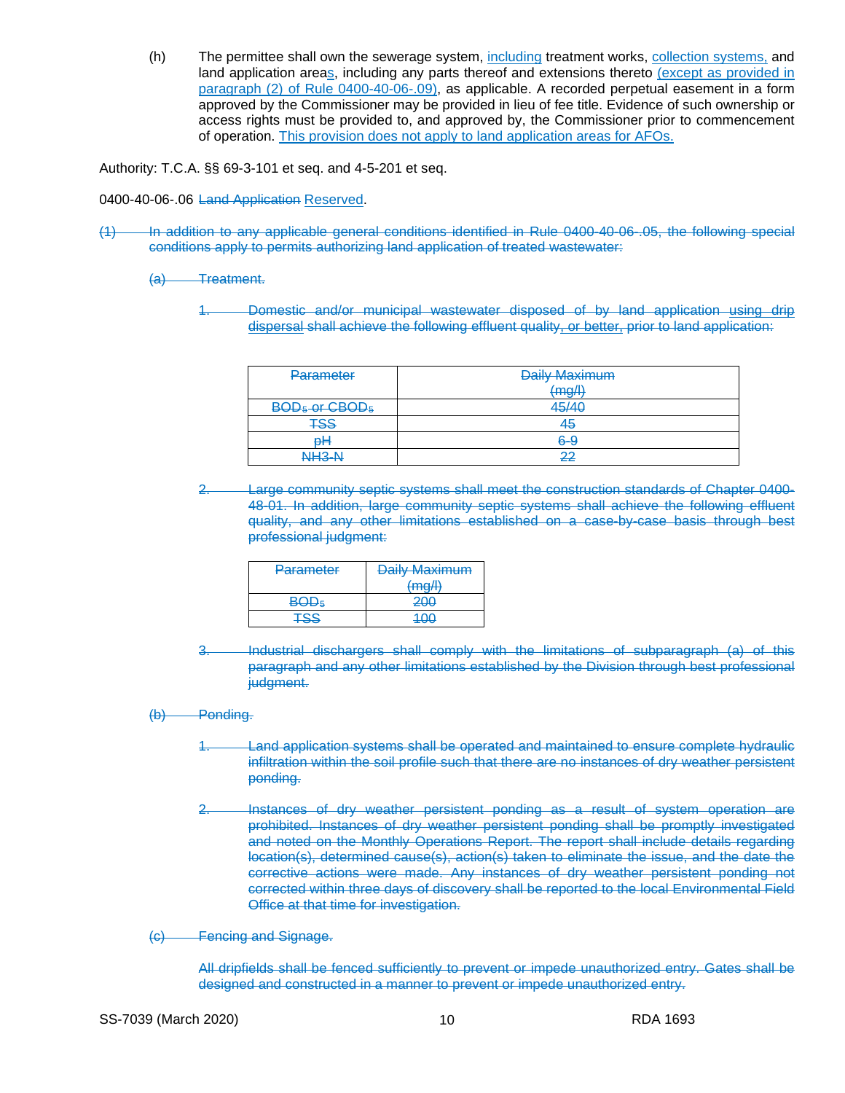(h) The permittee shall own the sewerage system, including treatment works, collection systems, and land application areas, including any parts thereof and extensions thereto (except as provided in paragraph (2) of Rule 0400-40-06-.09), as applicable. A recorded perpetual easement in a form approved by the Commissioner may be provided in lieu of fee title. Evidence of such ownership or access rights must be provided to, and approved by, the Commissioner prior to commencement of operation. This provision does not apply to land application areas for AFOs.

Authority: T.C.A. §§ 69-3-101 et seq. and 4-5-201 et seq.

0400-40-06-.06 Land Application Reserved.

(1) In addition to any applicable general conditions identified in Rule 0400-40-06-.05, the following special conditions apply to permits authorizing land application of treated wastewater:

(a) Treatment.

1. Domestic and/or municipal wastewater disposed of by land application using drip dispersal shall achieve the following effluent quality, or better, prior to land application:

| Parameter                              | <b>Daily Maximum</b> |
|----------------------------------------|----------------------|
|                                        | (mg/l)               |
| BOD <sub>5</sub> -or-CBOD <sub>5</sub> | 45/40                |
| <b>TSS</b>                             | 45                   |
| ₽Ħ                                     | 6-9                  |
| NH <sub>3</sub> -N                     | 22                   |

2. Large community septic systems shall meet the construction standards of Chapter 0400- 48-01. In addition, large community septic systems shall achieve the following effluent quality, and any other limitations established on a case-by-case basis through best professional judgment:

| Parameter  | <b>Daily Maximum</b> |
|------------|----------------------|
|            | (mn/l)               |
| <b>BOD</b> | 200                  |
| ISS        | ഛ                    |

3. Industrial dischargers shall comply with the limitations of subparagraph (a) of this paragraph and any other limitations established by the Division through best professional judgment.

## (b) Ponding.

- 1. Land application systems shall be operated and maintained to ensure complete hydraulic infiltration within the soil profile such that there are no instances of dry weather persistent ponding.
- 2. Instances of dry weather persistent ponding as a result of system operation are prohibited. Instances of dry weather persistent ponding shall be promptly investigated and noted on the Monthly Operations Report. The report shall include details regarding location(s), determined cause(s), action(s) taken to eliminate the issue, and the date the corrective actions were made. Any instances of dry weather persistent ponding not corrected within three days of discovery shall be reported to the local Environmental Field Office at that time for investigation.
- (c) Fencing and Signage.

All dripfields shall be fenced sufficiently to prevent or impede unauthorized entry. Gates shall be designed and constructed in a manner to prevent or impede unauthorized entry.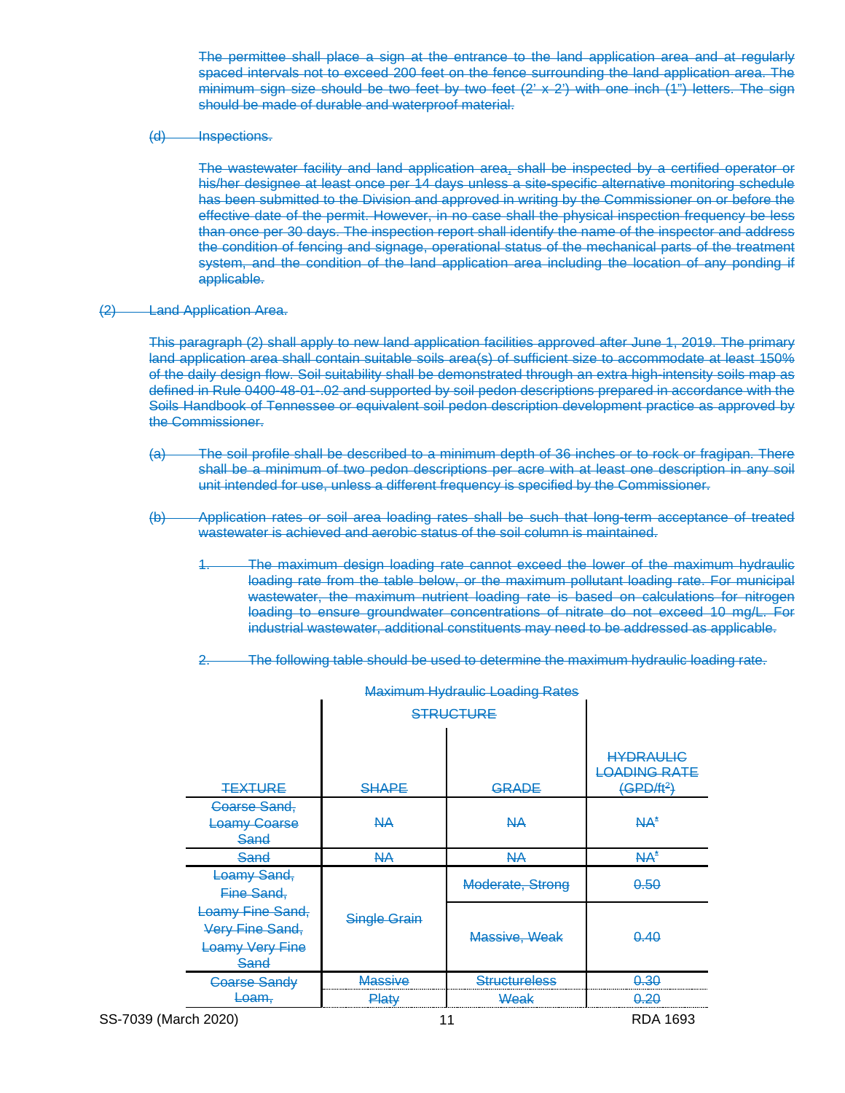The permittee shall place a sign at the entrance to the land application area and at regularly spaced intervals not to exceed 200 feet on the fence surrounding the land application area. The minimum sign size should be two feet by two feet  $(2' \times 2')$  with one inch  $(1'')$  letters. The sign should be made of durable and waterproof material.

(d) Inspections.

The wastewater facility and land application area, shall be inspected by a certified operator or his/her designee at least once per 14 days unless a site-specific alternative monitoring schedule has been submitted to the Division and approved in writing by the Commissioner on or before the effective date of the permit. However, in no case shall the physical inspection frequency be less than once per 30 days. The inspection report shall identify the name of the inspector and address the condition of fencing and signage, operational status of the mechanical parts of the treatment system, and the condition of the land application area including the location of any ponding if applicable.

#### (2) Land Application Area.

This paragraph (2) shall apply to new land application facilities approved after June 1, 2019. The primary land application area shall contain suitable soils area(s) of sufficient size to accommodate at least 150% of the daily design flow. Soil suitability shall be demonstrated through an extra high-intensity soils map as defined in Rule 0400-48-01-.02 and supported by soil pedon descriptions prepared in accordance with the Soils Handbook of Tennessee or equivalent soil pedon description development practice as approved by the Commissioner.

- (a) The soil profile shall be described to a minimum depth of 36 inches or to rock or fragipan. There shall be a minimum of two pedon descriptions per acre with at least one description in any soil unit intended for use, unless a different frequency is specified by the Commissioner.
- (b) Application rates or soil area loading rates shall be such that long-term acceptance of treated wastewater is achieved and aerobic status of the soil column is maintained.
	- 1. The maximum design loading rate cannot exceed the lower of the maximum hydraulic loading rate from the table below, or the maximum pollutant loading rate. For municipal wastewater, the maximum nutrient loading rate is based on calculations for nitrogen loading to ensure groundwater concentrations of nitrate do not exceed 10 mg/L. For industrial wastewater, additional constituents may need to be addressed as applicable.
	- 2. The following table should be used to determine the maximum hydraulic loading rate.

| <b>Maximum Hydraulic Loading Rates</b>                                |                     |                      |                                                                   |  |
|-----------------------------------------------------------------------|---------------------|----------------------|-------------------------------------------------------------------|--|
|                                                                       | <b>STRUCTURE</b>    |                      |                                                                   |  |
|                                                                       |                     |                      |                                                                   |  |
| <b>TEXTURE</b>                                                        | <b>SHAPE</b>        | GRADE                | <b>HYDRAULIC</b><br><b>LOADING RATE</b><br>(GPD/ft <sup>2</sup> ) |  |
| <b>Coarse Sand,</b>                                                   |                     |                      |                                                                   |  |
| <b>Loamy Coarse</b>                                                   | NА                  | NА                   | $NA^*$                                                            |  |
| Sand                                                                  |                     |                      |                                                                   |  |
| Sand                                                                  | NА                  | NА                   | $AA^*$                                                            |  |
| Loamy Sand,<br>Fine Sand,                                             |                     | Moderate, Strong     | 0.50                                                              |  |
| Loamy Fine Sand,<br>Very Fine Sand,<br><b>Loamy Very Fine</b><br>Sand | <b>Single Grain</b> | Massive, Weak        | 0.40                                                              |  |
| <b>Goarse Sandy</b>                                                   | <b>Massive</b>      | <b>Structureless</b> | 0.30                                                              |  |
| Loam.                                                                 | <b>Platy</b>        | Weak                 | <del>0.20</del>                                                   |  |
| $\sim$ $\sim$ $\sim$ $\sim$ $\sim$ $\sim$                             |                     |                      |                                                                   |  |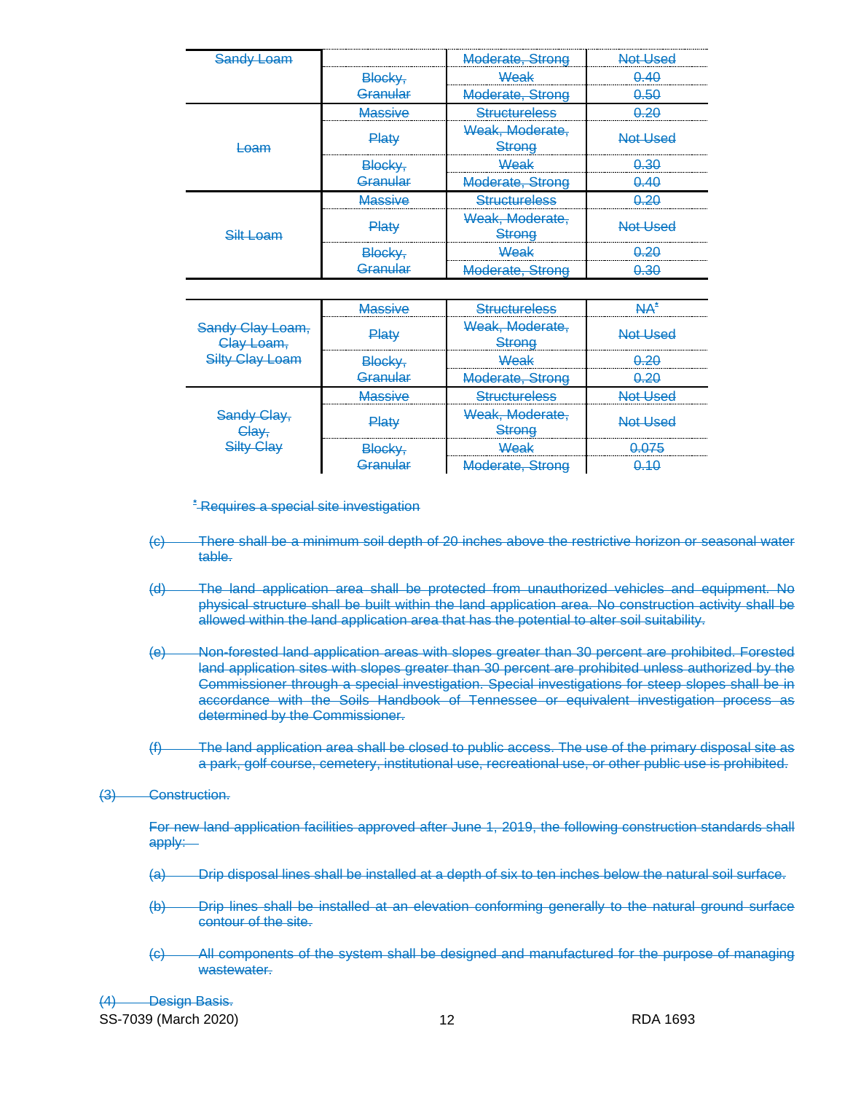| Sandy Loam    |               | Moderate, Strong                 | Not Used |
|---------------|---------------|----------------------------------|----------|
|               | Blocky,       | عاجماللا                         | 0.40<br> |
|               | Granular      | Moderate, Strong                 | 0.50     |
|               | Massive       | <b>Structureless</b>             |          |
| oam           | Plat∖         | Weak, Moderate,<br><b>Strong</b> | Not Used |
|               | <b>Blocky</b> | Weak                             |          |
|               | Granular      | Moderate, Strong                 | 0.40     |
|               | Maccivo       | Structuralace                    |          |
| <u>t Loom</u> | 4at∖          | Weak, Moderate.<br>trona         | Not Head |
|               | Blocky,       | عاجماليا                         |          |
|               |               | Moderate, Strong                 |          |

|                                                      | laeeiwa            | <u>Structureless</u>              |          |
|------------------------------------------------------|--------------------|-----------------------------------|----------|
| <del>Sandy Clay Loam.</del><br><del>Clav Loam.</del> | ર ⊟at              | Weak, Moderate,<br><u> Strona</u> | Not Used |
| <del>Silty Clav Loam</del>                           | <del>Blocky,</del> | Weak                              |          |
|                                                      | Granular           | Moderate, Strong                  |          |
| Sandy Clay,<br><del>Clav.</del><br>Silty Clay        | laeeiwa            | Structuralace                     |          |
|                                                      | યat∖               | Weak, Moderate,<br>Strona         |          |
|                                                      | <del>Blocky,</del> | بادها                             |          |
|                                                      |                    | Moderate, Strong                  |          |

**\*** Requires a special site investigation

- (c) There shall be a minimum soil depth of 20 inches above the restrictive horizon or seasonal water table.
- (d) The land application area shall be protected from unauthorized vehicles and equipment. No physical structure shall be built within the land application area. No construction activity shall be allowed within the land application area that has the potential to alter soil suitability.
- (e) Non-forested land application areas with slopes greater than 30 percent are prohibited. Forested land application sites with slopes greater than 30 percent are prohibited unless authorized by the Commissioner through a special investigation. Special investigations for steep slopes shall be in accordance with the Soils Handbook of Tennessee or equivalent investigation process as determined by the Commissioner.
- (f) The land application area shall be closed to public access. The use of the primary disposal site as a park, golf course, cemetery, institutional use, recreational use, or other public use is prohibited.

#### (3) Construction.

For new land application facilities approved after June 1, 2019, the following construction standards shall apply:

- (a) Drip disposal lines shall be installed at a depth of six to ten inches below the natural soil surface.
- (b) Drip lines shall be installed at an elevation conforming generally to the natural ground surface contour of the site.
- (c) All components of the system shall be designed and manufactured for the purpose of managing wastewater.

SS-7039 (March 2020) 12 12 RDA 1693 (4) Design Basis.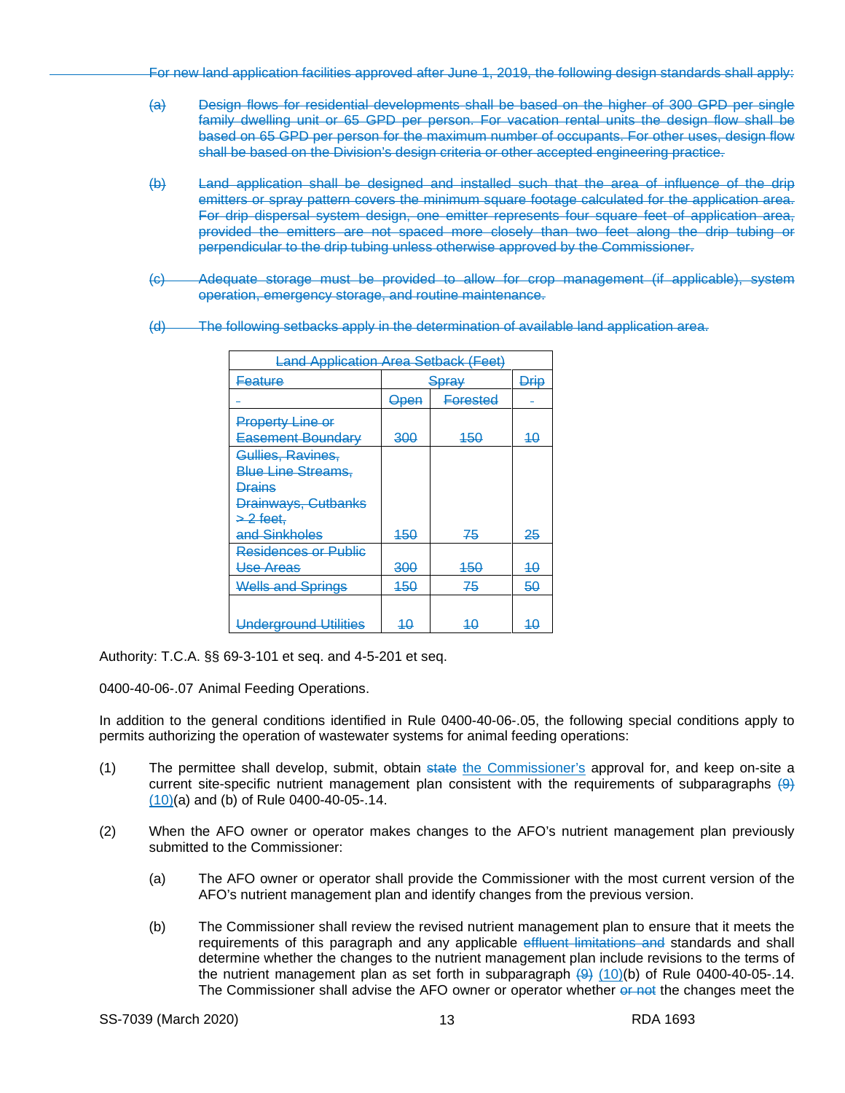For new land application facilities approved after June 1, 2019, the following design standards shall apply:

- (a) Design flows for residential developments shall be based on the higher of 300 GPD per single family dwelling unit or 65 GPD per person. For vacation rental units the design flow shall be based on 65 GPD per person for the maximum number of occupants. For other uses, design flow shall be based on the Division's design criteria or other accepted engineering practice.
- (b) Land application shall be designed and installed such that the area of influence of the drip emitters or spray pattern covers the minimum square footage calculated for the application area. For drip dispersal system design, one emitter represents four square feet of application area, provided the emitters are not spaced more closely than two feet along the drip tubing or perpendicular to the drip tubing unless otherwise approved by the Commissioner.
- (c) Adequate storage must be provided to allow for crop management (if applicable), system operation, emergency storage, and routine maintenance.
- (d) The following setbacks apply in the determination of available land application area.

| <b>Land Application Area Setback (Feet)</b> |                  |                 |             |  |
|---------------------------------------------|------------------|-----------------|-------------|--|
| <u>Feature</u>                              | <del>Spray</del> |                 | <b>Drip</b> |  |
|                                             | <del>Open</del>  | <u>Forested</u> |             |  |
| <b>Property Line or</b>                     |                  |                 |             |  |
| <b>Easement Boundary</b>                    | 300              | 450             | 40          |  |
| Gullies, Ravines,                           |                  |                 |             |  |
| <b>Blue Line Streams,</b>                   |                  |                 |             |  |
| <b>Drains</b>                               |                  |                 |             |  |
| Drainways, Cutbanks                         |                  |                 |             |  |
| $>2$ feet,                                  |                  |                 |             |  |
| and Sinkholes                               | 450              | 75              | 25          |  |
| Residences or Public                        |                  |                 |             |  |
| Use Areas                                   | 300              | 450             | 40          |  |
| <b>Wells and Springs</b>                    | 450              | 75              | 50          |  |
|                                             |                  |                 |             |  |
| <b>Underground Utilities</b>                | 40               | 40              | 40          |  |

Authority: T.C.A. §§ 69-3-101 et seq. and 4-5-201 et seq.

0400-40-06-.07 Animal Feeding Operations.

In addition to the general conditions identified in Rule 0400-40-06-.05, the following special conditions apply to permits authorizing the operation of wastewater systems for animal feeding operations:

- (1) The permittee shall develop, submit, obtain state the Commissioner's approval for, and keep on-site a current site-specific nutrient management plan consistent with the requirements of subparagraphs  $(9)$ (10)(a) and (b) of Rule 0400-40-05-.14.
- (2) When the AFO owner or operator makes changes to the AFO's nutrient management plan previously submitted to the Commissioner:
	- (a) The AFO owner or operator shall provide the Commissioner with the most current version of the AFO's nutrient management plan and identify changes from the previous version.
	- (b) The Commissioner shall review the revised nutrient management plan to ensure that it meets the requirements of this paragraph and any applicable effluent limitations and standards and shall determine whether the changes to the nutrient management plan include revisions to the terms of the nutrient management plan as set forth in subparagraph  $(9)$  (10)(b) of Rule 0400-40-05-.14. The Commissioner shall advise the AFO owner or operator whether or not the changes meet the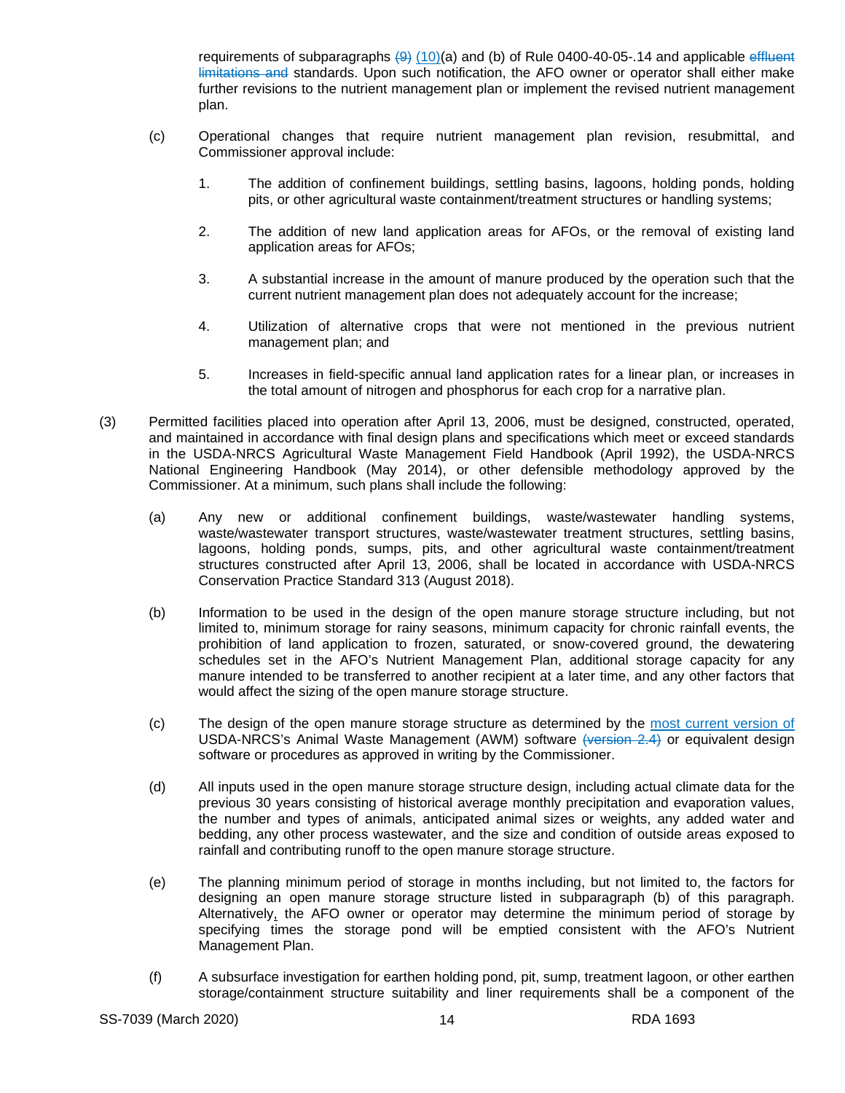requirements of subparagraphs  $(9)$  (10)(a) and (b) of Rule 0400-40-05-.14 and applicable effluent limitations and standards. Upon such notification, the AFO owner or operator shall either make further revisions to the nutrient management plan or implement the revised nutrient management plan.

- (c) Operational changes that require nutrient management plan revision, resubmittal, and Commissioner approval include:
	- 1. The addition of confinement buildings, settling basins, lagoons, holding ponds, holding pits, or other agricultural waste containment/treatment structures or handling systems;
	- 2. The addition of new land application areas for AFOs, or the removal of existing land application areas for AFOs;
	- 3. A substantial increase in the amount of manure produced by the operation such that the current nutrient management plan does not adequately account for the increase;
	- 4. Utilization of alternative crops that were not mentioned in the previous nutrient management plan; and
	- 5. Increases in field-specific annual land application rates for a linear plan, or increases in the total amount of nitrogen and phosphorus for each crop for a narrative plan.
- (3) Permitted facilities placed into operation after April 13, 2006, must be designed, constructed, operated, and maintained in accordance with final design plans and specifications which meet or exceed standards in the USDA-NRCS Agricultural Waste Management Field Handbook (April 1992), the USDA-NRCS National Engineering Handbook (May 2014), or other defensible methodology approved by the Commissioner. At a minimum, such plans shall include the following:
	- (a) Any new or additional confinement buildings, waste/wastewater handling systems, waste/wastewater transport structures, waste/wastewater treatment structures, settling basins, lagoons, holding ponds, sumps, pits, and other agricultural waste containment/treatment structures constructed after April 13, 2006, shall be located in accordance with USDA-NRCS Conservation Practice Standard 313 (August 2018).
	- (b) Information to be used in the design of the open manure storage structure including, but not limited to, minimum storage for rainy seasons, minimum capacity for chronic rainfall events, the prohibition of land application to frozen, saturated, or snow-covered ground, the dewatering schedules set in the AFO's Nutrient Management Plan, additional storage capacity for any manure intended to be transferred to another recipient at a later time, and any other factors that would affect the sizing of the open manure storage structure.
	- (c) The design of the open manure storage structure as determined by the most current version of USDA-NRCS's Animal Waste Management (AWM) software (version 2.4) or equivalent design software or procedures as approved in writing by the Commissioner.
	- (d) All inputs used in the open manure storage structure design, including actual climate data for the previous 30 years consisting of historical average monthly precipitation and evaporation values, the number and types of animals, anticipated animal sizes or weights, any added water and bedding, any other process wastewater, and the size and condition of outside areas exposed to rainfall and contributing runoff to the open manure storage structure.
	- (e) The planning minimum period of storage in months including, but not limited to, the factors for designing an open manure storage structure listed in subparagraph (b) of this paragraph. Alternatively, the AFO owner or operator may determine the minimum period of storage by specifying times the storage pond will be emptied consistent with the AFO's Nutrient Management Plan.
	- (f) A subsurface investigation for earthen holding pond, pit, sump, treatment lagoon, or other earthen storage/containment structure suitability and liner requirements shall be a component of the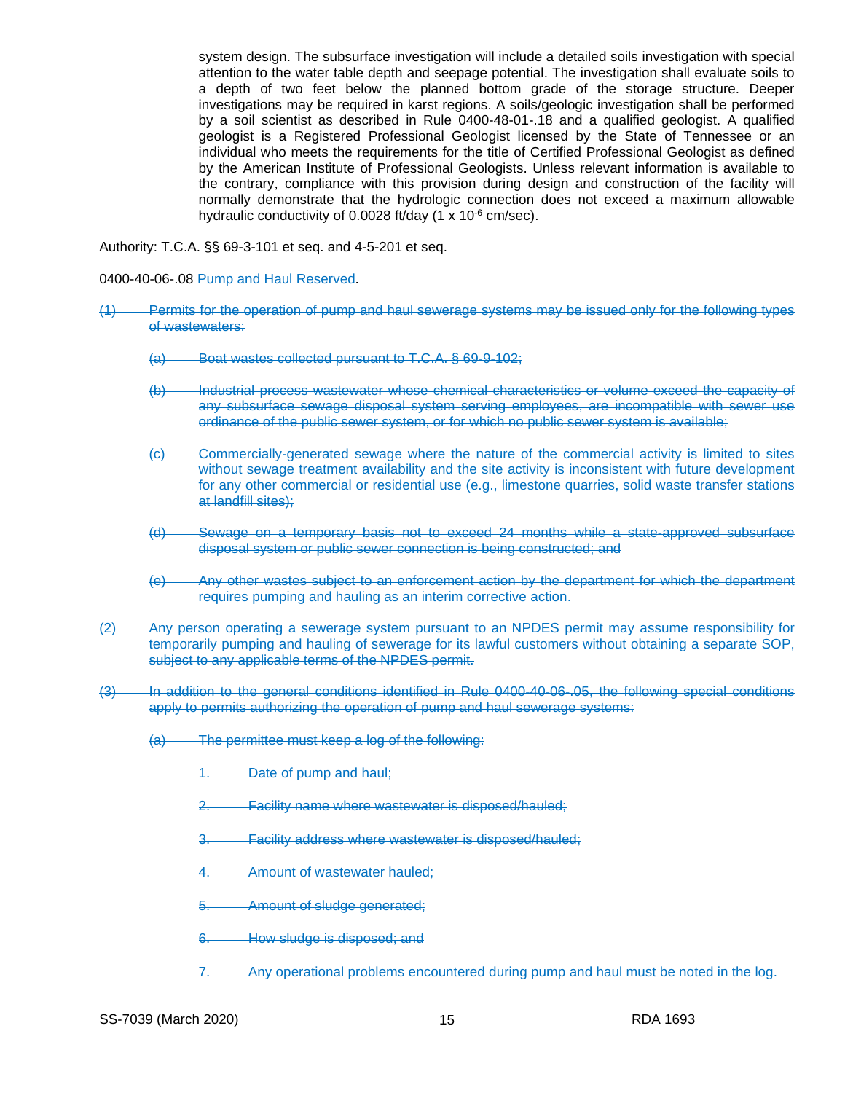system design. The subsurface investigation will include a detailed soils investigation with special attention to the water table depth and seepage potential. The investigation shall evaluate soils to a depth of two feet below the planned bottom grade of the storage structure. Deeper investigations may be required in karst regions. A soils/geologic investigation shall be performed by a soil scientist as described in Rule 0400-48-01-.18 and a qualified geologist. A qualified geologist is a Registered Professional Geologist licensed by the State of Tennessee or an individual who meets the requirements for the title of Certified Professional Geologist as defined by the American Institute of Professional Geologists. Unless relevant information is available to the contrary, compliance with this provision during design and construction of the facility will normally demonstrate that the hydrologic connection does not exceed a maximum allowable hydraulic conductivity of 0.0028 ft/day (1 x 10<sup>-6</sup> cm/sec).

Authority: T.C.A. §§ 69-3-101 et seq. and 4-5-201 et seq.

0400-40-06-.08 **Pump and Haul Reserved.** 

- (1) Permits for the operation of pump and haul sewerage systems may be issued only for the following types of wastewaters:
	- (a) Boat wastes collected pursuant to T.C.A. § 69-9-102;
	- (b) Industrial process wastewater whose chemical characteristics or volume exceed the capacity of any subsurface sewage disposal system serving employees, are incompatible with sewer use ordinance of the public sewer system, or for which no public sewer system is available;
	- (c) Commercially-generated sewage where the nature of the commercial activity is limited to sites without sewage treatment availability and the site activity is inconsistent with future development for any other commercial or residential use (e.g., limestone quarries, solid waste transfer stations at landfill sites);
	- (d) Sewage on a temporary basis not to exceed 24 months while a state-approved subsurface disposal system or public sewer connection is being constructed; and
	- (e) Any other wastes subject to an enforcement action by the department for which the department requires pumping and hauling as an interim corrective action.
- (2) Any person operating a sewerage system pursuant to an NPDES permit may assume responsibility for temporarily pumping and hauling of sewerage for its lawful customers without obtaining a separate SOP, subject to any applicable terms of the NPDES permit.
- (3) In addition to the general conditions identified in Rule 0400-40-06-.05, the following special conditions apply to permits authorizing the operation of pump and haul sewerage systems:
	- (a) The permittee must keep a log of the following:
		- 1. Date of pump and haul;
		- 2. Facility name where wastewater is disposed/hauled;
		- 3. Facility address where wastewater is disposed/hauled;
		- Amount of wastewater hauled;
		- 5. Amount of sludge generated;
		- 6. How sludge is disposed; and
		- 7. Any operational problems encountered during pump and haul must be noted in the log.

SS-7039 (March 2020) 15 15 15 RDA 1693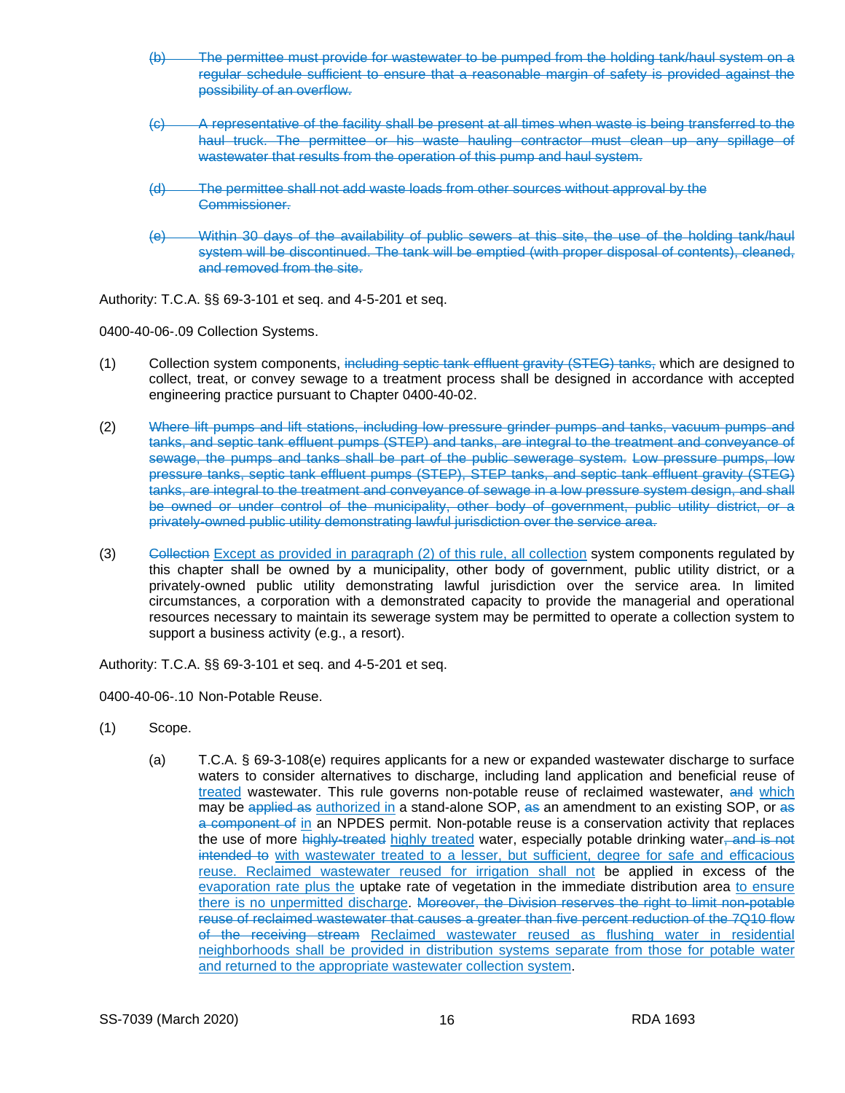- (b) The permittee must provide for wastewater to be pumped from the holding tank/haul system on a regular schedule sufficient to ensure that a reasonable margin of safety is provided against the possibility of an overflow.
- (c) A representative of the facility shall be present at all times when waste is being transferred to the haul truck. The permittee or his waste hauling contractor must clean up any spillage of wastewater that results from the operation of this pump and haul system.
- (d) The permittee shall not add waste loads from other sources without approval by the Commissioner.
- (e) Within 30 days of the availability of public sewers at this site, the use of the holding tank/haul system will be discontinued. The tank will be emptied (with proper disposal of contents), cleaned, and removed from the site.

Authority: T.C.A. §§ 69-3-101 et seq. and 4-5-201 et seq.

0400-40-06-.09 Collection Systems.

- (1) Collection system components, including septic tank effluent gravity (STEG) tanks, which are designed to collect, treat, or convey sewage to a treatment process shall be designed in accordance with accepted engineering practice pursuant to Chapter 0400-40-02.
- (2) Where lift pumps and lift stations, including low pressure grinder pumps and tanks, vacuum pumps and tanks, and septic tank effluent pumps (STEP) and tanks, are integral to the treatment and conveyance of sewage, the pumps and tanks shall be part of the public sewerage system. Low pressure pumps, low pressure tanks, septic tank effluent pumps (STEP), STEP tanks, and septic tank effluent gravity (STEG) tanks, are integral to the treatment and conveyance of sewage in a low pressure system design, and shall be owned or under control of the municipality, other body of government, public utility district, or a privately-owned public utility demonstrating lawful jurisdiction over the service area.
- (3) Collection Except as provided in paragraph (2) of this rule, all collection system components regulated by this chapter shall be owned by a municipality, other body of government, public utility district, or a privately-owned public utility demonstrating lawful jurisdiction over the service area. In limited circumstances, a corporation with a demonstrated capacity to provide the managerial and operational resources necessary to maintain its sewerage system may be permitted to operate a collection system to support a business activity (e.g., a resort).

Authority: T.C.A. §§ 69-3-101 et seq. and 4-5-201 et seq.

0400-40-06-.10 Non-Potable Reuse.

- (1) Scope.
	- (a) T.C.A. § 69-3-108(e) requires applicants for a new or expanded wastewater discharge to surface waters to consider alternatives to discharge, including land application and beneficial reuse of treated wastewater. This rule governs non-potable reuse of reclaimed wastewater, and which may be applied as authorized in a stand-alone SOP, as an amendment to an existing SOP, or as a component of in an NPDES permit. Non-potable reuse is a conservation activity that replaces the use of more highly-treated highly treated water, especially potable drinking water, and is not intended to with wastewater treated to a lesser, but sufficient, degree for safe and efficacious reuse. Reclaimed wastewater reused for irrigation shall not be applied in excess of the evaporation rate plus the uptake rate of vegetation in the immediate distribution area to ensure there is no unpermitted discharge. Moreover, the Division reserves the right to limit non-potable reuse of reclaimed wastewater that causes a greater than five percent reduction of the 7Q10 flow of the receiving stream Reclaimed wastewater reused as flushing water in residential neighborhoods shall be provided in distribution systems separate from those for potable water and returned to the appropriate wastewater collection system.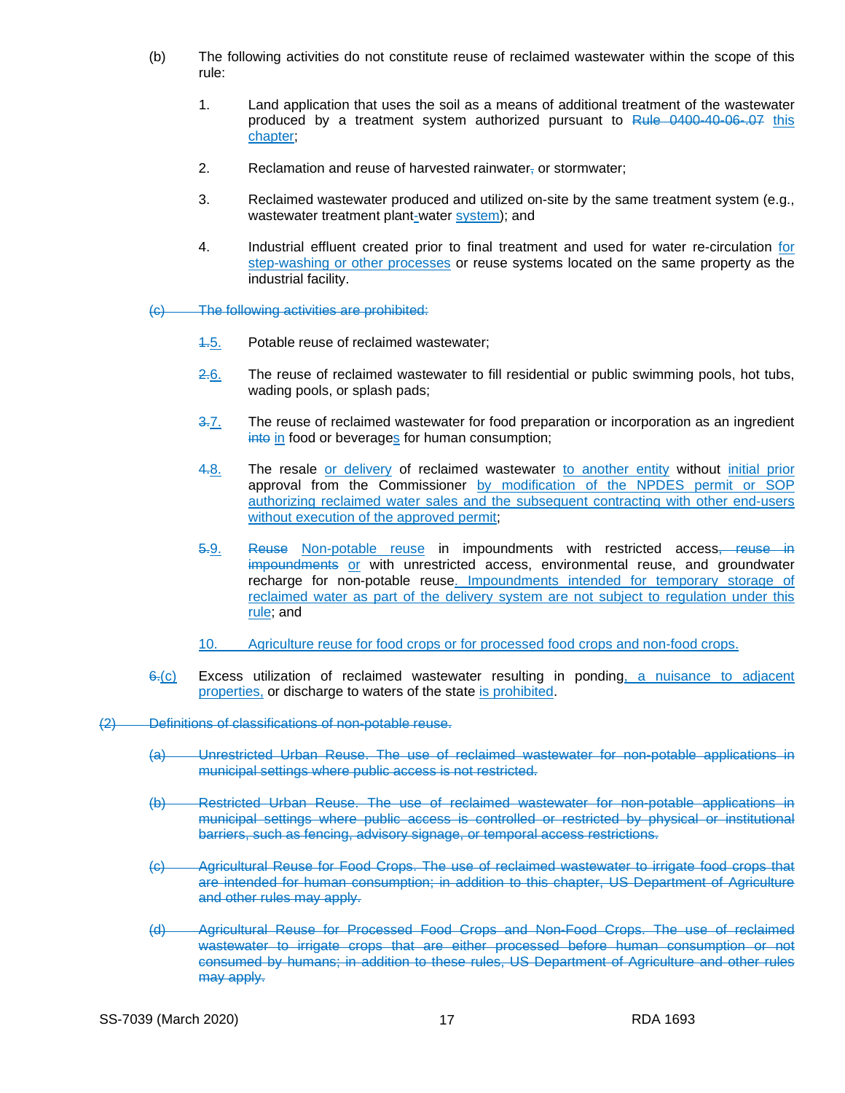- (b) The following activities do not constitute reuse of reclaimed wastewater within the scope of this rule:
	- 1. Land application that uses the soil as a means of additional treatment of the wastewater produced by a treatment system authorized pursuant to Rule 0400-40-06-.07 this chapter;
	- 2. Reclamation and reuse of harvested rainwater, or stormwater;
	- 3. Reclaimed wastewater produced and utilized on-site by the same treatment system (e.g., wastewater treatment plant-water system); and
	- 4. Industrial effluent created prior to final treatment and used for water re-circulation for step-washing or other processes or reuse systems located on the same property as the industrial facility.

(c) The following activities are prohibited:

- 1.5. Potable reuse of reclaimed wastewater;
- 2.6. The reuse of reclaimed wastewater to fill residential or public swimming pools, hot tubs, wading pools, or splash pads;
- 3.7. The reuse of reclaimed wastewater for food preparation or incorporation as an ingredient into in food or beverages for human consumption;
- 4.8. The resale or delivery of reclaimed wastewater to another entity without initial prior approval from the Commissioner by modification of the NPDES permit or SOP authorizing reclaimed water sales and the subsequent contracting with other end-users without execution of the approved permit;
- 5.9. Reuse Non-potable reuse in impoundments with restricted access, reuse in impoundments or with unrestricted access, environmental reuse, and groundwater recharge for non-potable reuse. Impoundments intended for temporary storage of reclaimed water as part of the delivery system are not subject to regulation under this rule; and
- 10. Agriculture reuse for food crops or for processed food crops and non-food crops.
- $6-(c)$  Excess utilization of reclaimed wastewater resulting in ponding, a nuisance to adjacent properties, or discharge to waters of the state is prohibited.
- (2) Definitions of classifications of non-potable reuse.
	- (a) Unrestricted Urban Reuse. The use of reclaimed wastewater for non-potable applications in municipal settings where public access is not restricted.
	- (b) Restricted Urban Reuse. The use of reclaimed wastewater for non-potable applications in municipal settings where public access is controlled or restricted by physical or institutional barriers, such as fencing, advisory signage, or temporal access restrictions.
	- (c) Agricultural Reuse for Food Crops. The use of reclaimed wastewater to irrigate food crops that are intended for human consumption; in addition to this chapter, US Department of Agriculture and other rules may apply.
	- (d) Agricultural Reuse for Processed Food Crops and Non-Food Crops. The use of reclaimed wastewater to irrigate crops that are either processed before human consumption or not consumed by humans; in addition to these rules, US Department of Agriculture and other rules may apply.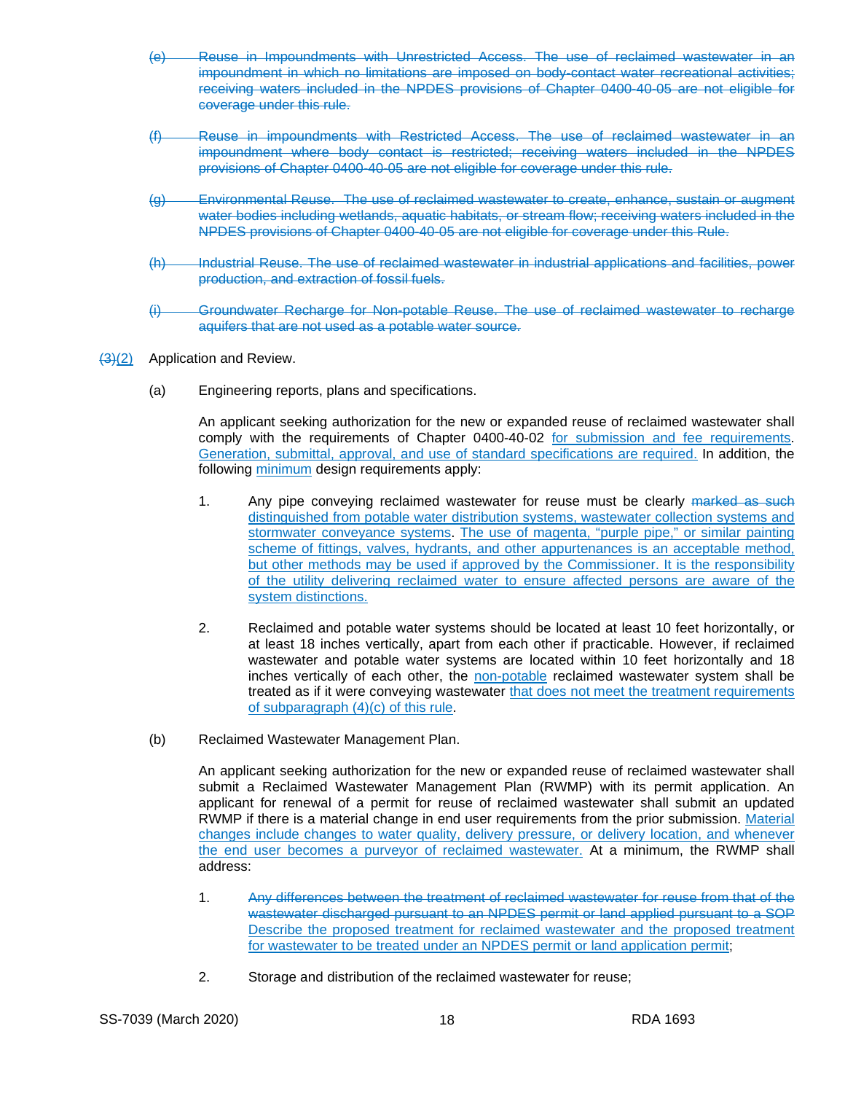- Reuse in Impoundments with Unrestricted Access. The use of reclaimed wastewater in an impoundment in which no limitations are imposed on body-contact water recreational activities; receiving waters included in the NPDES provisions of Chapter 0400-40-05 are not eligible for coverage under this rule.
- (f) Reuse in impoundments with Restricted Access. The use of reclaimed wastewater in an impoundment where body contact is restricted; receiving waters included in the NPDES provisions of Chapter 0400-40-05 are not eligible for coverage under this rule.
- (g) Environmental Reuse. The use of reclaimed wastewater to create, enhance, sustain or augment water bodies including wetlands, aquatic habitats, or stream flow; receiving waters included in the NPDES provisions of Chapter 0400-40-05 are not eligible for coverage under this Rule.
- (h) Industrial Reuse. The use of reclaimed wastewater in industrial applications and facilities, power production, and extraction of fossil fuels.
- (i) Groundwater Recharge for Non-potable Reuse. The use of reclaimed wastewater to recharge aquifers that are not used as a potable water source.
- (3)(2) Application and Review.
	- (a) Engineering reports, plans and specifications.

An applicant seeking authorization for the new or expanded reuse of reclaimed wastewater shall comply with the requirements of Chapter 0400-40-02 for submission and fee requirements. Generation, submittal, approval, and use of standard specifications are required. In addition, the following minimum design requirements apply:

- 1. Any pipe conveying reclaimed wastewater for reuse must be clearly marked as such distinguished from potable water distribution systems, wastewater collection systems and stormwater conveyance systems. The use of magenta, "purple pipe," or similar painting scheme of fittings, valves, hydrants, and other appurtenances is an acceptable method, but other methods may be used if approved by the Commissioner. It is the responsibility of the utility delivering reclaimed water to ensure affected persons are aware of the system distinctions.
- 2. Reclaimed and potable water systems should be located at least 10 feet horizontally, or at least 18 inches vertically, apart from each other if practicable. However, if reclaimed wastewater and potable water systems are located within 10 feet horizontally and 18 inches vertically of each other, the non-potable reclaimed wastewater system shall be treated as if it were conveying wastewater that does not meet the treatment requirements of subparagraph (4)(c) of this rule.
- (b) Reclaimed Wastewater Management Plan.

An applicant seeking authorization for the new or expanded reuse of reclaimed wastewater shall submit a Reclaimed Wastewater Management Plan (RWMP) with its permit application. An applicant for renewal of a permit for reuse of reclaimed wastewater shall submit an updated RWMP if there is a material change in end user requirements from the prior submission. Material changes include changes to water quality, delivery pressure, or delivery location, and whenever the end user becomes a purveyor of reclaimed wastewater. At a minimum, the RWMP shall address:

- 1. Any differences between the treatment of reclaimed wastewater for reuse from that of the wastewater discharged pursuant to an NPDES permit or land applied pursuant to a SOP Describe the proposed treatment for reclaimed wastewater and the proposed treatment for wastewater to be treated under an NPDES permit or land application permit;
- 2. Storage and distribution of the reclaimed wastewater for reuse;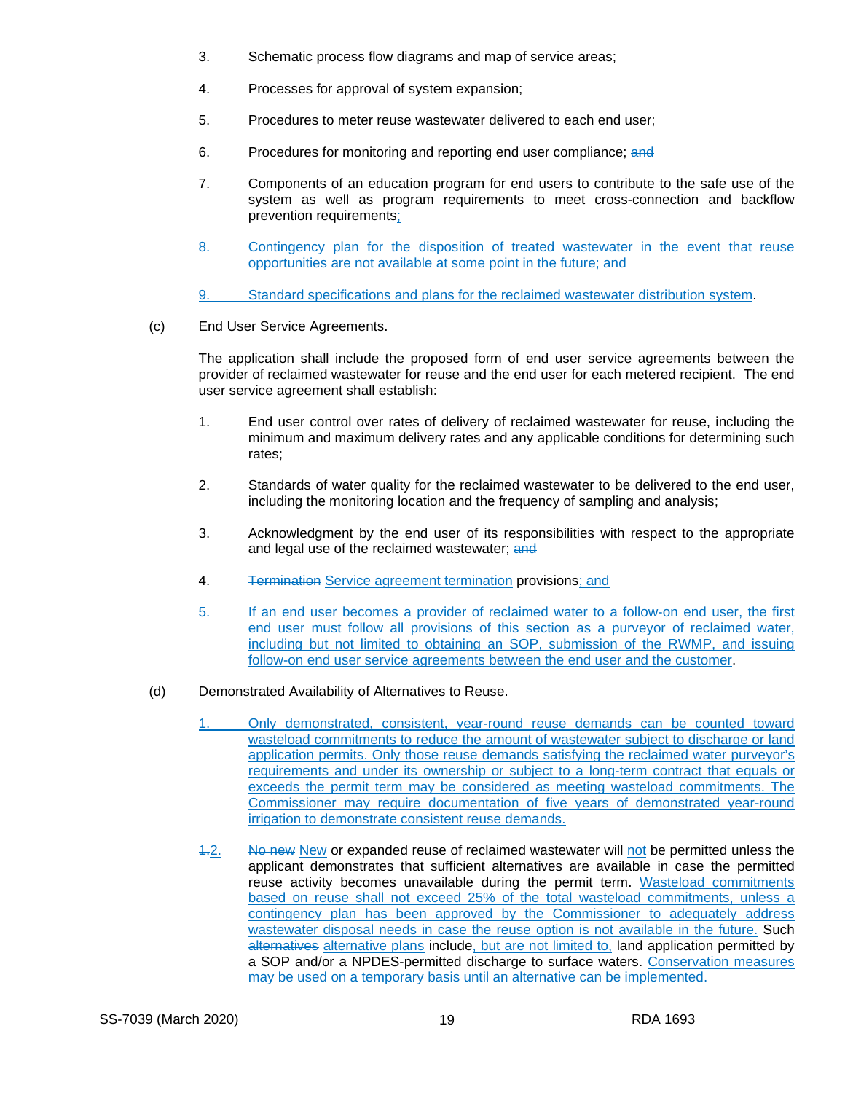- 3. Schematic process flow diagrams and map of service areas;
- 4. Processes for approval of system expansion;
- 5. Procedures to meter reuse wastewater delivered to each end user;
- 6. Procedures for monitoring and reporting end user compliance; and
- 7. Components of an education program for end users to contribute to the safe use of the system as well as program requirements to meet cross-connection and backflow prevention requirements;
- 8. Contingency plan for the disposition of treated wastewater in the event that reuse opportunities are not available at some point in the future; and

9. Standard specifications and plans for the reclaimed wastewater distribution system.

(c) End User Service Agreements.

The application shall include the proposed form of end user service agreements between the provider of reclaimed wastewater for reuse and the end user for each metered recipient. The end user service agreement shall establish:

- 1. End user control over rates of delivery of reclaimed wastewater for reuse, including the minimum and maximum delivery rates and any applicable conditions for determining such rates;
- 2. Standards of water quality for the reclaimed wastewater to be delivered to the end user, including the monitoring location and the frequency of sampling and analysis;
- 3. Acknowledgment by the end user of its responsibilities with respect to the appropriate and legal use of the reclaimed wastewater; and
- 4. Termination Service agreement termination provisions; and
- 5. If an end user becomes a provider of reclaimed water to a follow-on end user, the first end user must follow all provisions of this section as a purveyor of reclaimed water, including but not limited to obtaining an SOP, submission of the RWMP, and issuing follow-on end user service agreements between the end user and the customer.
- (d) Demonstrated Availability of Alternatives to Reuse.
	- 1. Only demonstrated, consistent, year-round reuse demands can be counted toward wasteload commitments to reduce the amount of wastewater subject to discharge or land application permits. Only those reuse demands satisfying the reclaimed water purveyor's requirements and under its ownership or subject to a long-term contract that equals or exceeds the permit term may be considered as meeting wasteload commitments. The Commissioner may require documentation of five years of demonstrated year-round irrigation to demonstrate consistent reuse demands.
	- 1.2. No new New or expanded reuse of reclaimed wastewater will not be permitted unless the applicant demonstrates that sufficient alternatives are available in case the permitted reuse activity becomes unavailable during the permit term. Wasteload commitments based on reuse shall not exceed 25% of the total wasteload commitments, unless a contingency plan has been approved by the Commissioner to adequately address wastewater disposal needs in case the reuse option is not available in the future. Such alternatives alternative plans include, but are not limited to, land application permitted by a SOP and/or a NPDES-permitted discharge to surface waters. Conservation measures may be used on a temporary basis until an alternative can be implemented.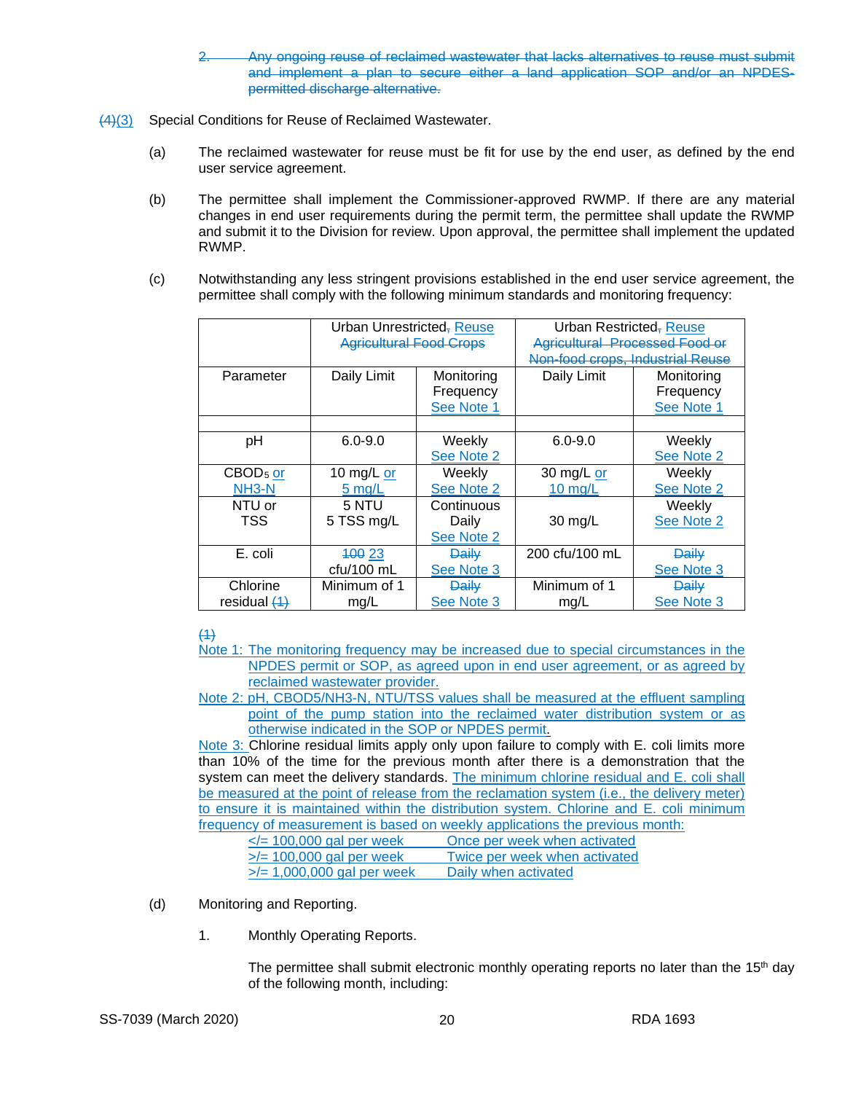- 2. Any ongoing reuse of reclaimed wastewater that lacks alternatives to reuse must submit and implement a plan to secure either a land application SOP and/or an NPDESpermitted discharge alternative.
- (4)(3) Special Conditions for Reuse of Reclaimed Wastewater.
	- (a) The reclaimed wastewater for reuse must be fit for use by the end user, as defined by the end user service agreement.
	- (b) The permittee shall implement the Commissioner-approved RWMP. If there are any material changes in end user requirements during the permit term, the permittee shall update the RWMP and submit it to the Division for review. Upon approval, the permittee shall implement the updated RWMP.
	- (c) Notwithstanding any less stringent provisions established in the end user service agreement, the permittee shall comply with the following minimum standards and monitoring frequency:

|                      | Urban Unrestricted, Reuse      |              | Urban Restricted <sub>7</sub> Reuse   |              |
|----------------------|--------------------------------|--------------|---------------------------------------|--------------|
|                      | <b>Agricultural Food Crops</b> |              | <b>Agricultural Processed Food or</b> |              |
|                      |                                |              | Non-food crops, Industrial Reuse      |              |
| Parameter            | Daily Limit                    | Monitoring   | Daily Limit                           | Monitoring   |
|                      |                                | Frequency    |                                       | Frequency    |
|                      |                                | See Note 1   |                                       | See Note 1   |
|                      |                                |              |                                       |              |
| рH                   | $6.0 - 9.0$                    | Weekly       | $6.0 - 9.0$                           | Weekly       |
|                      |                                | See Note 2   |                                       | See Note 2   |
| CBOD <sub>5</sub> or | 10 mg/L or                     | Weekly       | 30 mg/L or                            | Weekly       |
| NH <sub>3</sub> -N   | $5 \text{ mg/L}$               | See Note 2   | $10$ mg/L                             | See Note 2   |
| NTU or               | 5 NTU                          | Continuous   |                                       | Weekly       |
| TSS                  | 5 TSS mg/L                     | Daily        | $30 \text{ mg/L}$                     | See Note 2   |
|                      |                                | See Note 2   |                                       |              |
| E. coli              | 400 23                         | <b>Daily</b> | 200 cfu/100 mL                        | <b>Daily</b> |
|                      | cfu/100 mL                     | See Note 3   |                                       | See Note 3   |
| Chlorine             | Minimum of 1                   | <b>Daily</b> | Minimum of 1                          | <b>Daily</b> |
| residual $(4)$       | mg/L                           | See Note 3   | mg/L                                  | See Note 3   |

# $(1)$

- Note 1: The monitoring frequency may be increased due to special circumstances in the NPDES permit or SOP, as agreed upon in end user agreement, or as agreed by reclaimed wastewater provider.
- Note 2: pH, CBOD5/NH3-N, NTU/TSS values shall be measured at the effluent sampling point of the pump station into the reclaimed water distribution system or as otherwise indicated in the SOP or NPDES permit.

Note 3: Chlorine residual limits apply only upon failure to comply with E. coli limits more than 10% of the time for the previous month after there is a demonstration that the system can meet the delivery standards. The minimum chlorine residual and E. coli shall be measured at the point of release from the reclamation system (i.e., the delivery meter) to ensure it is maintained within the distribution system. Chlorine and E. coli minimum frequency of measurement is based on weekly applications the previous month:

| $\le$ /= 100,000 gal per week   | Once per week when activated  |
|---------------------------------|-------------------------------|
| $\ge$ /= 100,000 gal per week   | Twice per week when activated |
| $\ge$ /= 1,000,000 gal per week | Daily when activated          |

- (d) Monitoring and Reporting.
	- 1. Monthly Operating Reports.

The permittee shall submit electronic monthly operating reports no later than the  $15<sup>th</sup>$  day of the following month, including: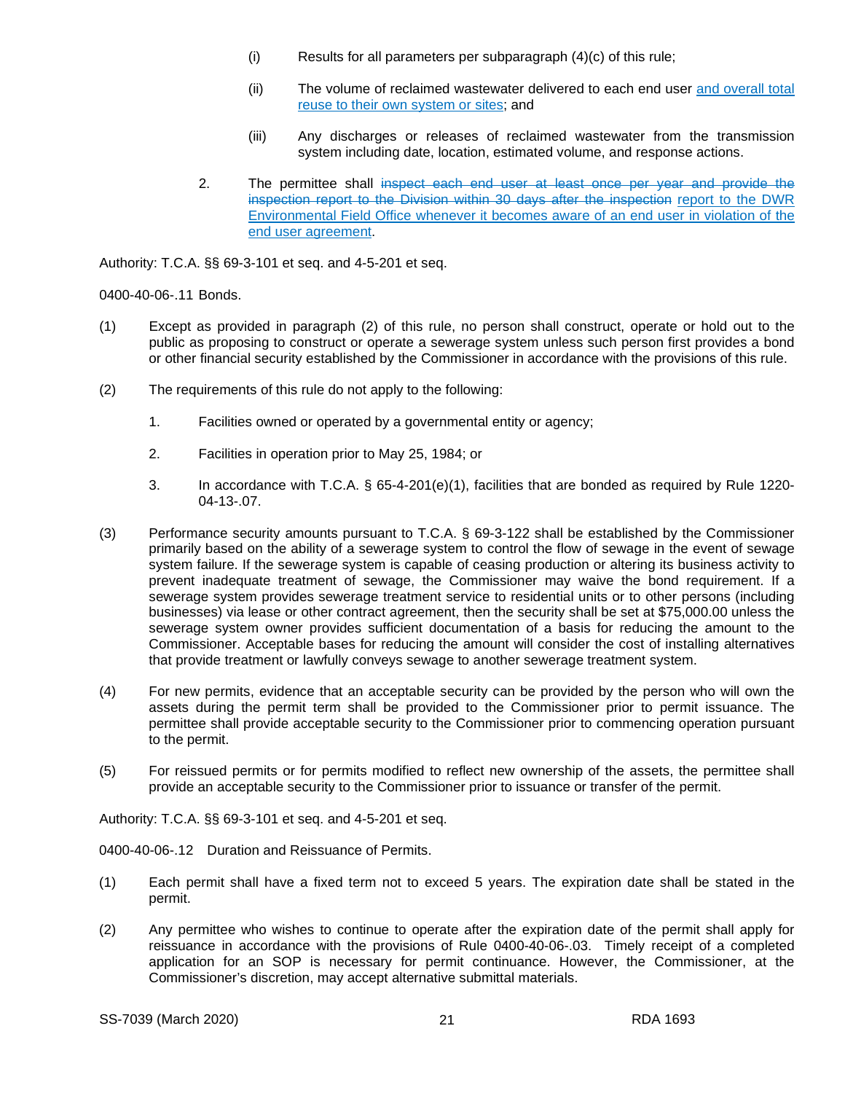- (i) Results for all parameters per subparagraph (4)(c) of this rule;
- (ii) The volume of reclaimed wastewater delivered to each end user and overall total reuse to their own system or sites; and
- (iii) Any discharges or releases of reclaimed wastewater from the transmission system including date, location, estimated volume, and response actions.
- 2. The permittee shall inspect each end user at least once per year and provide the inspection report to the Division within 30 days after the inspection report to the DWR Environmental Field Office whenever it becomes aware of an end user in violation of the end user agreement.

Authority: T.C.A. §§ 69-3-101 et seq. and 4-5-201 et seq.

0400-40-06-.11 Bonds.

- (1) Except as provided in paragraph (2) of this rule, no person shall construct, operate or hold out to the public as proposing to construct or operate a sewerage system unless such person first provides a bond or other financial security established by the Commissioner in accordance with the provisions of this rule.
- (2) The requirements of this rule do not apply to the following:
	- 1. Facilities owned or operated by a governmental entity or agency;
	- 2. Facilities in operation prior to May 25, 1984; or
	- 3. In accordance with T.C.A. § 65-4-201(e)(1), facilities that are bonded as required by Rule 1220- 04-13-.07.
- (3) Performance security amounts pursuant to T.C.A. § 69-3-122 shall be established by the Commissioner primarily based on the ability of a sewerage system to control the flow of sewage in the event of sewage system failure. If the sewerage system is capable of ceasing production or altering its business activity to prevent inadequate treatment of sewage, the Commissioner may waive the bond requirement. If a sewerage system provides sewerage treatment service to residential units or to other persons (including businesses) via lease or other contract agreement, then the security shall be set at \$75,000.00 unless the sewerage system owner provides sufficient documentation of a basis for reducing the amount to the Commissioner. Acceptable bases for reducing the amount will consider the cost of installing alternatives that provide treatment or lawfully conveys sewage to another sewerage treatment system.
- (4) For new permits, evidence that an acceptable security can be provided by the person who will own the assets during the permit term shall be provided to the Commissioner prior to permit issuance. The permittee shall provide acceptable security to the Commissioner prior to commencing operation pursuant to the permit.
- (5) For reissued permits or for permits modified to reflect new ownership of the assets, the permittee shall provide an acceptable security to the Commissioner prior to issuance or transfer of the permit.

Authority: T.C.A. §§ 69-3-101 et seq. and 4-5-201 et seq.

0400-40-06-.12 Duration and Reissuance of Permits.

- (1) Each permit shall have a fixed term not to exceed 5 years. The expiration date shall be stated in the permit.
- (2) Any permittee who wishes to continue to operate after the expiration date of the permit shall apply for reissuance in accordance with the provisions of Rule 0400-40-06-.03. Timely receipt of a completed application for an SOP is necessary for permit continuance. However, the Commissioner, at the Commissioner's discretion, may accept alternative submittal materials.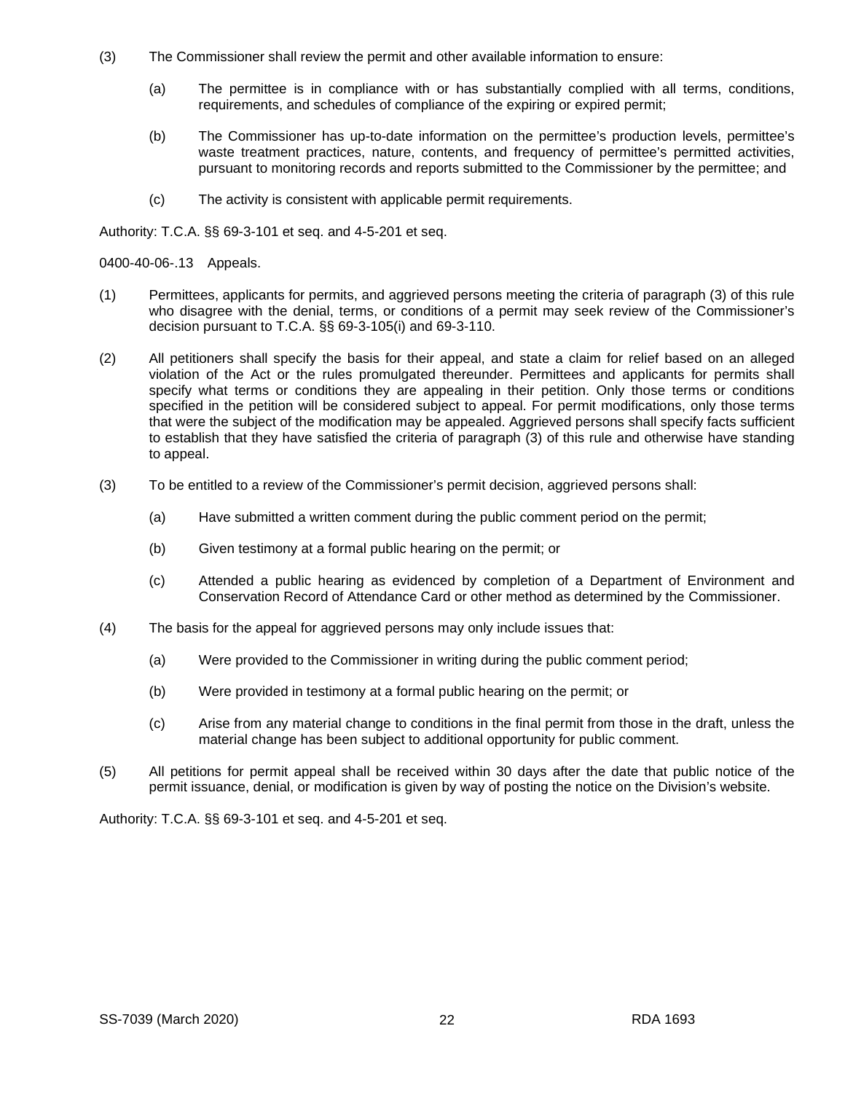- (3) The Commissioner shall review the permit and other available information to ensure:
	- (a) The permittee is in compliance with or has substantially complied with all terms, conditions, requirements, and schedules of compliance of the expiring or expired permit;
	- (b) The Commissioner has up-to-date information on the permittee's production levels, permittee's waste treatment practices, nature, contents, and frequency of permittee's permitted activities, pursuant to monitoring records and reports submitted to the Commissioner by the permittee; and
	- (c) The activity is consistent with applicable permit requirements.

Authority: T.C.A. §§ 69-3-101 et seq. and 4-5-201 et seq.

0400-40-06-.13 Appeals.

- (1) Permittees, applicants for permits, and aggrieved persons meeting the criteria of paragraph (3) of this rule who disagree with the denial, terms, or conditions of a permit may seek review of the Commissioner's decision pursuant to T.C.A. §§ 69-3-105(i) and 69-3-110.
- (2) All petitioners shall specify the basis for their appeal, and state a claim for relief based on an alleged violation of the Act or the rules promulgated thereunder. Permittees and applicants for permits shall specify what terms or conditions they are appealing in their petition. Only those terms or conditions specified in the petition will be considered subject to appeal. For permit modifications, only those terms that were the subject of the modification may be appealed. Aggrieved persons shall specify facts sufficient to establish that they have satisfied the criteria of paragraph (3) of this rule and otherwise have standing to appeal.
- (3) To be entitled to a review of the Commissioner's permit decision, aggrieved persons shall:
	- (a) Have submitted a written comment during the public comment period on the permit;
	- (b) Given testimony at a formal public hearing on the permit; or
	- (c) Attended a public hearing as evidenced by completion of a Department of Environment and Conservation Record of Attendance Card or other method as determined by the Commissioner.
- (4) The basis for the appeal for aggrieved persons may only include issues that:
	- (a) Were provided to the Commissioner in writing during the public comment period;
	- (b) Were provided in testimony at a formal public hearing on the permit; or
	- (c) Arise from any material change to conditions in the final permit from those in the draft, unless the material change has been subject to additional opportunity for public comment.
- (5) All petitions for permit appeal shall be received within 30 days after the date that public notice of the permit issuance, denial, or modification is given by way of posting the notice on the Division's website.

Authority: T.C.A. §§ 69-3-101 et seq. and 4-5-201 et seq.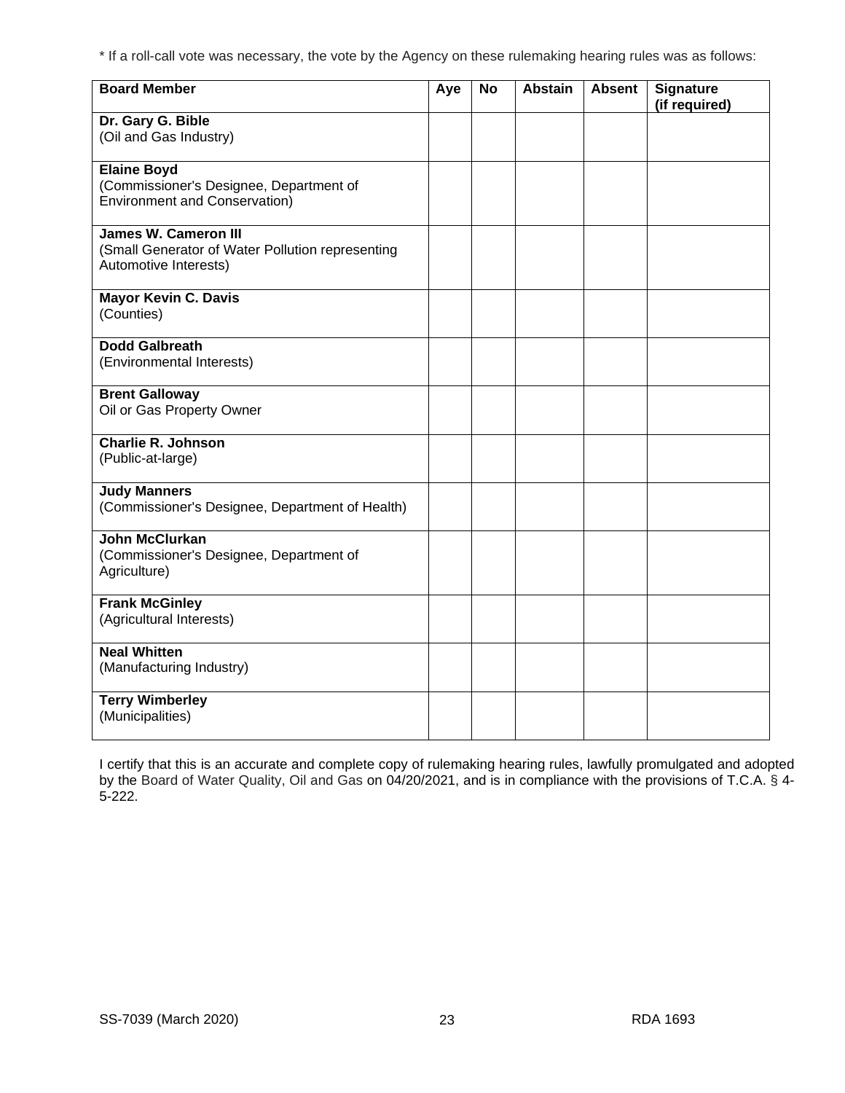\* If a roll-call vote was necessary, the vote by the Agency on these rulemaking hearing rules was as follows:

| <b>Board Member</b>                                                                                      | Aye | <b>No</b> | <b>Abstain</b> | <b>Absent</b> | Signature<br>(if required) |
|----------------------------------------------------------------------------------------------------------|-----|-----------|----------------|---------------|----------------------------|
| Dr. Gary G. Bible<br>(Oil and Gas Industry)                                                              |     |           |                |               |                            |
| <b>Elaine Boyd</b><br>(Commissioner's Designee, Department of<br><b>Environment and Conservation)</b>    |     |           |                |               |                            |
| <b>James W. Cameron III</b><br>(Small Generator of Water Pollution representing<br>Automotive Interests) |     |           |                |               |                            |
| <b>Mayor Kevin C. Davis</b><br>(Counties)                                                                |     |           |                |               |                            |
| <b>Dodd Galbreath</b><br>(Environmental Interests)                                                       |     |           |                |               |                            |
| <b>Brent Galloway</b><br>Oil or Gas Property Owner                                                       |     |           |                |               |                            |
| <b>Charlie R. Johnson</b><br>(Public-at-large)                                                           |     |           |                |               |                            |
| <b>Judy Manners</b><br>(Commissioner's Designee, Department of Health)                                   |     |           |                |               |                            |
| <b>John McClurkan</b><br>(Commissioner's Designee, Department of<br>Agriculture)                         |     |           |                |               |                            |
| <b>Frank McGinley</b><br>(Agricultural Interests)                                                        |     |           |                |               |                            |
| <b>Neal Whitten</b><br>(Manufacturing Industry)                                                          |     |           |                |               |                            |
| <b>Terry Wimberley</b><br>(Municipalities)                                                               |     |           |                |               |                            |

I certify that this is an accurate and complete copy of rulemaking hearing rules, lawfully promulgated and adopted by the Board of Water Quality, Oil and Gas on 04/20/2021, and is in compliance with the provisions of T.C.A. § 4- 5-222.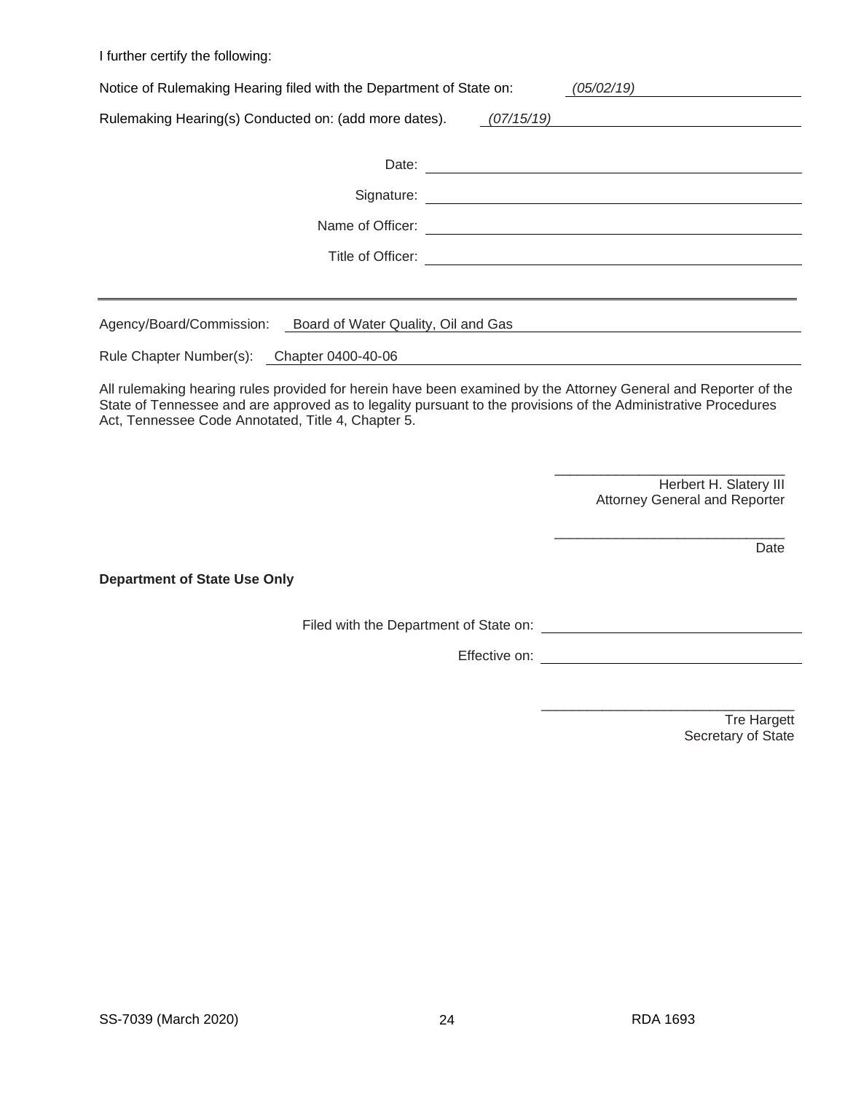I further certify the following:

| Notice of Rulemaking Hearing filed with the Department of State on:<br>(05/02/19) |                   |  |  |  |
|-----------------------------------------------------------------------------------|-------------------|--|--|--|
| Rulemaking Hearing(s) Conducted on: (add more dates).                             | (07/15/19)        |  |  |  |
|                                                                                   | Date:             |  |  |  |
|                                                                                   |                   |  |  |  |
|                                                                                   |                   |  |  |  |
|                                                                                   | Title of Officer: |  |  |  |
|                                                                                   |                   |  |  |  |
| Agency/Board/Commission: Board of Water Quality, Oil and Gas                      |                   |  |  |  |
| Rule Chapter Number(s): Chapter 0400-40-06                                        |                   |  |  |  |

All rulemaking hearing rules provided for herein have been examined by the Attorney General and Reporter of the State of Tennessee and are approved as to legality pursuant to the provisions of the Administrative Procedures Act, Tennessee Code Annotated, Title 4, Chapter 5.

> \_\_\_\_\_\_\_\_\_\_\_\_\_\_\_\_\_\_\_\_\_\_\_\_\_\_\_\_\_\_ Herbert H. Slatery III Attorney General and Reporter

\_\_\_\_\_\_\_\_\_\_\_\_\_\_\_\_\_\_\_\_\_\_\_\_\_\_\_\_\_\_

Date

**Department of State Use Only**

Filed with the Department of State on:

Effective on: <u>example and the set of the set of the set of the set of the set of the set of the set of the set of the set of the set of the set of the set of the set of the set of the set of the set of the set of the set </u>

\_\_\_\_\_\_\_\_\_\_\_\_\_\_\_\_\_\_\_\_\_\_\_\_\_\_\_\_\_\_\_\_\_ Tre Hargett Secretary of State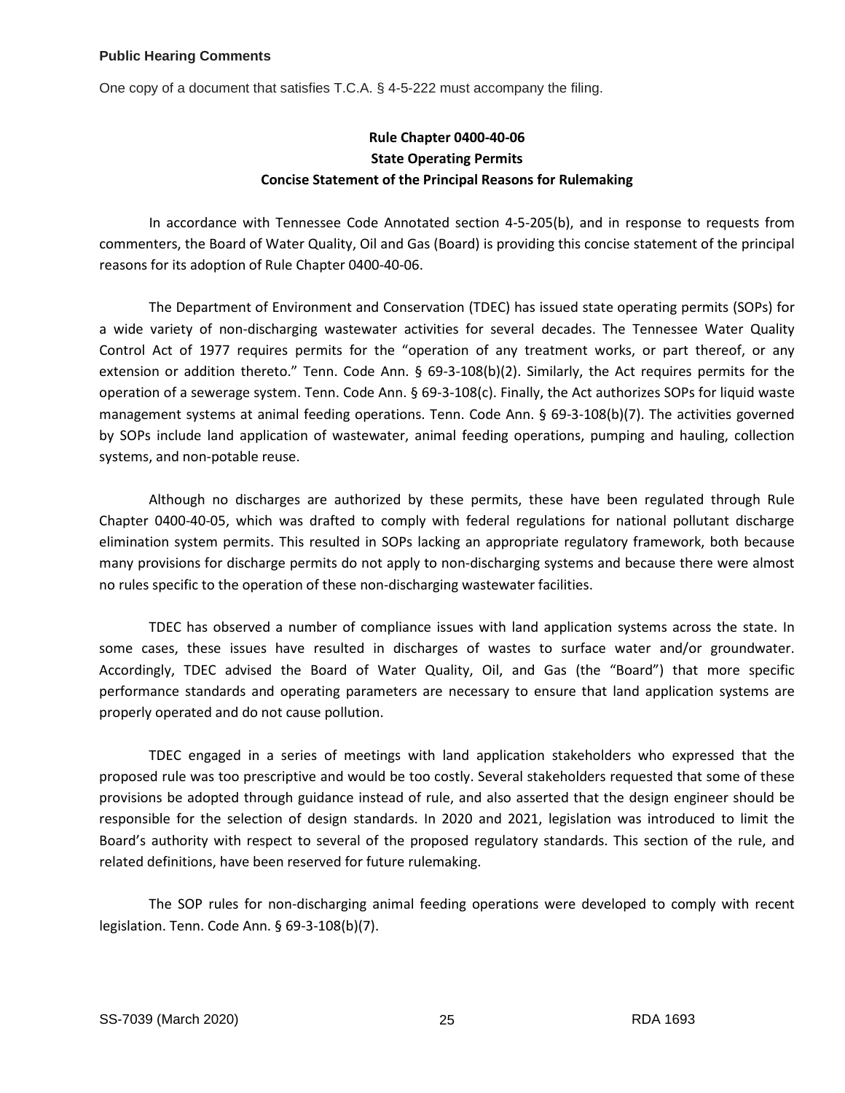## **Public Hearing Comments**

One copy of a document that satisfies T.C.A. § 4-5-222 must accompany the filing.

# **Rule Chapter 0400-40-06 State Operating Permits Concise Statement of the Principal Reasons for Rulemaking**

In accordance with Tennessee Code Annotated section 4-5-205(b), and in response to requests from commenters, the Board of Water Quality, Oil and Gas (Board) is providing this concise statement of the principal reasons for its adoption of Rule Chapter 0400-40-06.

The Department of Environment and Conservation (TDEC) has issued state operating permits (SOPs) for a wide variety of non-discharging wastewater activities for several decades. The Tennessee Water Quality Control Act of 1977 requires permits for the "operation of any treatment works, or part thereof, or any extension or addition thereto." Tenn. Code Ann. § 69-3-108(b)(2). Similarly, the Act requires permits for the operation of a sewerage system. Tenn. Code Ann. § 69-3-108(c). Finally, the Act authorizes SOPs for liquid waste management systems at animal feeding operations. Tenn. Code Ann. § 69-3-108(b)(7). The activities governed by SOPs include land application of wastewater, animal feeding operations, pumping and hauling, collection systems, and non-potable reuse.

Although no discharges are authorized by these permits, these have been regulated through Rule Chapter 0400-40-05, which was drafted to comply with federal regulations for national pollutant discharge elimination system permits. This resulted in SOPs lacking an appropriate regulatory framework, both because many provisions for discharge permits do not apply to non-discharging systems and because there were almost no rules specific to the operation of these non-discharging wastewater facilities.

TDEC has observed a number of compliance issues with land application systems across the state. In some cases, these issues have resulted in discharges of wastes to surface water and/or groundwater. Accordingly, TDEC advised the Board of Water Quality, Oil, and Gas (the "Board") that more specific performance standards and operating parameters are necessary to ensure that land application systems are properly operated and do not cause pollution.

TDEC engaged in a series of meetings with land application stakeholders who expressed that the proposed rule was too prescriptive and would be too costly. Several stakeholders requested that some of these provisions be adopted through guidance instead of rule, and also asserted that the design engineer should be responsible for the selection of design standards. In 2020 and 2021, legislation was introduced to limit the Board's authority with respect to several of the proposed regulatory standards. This section of the rule, and related definitions, have been reserved for future rulemaking.

The SOP rules for non-discharging animal feeding operations were developed to comply with recent legislation. Tenn. Code Ann. § 69-3-108(b)(7).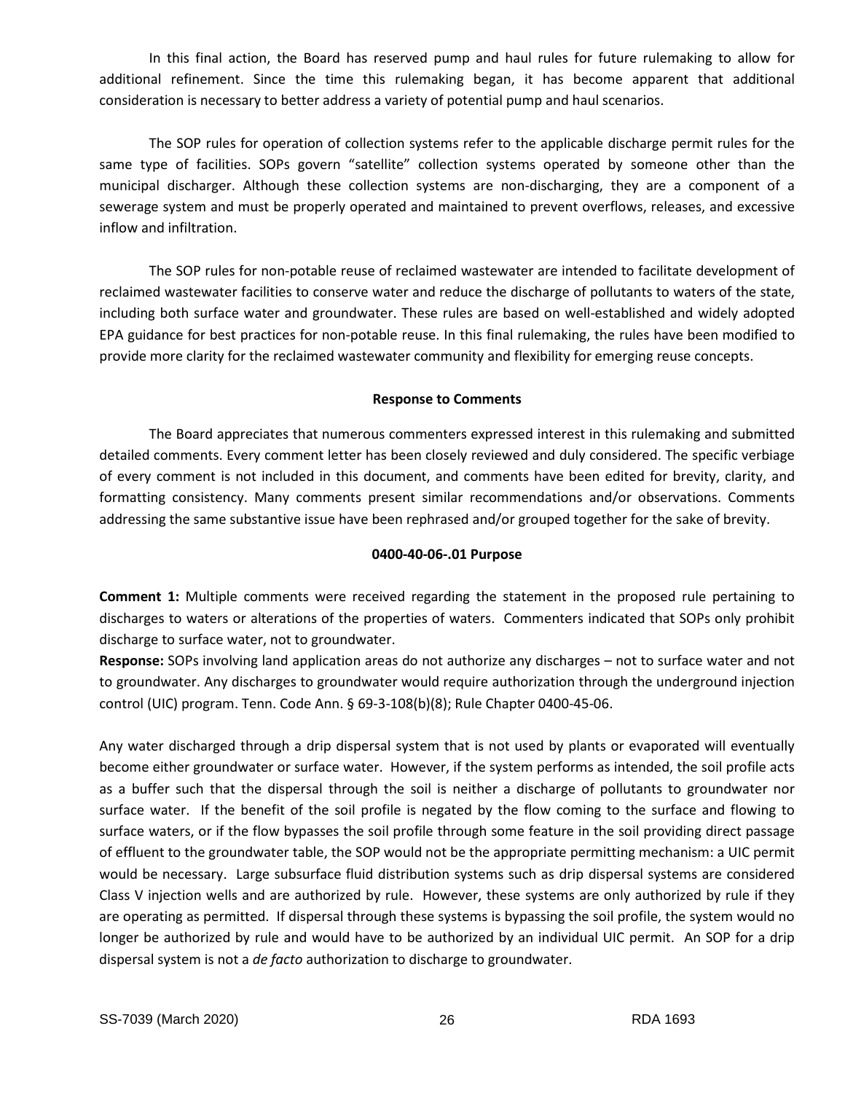In this final action, the Board has reserved pump and haul rules for future rulemaking to allow for additional refinement. Since the time this rulemaking began, it has become apparent that additional consideration is necessary to better address a variety of potential pump and haul scenarios.

The SOP rules for operation of collection systems refer to the applicable discharge permit rules for the same type of facilities. SOPs govern "satellite" collection systems operated by someone other than the municipal discharger. Although these collection systems are non-discharging, they are a component of a sewerage system and must be properly operated and maintained to prevent overflows, releases, and excessive inflow and infiltration.

The SOP rules for non-potable reuse of reclaimed wastewater are intended to facilitate development of reclaimed wastewater facilities to conserve water and reduce the discharge of pollutants to waters of the state, including both surface water and groundwater. These rules are based on well-established and widely adopted EPA guidance for best practices for non-potable reuse. In this final rulemaking, the rules have been modified to provide more clarity for the reclaimed wastewater community and flexibility for emerging reuse concepts.

## **Response to Comments**

The Board appreciates that numerous commenters expressed interest in this rulemaking and submitted detailed comments. Every comment letter has been closely reviewed and duly considered. The specific verbiage of every comment is not included in this document, and comments have been edited for brevity, clarity, and formatting consistency. Many comments present similar recommendations and/or observations. Comments addressing the same substantive issue have been rephrased and/or grouped together for the sake of brevity.

## **0400-40-06-.01 Purpose**

**Comment 1:** Multiple comments were received regarding the statement in the proposed rule pertaining to discharges to waters or alterations of the properties of waters. Commenters indicated that SOPs only prohibit discharge to surface water, not to groundwater.

**Response:** SOPs involving land application areas do not authorize any discharges – not to surface water and not to groundwater. Any discharges to groundwater would require authorization through the underground injection control (UIC) program. Tenn. Code Ann. § 69-3-108(b)(8); Rule Chapter 0400-45-06.

Any water discharged through a drip dispersal system that is not used by plants or evaporated will eventually become either groundwater or surface water. However, if the system performs as intended, the soil profile acts as a buffer such that the dispersal through the soil is neither a discharge of pollutants to groundwater nor surface water. If the benefit of the soil profile is negated by the flow coming to the surface and flowing to surface waters, or if the flow bypasses the soil profile through some feature in the soil providing direct passage of effluent to the groundwater table, the SOP would not be the appropriate permitting mechanism: a UIC permit would be necessary. Large subsurface fluid distribution systems such as drip dispersal systems are considered Class V injection wells and are authorized by rule. However, these systems are only authorized by rule if they are operating as permitted. If dispersal through these systems is bypassing the soil profile, the system would no longer be authorized by rule and would have to be authorized by an individual UIC permit. An SOP for a drip dispersal system is not a *de facto* authorization to discharge to groundwater.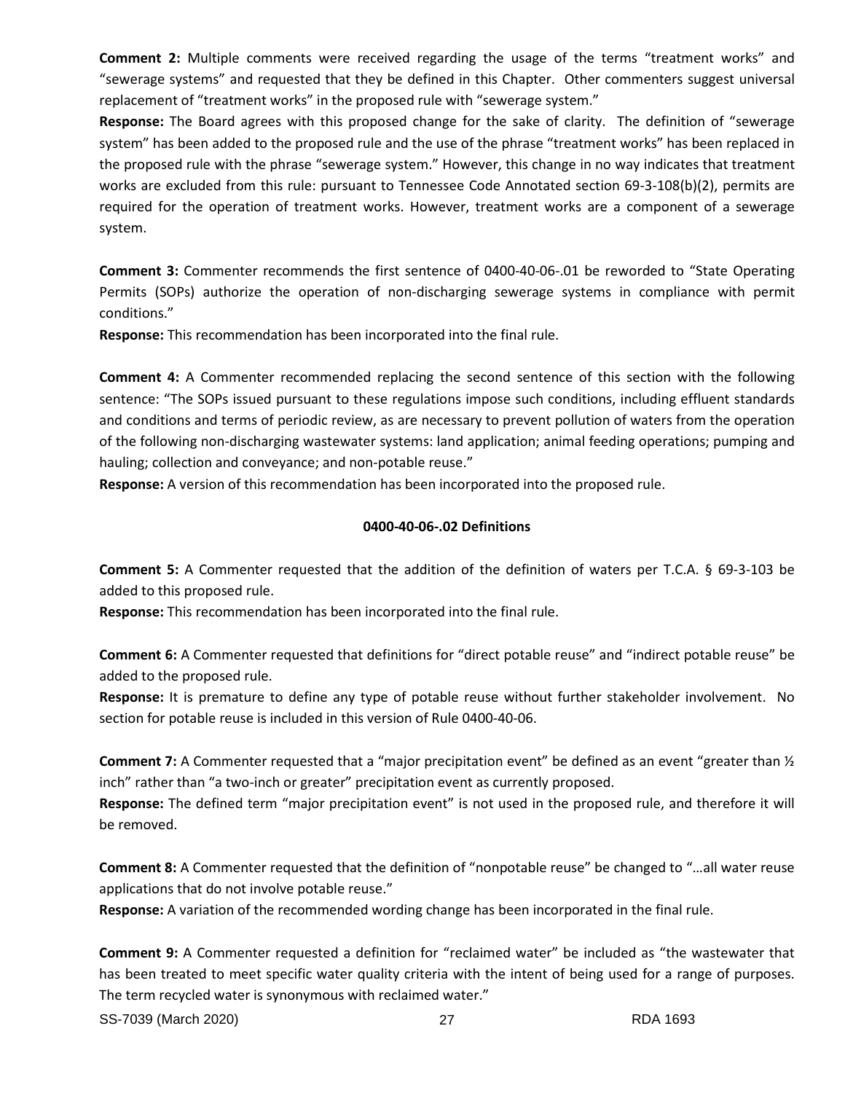**Comment 2:** Multiple comments were received regarding the usage of the terms "treatment works" and "sewerage systems" and requested that they be defined in this Chapter. Other commenters suggest universal replacement of "treatment works" in the proposed rule with "sewerage system."

**Response:** The Board agrees with this proposed change for the sake of clarity. The definition of "sewerage system" has been added to the proposed rule and the use of the phrase "treatment works" has been replaced in the proposed rule with the phrase "sewerage system." However, this change in no way indicates that treatment works are excluded from this rule: pursuant to Tennessee Code Annotated section 69-3-108(b)(2), permits are required for the operation of treatment works. However, treatment works are a component of a sewerage system.

**Comment 3:** Commenter recommends the first sentence of 0400-40-06-.01 be reworded to "State Operating Permits (SOPs) authorize the operation of non-discharging sewerage systems in compliance with permit conditions."

**Response:** This recommendation has been incorporated into the final rule.

**Comment 4:** A Commenter recommended replacing the second sentence of this section with the following sentence: "The SOPs issued pursuant to these regulations impose such conditions, including effluent standards and conditions and terms of periodic review, as are necessary to prevent pollution of waters from the operation of the following non-discharging wastewater systems: land application; animal feeding operations; pumping and hauling; collection and conveyance; and non-potable reuse."

**Response:** A version of this recommendation has been incorporated into the proposed rule.

# **0400-40-06-.02 Definitions**

**Comment 5:** A Commenter requested that the addition of the definition of waters per T.C.A. § 69-3-103 be added to this proposed rule.

**Response:** This recommendation has been incorporated into the final rule.

**Comment 6:** A Commenter requested that definitions for "direct potable reuse" and "indirect potable reuse" be added to the proposed rule.

**Response:** It is premature to define any type of potable reuse without further stakeholder involvement. No section for potable reuse is included in this version of Rule 0400-40-06.

**Comment 7:** A Commenter requested that a "major precipitation event" be defined as an event "greater than ½ inch" rather than "a two-inch or greater" precipitation event as currently proposed.

**Response:** The defined term "major precipitation event" is not used in the proposed rule, and therefore it will be removed.

**Comment 8:** A Commenter requested that the definition of "nonpotable reuse" be changed to "…all water reuse applications that do not involve potable reuse."

**Response:** A variation of the recommended wording change has been incorporated in the final rule.

**Comment 9:** A Commenter requested a definition for "reclaimed water" be included as "the wastewater that has been treated to meet specific water quality criteria with the intent of being used for a range of purposes. The term recycled water is synonymous with reclaimed water."

SS-7039 (March 2020) 27 RDA 1693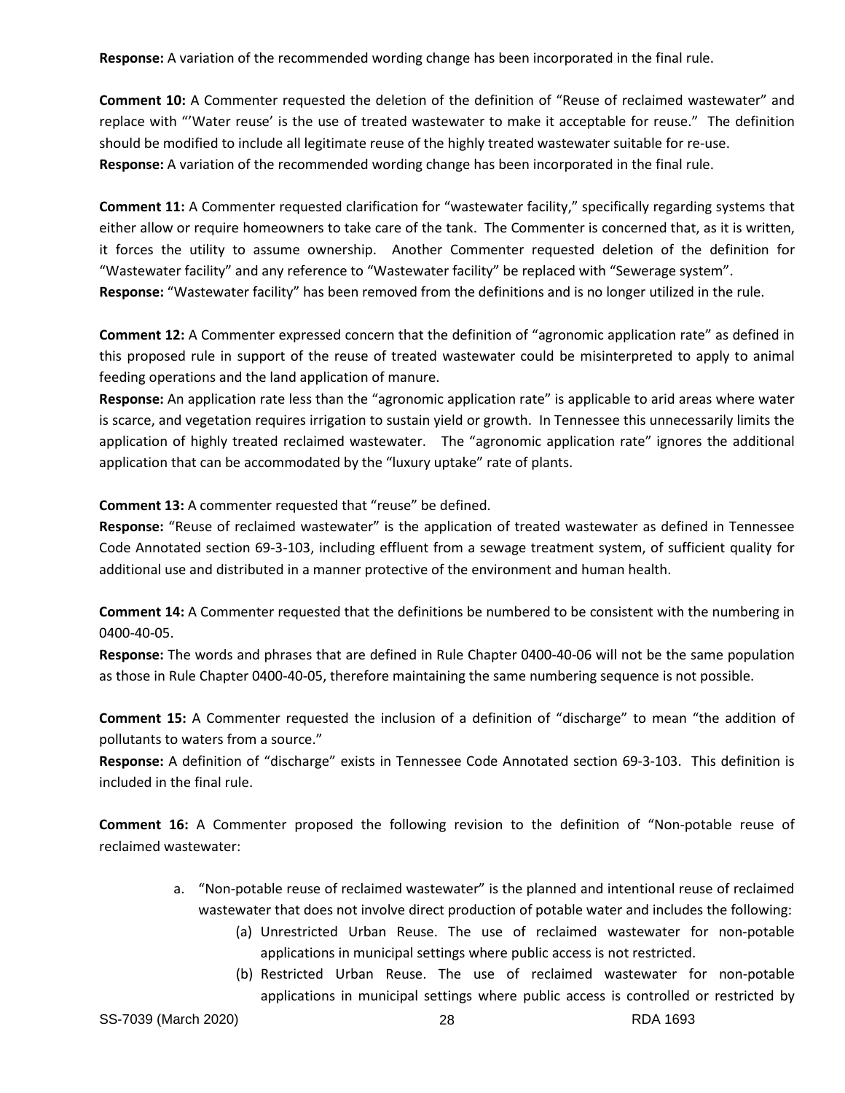**Response:** A variation of the recommended wording change has been incorporated in the final rule.

**Comment 10:** A Commenter requested the deletion of the definition of "Reuse of reclaimed wastewater" and replace with "'Water reuse' is the use of treated wastewater to make it acceptable for reuse." The definition should be modified to include all legitimate reuse of the highly treated wastewater suitable for re-use. **Response:** A variation of the recommended wording change has been incorporated in the final rule.

**Comment 11:** A Commenter requested clarification for "wastewater facility," specifically regarding systems that either allow or require homeowners to take care of the tank. The Commenter is concerned that, as it is written, it forces the utility to assume ownership. Another Commenter requested deletion of the definition for "Wastewater facility" and any reference to "Wastewater facility" be replaced with "Sewerage system". **Response:** "Wastewater facility" has been removed from the definitions and is no longer utilized in the rule.

**Comment 12:** A Commenter expressed concern that the definition of "agronomic application rate" as defined in this proposed rule in support of the reuse of treated wastewater could be misinterpreted to apply to animal feeding operations and the land application of manure.

**Response:** An application rate less than the "agronomic application rate" is applicable to arid areas where water is scarce, and vegetation requires irrigation to sustain yield or growth. In Tennessee this unnecessarily limits the application of highly treated reclaimed wastewater. The "agronomic application rate" ignores the additional application that can be accommodated by the "luxury uptake" rate of plants.

**Comment 13:** A commenter requested that "reuse" be defined.

**Response:** "Reuse of reclaimed wastewater" is the application of treated wastewater as defined in Tennessee Code Annotated section 69-3-103, including effluent from a sewage treatment system, of sufficient quality for additional use and distributed in a manner protective of the environment and human health.

**Comment 14:** A Commenter requested that the definitions be numbered to be consistent with the numbering in 0400-40-05.

**Response:** The words and phrases that are defined in Rule Chapter 0400-40-06 will not be the same population as those in Rule Chapter 0400-40-05, therefore maintaining the same numbering sequence is not possible.

**Comment 15:** A Commenter requested the inclusion of a definition of "discharge" to mean "the addition of pollutants to waters from a source."

**Response:** A definition of "discharge" exists in Tennessee Code Annotated section 69-3-103. This definition is included in the final rule.

**Comment 16:** A Commenter proposed the following revision to the definition of "Non-potable reuse of reclaimed wastewater:

- a. "Non-potable reuse of reclaimed wastewater" is the planned and intentional reuse of reclaimed wastewater that does not involve direct production of potable water and includes the following:
	- (a) Unrestricted Urban Reuse. The use of reclaimed wastewater for non-potable applications in municipal settings where public access is not restricted.
	- (b) Restricted Urban Reuse. The use of reclaimed wastewater for non-potable applications in municipal settings where public access is controlled or restricted by

SS-7039 (March 2020) 28 RDA 1693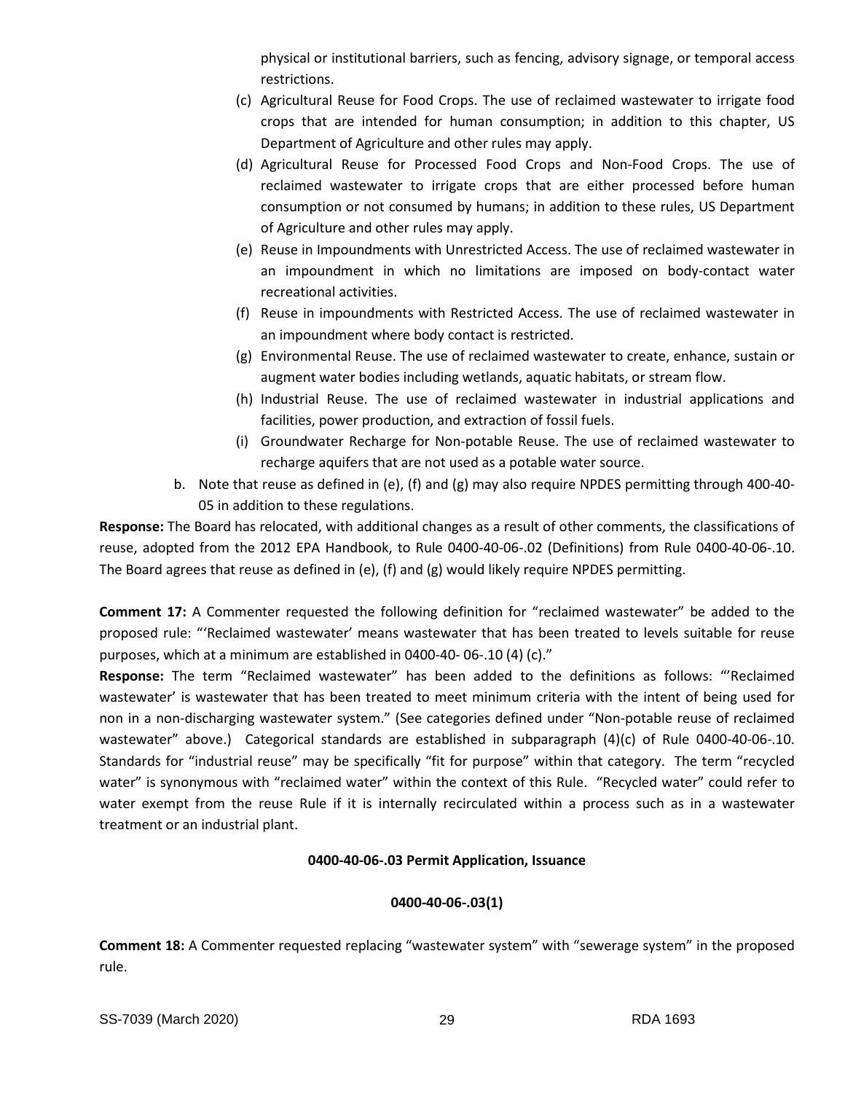physical or institutional barriers, such as fencing, advisory signage, or temporal access restrictions.

- (c) Agricultural Reuse for Food Crops. The use of reclaimed wastewater to irrigate food crops that are intended for human consumption; in addition to this chapter, US Department of Agriculture and other rules may apply.
- (d) Agricultural Reuse for Processed Food Crops and Non-Food Crops. The use of reclaimed wastewater to irrigate crops that are either processed before human consumption or not consumed by humans; in addition to these rules, US Department of Agriculture and other rules may apply.
- (e) Reuse in Impoundments with Unrestricted Access. The use of reclaimed wastewater in an impoundment in which no limitations are imposed on body-contact water recreational activities.
- (f) Reuse in impoundments with Restricted Access. The use of reclaimed wastewater in an impoundment where body contact is restricted.
- (g) Environmental Reuse. The use of reclaimed wastewater to create, enhance, sustain or augment water bodies including wetlands, aquatic habitats, or stream flow.
- (h) Industrial Reuse. The use of reclaimed wastewater in industrial applications and facilities, power production, and extraction of fossil fuels.
- (i) Groundwater Recharge for Non-potable Reuse. The use of reclaimed wastewater to recharge aquifers that are not used as a potable water source.
- b. Note that reuse as defined in (e), (f) and (g) may also require NPDES permitting through 400-40- 05 in addition to these regulations.

**Response:** The Board has relocated, with additional changes as a result of other comments, the classifications of reuse, adopted from the 2012 EPA Handbook, to Rule 0400-40-06-.02 (Definitions) from Rule 0400-40-06-.10. The Board agrees that reuse as defined in (e), (f) and (g) would likely require NPDES permitting.

**Comment 17:** A Commenter requested the following definition for "reclaimed wastewater" be added to the proposed rule: "'Reclaimed wastewater' means wastewater that has been treated to levels suitable for reuse purposes, which at a minimum are established in 0400-40- 06-.10 (4) (c)."

**Response:** The term "Reclaimed wastewater" has been added to the definitions as follows: "'Reclaimed wastewater' is wastewater that has been treated to meet minimum criteria with the intent of being used for non in a non-discharging wastewater system." (See categories defined under "Non-potable reuse of reclaimed wastewater" above.) Categorical standards are established in subparagraph (4)(c) of Rule 0400-40-06-.10. Standards for "industrial reuse" may be specifically "fit for purpose" within that category. The term "recycled water" is synonymous with "reclaimed water" within the context of this Rule. "Recycled water" could refer to water exempt from the reuse Rule if it is internally recirculated within a process such as in a wastewater treatment or an industrial plant.

# **0400-40-06-.03 Permit Application, Issuance**

# **0400-40-06-.03(1)**

**Comment 18:** A Commenter requested replacing "wastewater system" with "sewerage system" in the proposed rule.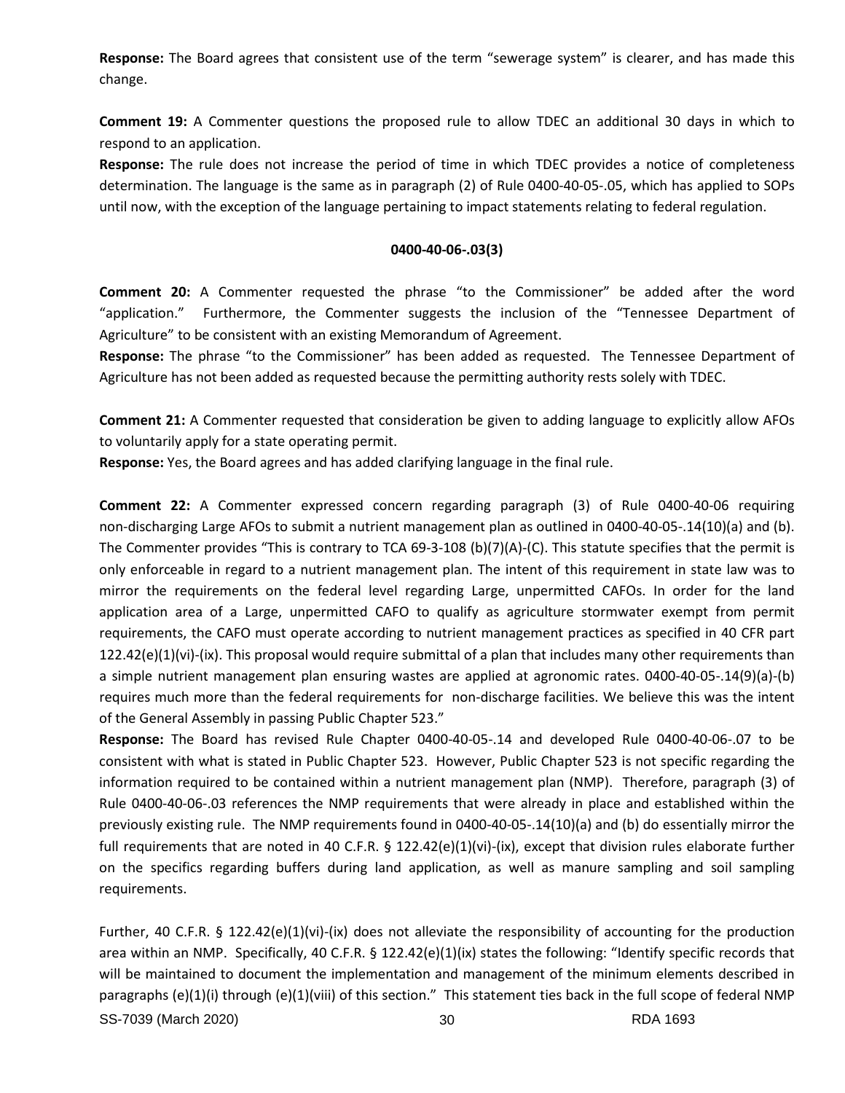**Response:** The Board agrees that consistent use of the term "sewerage system" is clearer, and has made this change.

**Comment 19:** A Commenter questions the proposed rule to allow TDEC an additional 30 days in which to respond to an application.

**Response:** The rule does not increase the period of time in which TDEC provides a notice of completeness determination. The language is the same as in paragraph (2) of Rule 0400-40-05-.05, which has applied to SOPs until now, with the exception of the language pertaining to impact statements relating to federal regulation.

## **0400-40-06-.03(3)**

**Comment 20:** A Commenter requested the phrase "to the Commissioner" be added after the word "application." Furthermore, the Commenter suggests the inclusion of the "Tennessee Department of Agriculture" to be consistent with an existing Memorandum of Agreement.

**Response:** The phrase "to the Commissioner" has been added as requested. The Tennessee Department of Agriculture has not been added as requested because the permitting authority rests solely with TDEC.

**Comment 21:** A Commenter requested that consideration be given to adding language to explicitly allow AFOs to voluntarily apply for a state operating permit.

**Response:** Yes, the Board agrees and has added clarifying language in the final rule.

**Comment 22:** A Commenter expressed concern regarding paragraph (3) of Rule 0400-40-06 requiring non-discharging Large AFOs to submit a nutrient management plan as outlined in 0400-40-05-.14(10)(a) and (b). The Commenter provides "This is contrary to TCA 69-3-108 (b)(7)(A)-(C). This statute specifies that the permit is only enforceable in regard to a nutrient management plan. The intent of this requirement in state law was to mirror the requirements on the federal level regarding Large, unpermitted CAFOs. In order for the land application area of a Large, unpermitted CAFO to qualify as agriculture stormwater exempt from permit requirements, the CAFO must operate according to nutrient management practices as specified in 40 CFR part  $122.42(e)(1)(vi)-(ix)$ . This proposal would require submittal of a plan that includes many other requirements than a simple nutrient management plan ensuring wastes are applied at agronomic rates. 0400-40-05-.14(9)(a)-(b) requires much more than the federal requirements for non-discharge facilities. We believe this was the intent of the General Assembly in passing Public Chapter 523."

**Response:** The Board has revised Rule Chapter 0400-40-05-.14 and developed Rule 0400-40-06-.07 to be consistent with what is stated in Public Chapter 523. However, Public Chapter 523 is not specific regarding the information required to be contained within a nutrient management plan (NMP). Therefore, paragraph (3) of Rule 0400-40-06-.03 references the NMP requirements that were already in place and established within the previously existing rule. The NMP requirements found in 0400-40-05-.14(10)(a) and (b) do essentially mirror the full requirements that are noted in 40 C.F.R. § 122.42(e)(1)(vi)-(ix), except that division rules elaborate further on the specifics regarding buffers during land application, as well as manure sampling and soil sampling requirements.

SS-7039 (March 2020) 30 RDA 1693 Further, 40 C.F.R. § 122.42(e)(1)(vi)-(ix) does not alleviate the responsibility of accounting for the production area within an NMP. Specifically, 40 C.F.R. § 122.42(e)(1)(ix) states the following: "Identify specific records that will be maintained to document the implementation and management of the minimum elements described in paragraphs (e)(1)(i) through (e)(1)(viii) of this section." This statement ties back in the full scope of federal NMP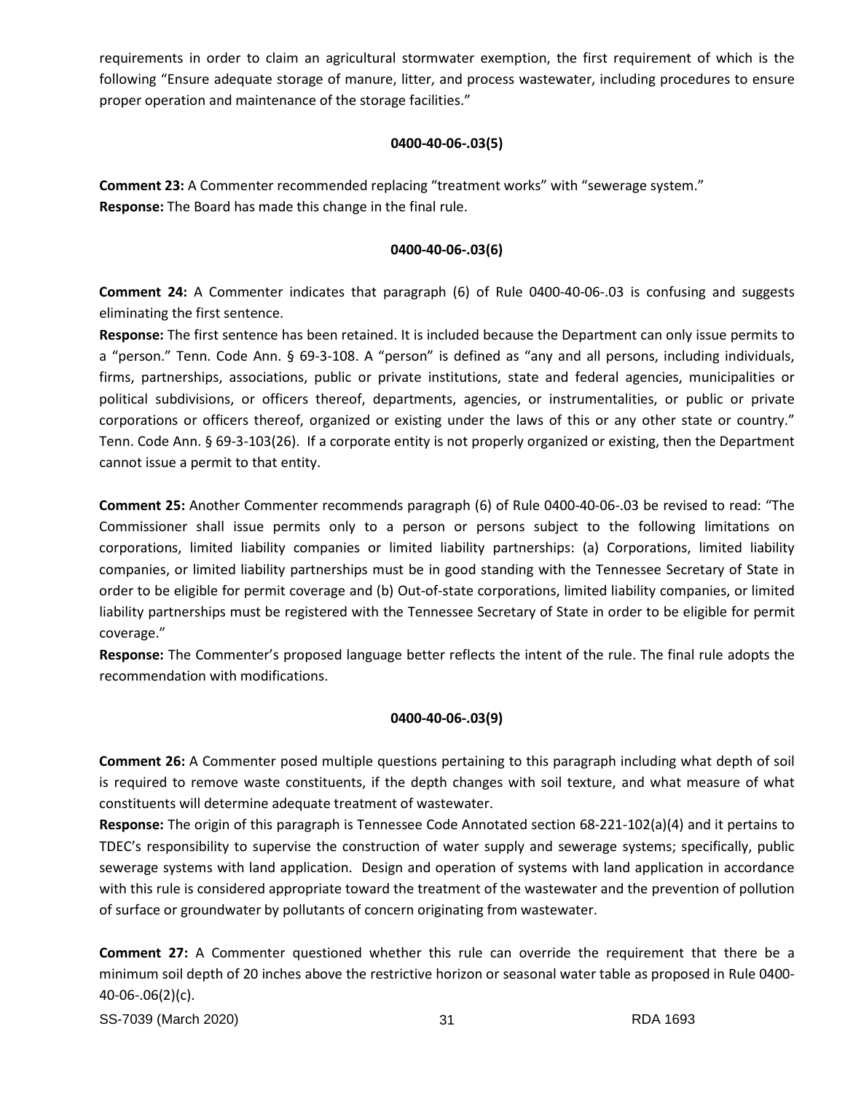requirements in order to claim an agricultural stormwater exemption, the first requirement of which is the following "Ensure adequate storage of manure, litter, and process wastewater, including procedures to ensure proper operation and maintenance of the storage facilities."

## **0400-40-06-.03(5)**

**Comment 23:** A Commenter recommended replacing "treatment works" with "sewerage system." **Response:** The Board has made this change in the final rule.

# **0400-40-06-.03(6)**

**Comment 24:** A Commenter indicates that paragraph (6) of Rule 0400-40-06-.03 is confusing and suggests eliminating the first sentence.

**Response:** The first sentence has been retained. It is included because the Department can only issue permits to a "person." Tenn. Code Ann. § 69-3-108. A "person" is defined as "any and all persons, including individuals, firms, partnerships, associations, public or private institutions, state and federal agencies, municipalities or political subdivisions, or officers thereof, departments, agencies, or instrumentalities, or public or private corporations or officers thereof, organized or existing under the laws of this or any other state or country." Tenn. Code Ann. § 69-3-103(26). If a corporate entity is not properly organized or existing, then the Department cannot issue a permit to that entity.

**Comment 25:** Another Commenter recommends paragraph (6) of Rule 0400-40-06-.03 be revised to read: "The Commissioner shall issue permits only to a person or persons subject to the following limitations on corporations, limited liability companies or limited liability partnerships: (a) Corporations, limited liability companies, or limited liability partnerships must be in good standing with the Tennessee Secretary of State in order to be eligible for permit coverage and (b) Out-of-state corporations, limited liability companies, or limited liability partnerships must be registered with the Tennessee Secretary of State in order to be eligible for permit coverage."

**Response:** The Commenter's proposed language better reflects the intent of the rule. The final rule adopts the recommendation with modifications.

# **0400-40-06-.03(9)**

**Comment 26:** A Commenter posed multiple questions pertaining to this paragraph including what depth of soil is required to remove waste constituents, if the depth changes with soil texture, and what measure of what constituents will determine adequate treatment of wastewater.

**Response:** The origin of this paragraph is Tennessee Code Annotated section 68-221-102(a)(4) and it pertains to TDEC's responsibility to supervise the construction of water supply and sewerage systems; specifically, public sewerage systems with land application. Design and operation of systems with land application in accordance with this rule is considered appropriate toward the treatment of the wastewater and the prevention of pollution of surface or groundwater by pollutants of concern originating from wastewater.

**Comment 27:** A Commenter questioned whether this rule can override the requirement that there be a minimum soil depth of 20 inches above the restrictive horizon or seasonal water table as proposed in Rule 0400- 40-06-.06(2)(c).

SS-7039 (March 2020) 31 RDA 1693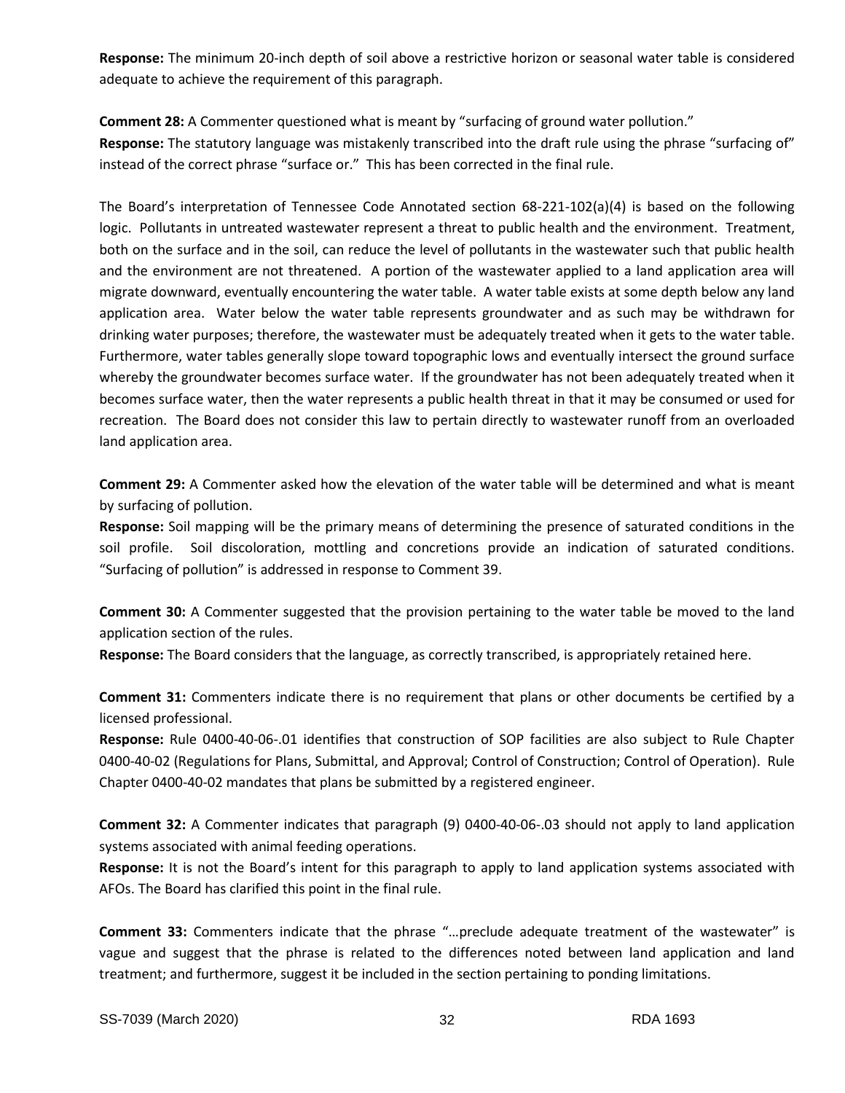**Response:** The minimum 20-inch depth of soil above a restrictive horizon or seasonal water table is considered adequate to achieve the requirement of this paragraph.

**Comment 28:** A Commenter questioned what is meant by "surfacing of ground water pollution." **Response:** The statutory language was mistakenly transcribed into the draft rule using the phrase "surfacing of" instead of the correct phrase "surface or." This has been corrected in the final rule.

The Board's interpretation of Tennessee Code Annotated section 68-221-102(a)(4) is based on the following logic. Pollutants in untreated wastewater represent a threat to public health and the environment. Treatment, both on the surface and in the soil, can reduce the level of pollutants in the wastewater such that public health and the environment are not threatened. A portion of the wastewater applied to a land application area will migrate downward, eventually encountering the water table. A water table exists at some depth below any land application area. Water below the water table represents groundwater and as such may be withdrawn for drinking water purposes; therefore, the wastewater must be adequately treated when it gets to the water table. Furthermore, water tables generally slope toward topographic lows and eventually intersect the ground surface whereby the groundwater becomes surface water. If the groundwater has not been adequately treated when it becomes surface water, then the water represents a public health threat in that it may be consumed or used for recreation. The Board does not consider this law to pertain directly to wastewater runoff from an overloaded land application area.

**Comment 29:** A Commenter asked how the elevation of the water table will be determined and what is meant by surfacing of pollution.

**Response:** Soil mapping will be the primary means of determining the presence of saturated conditions in the soil profile. Soil discoloration, mottling and concretions provide an indication of saturated conditions. "Surfacing of pollution" is addressed in response to Comment 39.

**Comment 30:** A Commenter suggested that the provision pertaining to the water table be moved to the land application section of the rules.

**Response:** The Board considers that the language, as correctly transcribed, is appropriately retained here.

**Comment 31:** Commenters indicate there is no requirement that plans or other documents be certified by a licensed professional.

**Response:** Rule 0400-40-06-.01 identifies that construction of SOP facilities are also subject to Rule Chapter 0400-40-02 (Regulations for Plans, Submittal, and Approval; Control of Construction; Control of Operation). Rule Chapter 0400-40-02 mandates that plans be submitted by a registered engineer.

**Comment 32:** A Commenter indicates that paragraph (9) 0400-40-06-.03 should not apply to land application systems associated with animal feeding operations.

**Response:** It is not the Board's intent for this paragraph to apply to land application systems associated with AFOs. The Board has clarified this point in the final rule.

**Comment 33:** Commenters indicate that the phrase "…preclude adequate treatment of the wastewater" is vague and suggest that the phrase is related to the differences noted between land application and land treatment; and furthermore, suggest it be included in the section pertaining to ponding limitations.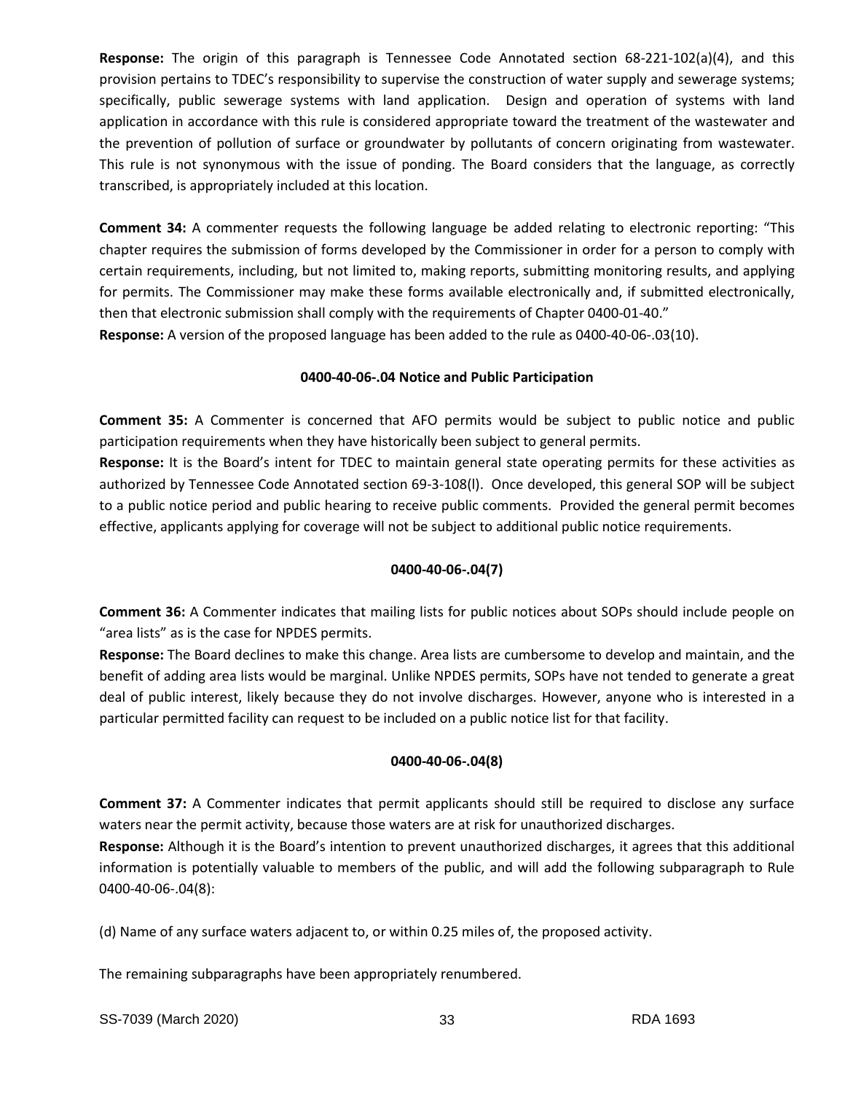**Response:** The origin of this paragraph is Tennessee Code Annotated section 68-221-102(a)(4), and this provision pertains to TDEC's responsibility to supervise the construction of water supply and sewerage systems; specifically, public sewerage systems with land application. Design and operation of systems with land application in accordance with this rule is considered appropriate toward the treatment of the wastewater and the prevention of pollution of surface or groundwater by pollutants of concern originating from wastewater. This rule is not synonymous with the issue of ponding. The Board considers that the language, as correctly transcribed, is appropriately included at this location.

**Comment 34:** A commenter requests the following language be added relating to electronic reporting: "This chapter requires the submission of forms developed by the Commissioner in order for a person to comply with certain requirements, including, but not limited to, making reports, submitting monitoring results, and applying for permits. The Commissioner may make these forms available electronically and, if submitted electronically, then that electronic submission shall comply with the requirements of Chapter 0400-01-40."

**Response:** A version of the proposed language has been added to the rule as 0400-40-06-.03(10).

# **0400-40-06-.04 Notice and Public Participation**

**Comment 35:** A Commenter is concerned that AFO permits would be subject to public notice and public participation requirements when they have historically been subject to general permits.

**Response:** It is the Board's intent for TDEC to maintain general state operating permits for these activities as authorized by Tennessee Code Annotated section 69-3-108(l). Once developed, this general SOP will be subject to a public notice period and public hearing to receive public comments. Provided the general permit becomes effective, applicants applying for coverage will not be subject to additional public notice requirements.

# **0400-40-06-.04(7)**

**Comment 36:** A Commenter indicates that mailing lists for public notices about SOPs should include people on "area lists" as is the case for NPDES permits.

**Response:** The Board declines to make this change. Area lists are cumbersome to develop and maintain, and the benefit of adding area lists would be marginal. Unlike NPDES permits, SOPs have not tended to generate a great deal of public interest, likely because they do not involve discharges. However, anyone who is interested in a particular permitted facility can request to be included on a public notice list for that facility.

# **0400-40-06-.04(8)**

**Comment 37:** A Commenter indicates that permit applicants should still be required to disclose any surface waters near the permit activity, because those waters are at risk for unauthorized discharges.

**Response:** Although it is the Board's intention to prevent unauthorized discharges, it agrees that this additional information is potentially valuable to members of the public, and will add the following subparagraph to Rule 0400-40-06-.04(8):

(d) Name of any surface waters adjacent to, or within 0.25 miles of, the proposed activity.

The remaining subparagraphs have been appropriately renumbered.

SS-7039 (March 2020) 33 RDA 1693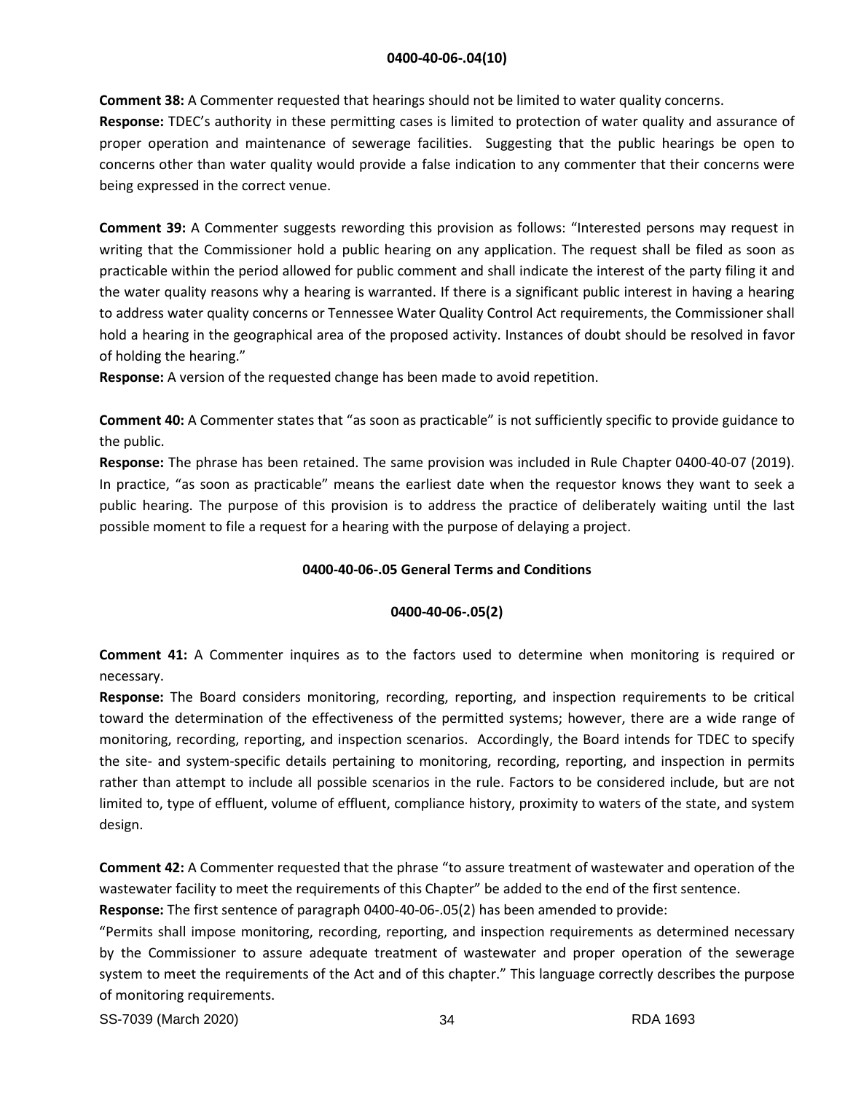**Comment 38:** A Commenter requested that hearings should not be limited to water quality concerns.

**Response:** TDEC's authority in these permitting cases is limited to protection of water quality and assurance of proper operation and maintenance of sewerage facilities. Suggesting that the public hearings be open to concerns other than water quality would provide a false indication to any commenter that their concerns were being expressed in the correct venue.

**Comment 39:** A Commenter suggests rewording this provision as follows: "Interested persons may request in writing that the Commissioner hold a public hearing on any application. The request shall be filed as soon as practicable within the period allowed for public comment and shall indicate the interest of the party filing it and the water quality reasons why a hearing is warranted. If there is a significant public interest in having a hearing to address water quality concerns or Tennessee Water Quality Control Act requirements, the Commissioner shall hold a hearing in the geographical area of the proposed activity. Instances of doubt should be resolved in favor of holding the hearing."

**Response:** A version of the requested change has been made to avoid repetition.

**Comment 40:** A Commenter states that "as soon as practicable" is not sufficiently specific to provide guidance to the public.

**Response:** The phrase has been retained. The same provision was included in Rule Chapter 0400-40-07 (2019). In practice, "as soon as practicable" means the earliest date when the requestor knows they want to seek a public hearing. The purpose of this provision is to address the practice of deliberately waiting until the last possible moment to file a request for a hearing with the purpose of delaying a project.

# **0400-40-06-.05 General Terms and Conditions**

# **0400-40-06-.05(2)**

**Comment 41:** A Commenter inquires as to the factors used to determine when monitoring is required or necessary.

**Response:** The Board considers monitoring, recording, reporting, and inspection requirements to be critical toward the determination of the effectiveness of the permitted systems; however, there are a wide range of monitoring, recording, reporting, and inspection scenarios. Accordingly, the Board intends for TDEC to specify the site- and system-specific details pertaining to monitoring, recording, reporting, and inspection in permits rather than attempt to include all possible scenarios in the rule. Factors to be considered include, but are not limited to, type of effluent, volume of effluent, compliance history, proximity to waters of the state, and system design.

**Comment 42:** A Commenter requested that the phrase "to assure treatment of wastewater and operation of the wastewater facility to meet the requirements of this Chapter" be added to the end of the first sentence.

**Response:** The first sentence of paragraph 0400-40-06-.05(2) has been amended to provide:

"Permits shall impose monitoring, recording, reporting, and inspection requirements as determined necessary by the Commissioner to assure adequate treatment of wastewater and proper operation of the sewerage system to meet the requirements of the Act and of this chapter." This language correctly describes the purpose of monitoring requirements.

SS-7039 (March 2020) 34 RDA 1693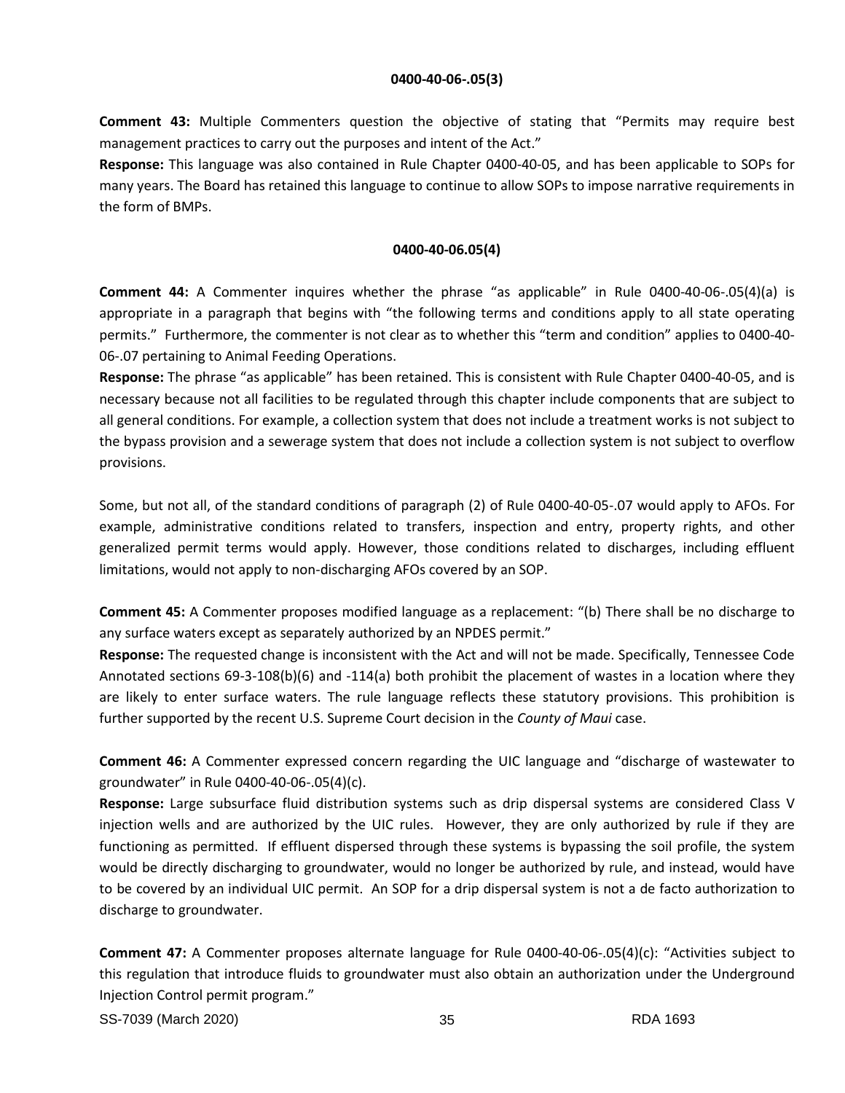## **0400-40-06-.05(3)**

**Comment 43:** Multiple Commenters question the objective of stating that "Permits may require best management practices to carry out the purposes and intent of the Act."

**Response:** This language was also contained in Rule Chapter 0400-40-05, and has been applicable to SOPs for many years. The Board has retained this language to continue to allow SOPs to impose narrative requirements in the form of BMPs.

## **0400-40-06.05(4)**

**Comment 44:** A Commenter inquires whether the phrase "as applicable" in Rule 0400-40-06-.05(4)(a) is appropriate in a paragraph that begins with "the following terms and conditions apply to all state operating permits." Furthermore, the commenter is not clear as to whether this "term and condition" applies to 0400-40- 06-.07 pertaining to Animal Feeding Operations.

**Response:** The phrase "as applicable" has been retained. This is consistent with Rule Chapter 0400-40-05, and is necessary because not all facilities to be regulated through this chapter include components that are subject to all general conditions. For example, a collection system that does not include a treatment works is not subject to the bypass provision and a sewerage system that does not include a collection system is not subject to overflow provisions.

Some, but not all, of the standard conditions of paragraph (2) of Rule 0400-40-05-.07 would apply to AFOs. For example, administrative conditions related to transfers, inspection and entry, property rights, and other generalized permit terms would apply. However, those conditions related to discharges, including effluent limitations, would not apply to non-discharging AFOs covered by an SOP.

**Comment 45:** A Commenter proposes modified language as a replacement: "(b) There shall be no discharge to any surface waters except as separately authorized by an NPDES permit."

**Response:** The requested change is inconsistent with the Act and will not be made. Specifically, Tennessee Code Annotated sections 69-3-108(b)(6) and -114(a) both prohibit the placement of wastes in a location where they are likely to enter surface waters. The rule language reflects these statutory provisions. This prohibition is further supported by the recent U.S. Supreme Court decision in the *County of Maui* case.

**Comment 46:** A Commenter expressed concern regarding the UIC language and "discharge of wastewater to groundwater" in Rule 0400-40-06-.05(4)(c).

**Response:** Large subsurface fluid distribution systems such as drip dispersal systems are considered Class V injection wells and are authorized by the UIC rules. However, they are only authorized by rule if they are functioning as permitted. If effluent dispersed through these systems is bypassing the soil profile, the system would be directly discharging to groundwater, would no longer be authorized by rule, and instead, would have to be covered by an individual UIC permit. An SOP for a drip dispersal system is not a de facto authorization to discharge to groundwater.

**Comment 47:** A Commenter proposes alternate language for Rule 0400-40-06-.05(4)(c): "Activities subject to this regulation that introduce fluids to groundwater must also obtain an authorization under the Underground Injection Control permit program."

SS-7039 (March 2020) 35 RDA 1693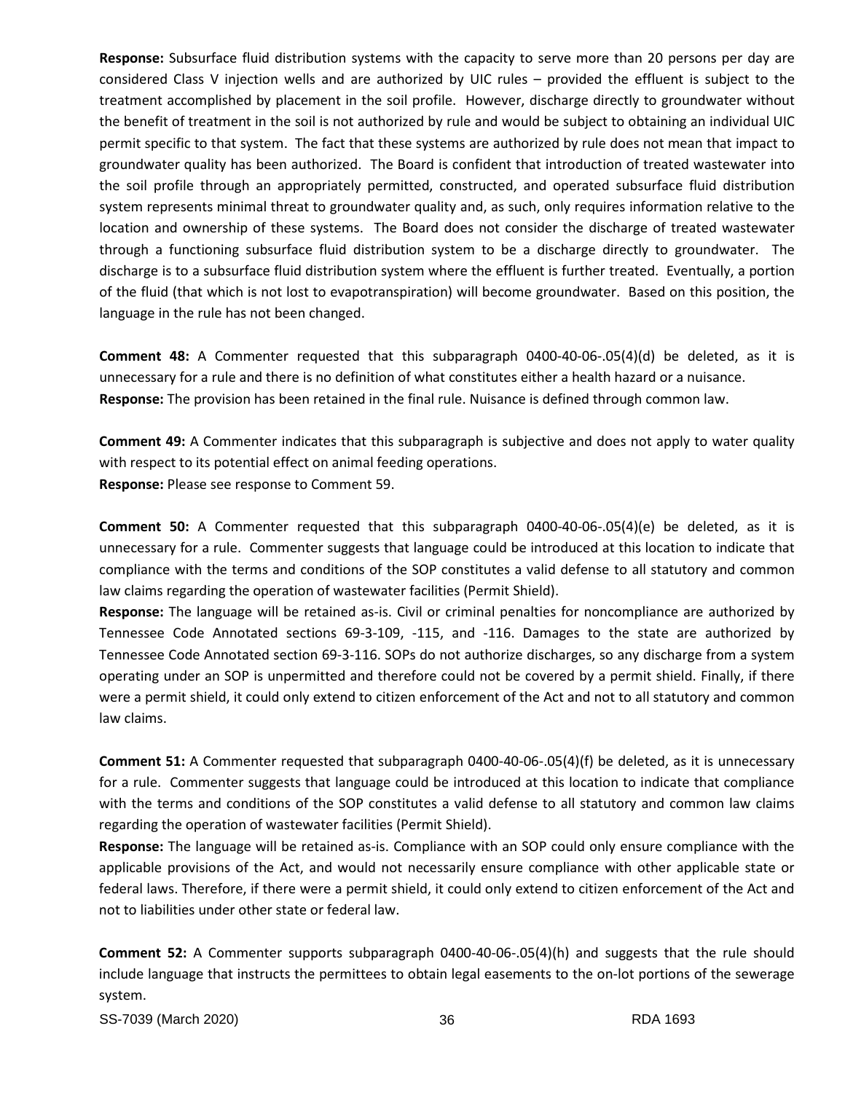**Response:** Subsurface fluid distribution systems with the capacity to serve more than 20 persons per day are considered Class V injection wells and are authorized by UIC rules – provided the effluent is subject to the treatment accomplished by placement in the soil profile. However, discharge directly to groundwater without the benefit of treatment in the soil is not authorized by rule and would be subject to obtaining an individual UIC permit specific to that system. The fact that these systems are authorized by rule does not mean that impact to groundwater quality has been authorized. The Board is confident that introduction of treated wastewater into the soil profile through an appropriately permitted, constructed, and operated subsurface fluid distribution system represents minimal threat to groundwater quality and, as such, only requires information relative to the location and ownership of these systems. The Board does not consider the discharge of treated wastewater through a functioning subsurface fluid distribution system to be a discharge directly to groundwater. The discharge is to a subsurface fluid distribution system where the effluent is further treated. Eventually, a portion of the fluid (that which is not lost to evapotranspiration) will become groundwater. Based on this position, the language in the rule has not been changed.

**Comment 48:** A Commenter requested that this subparagraph 0400-40-06-.05(4)(d) be deleted, as it is unnecessary for a rule and there is no definition of what constitutes either a health hazard or a nuisance. **Response:** The provision has been retained in the final rule. Nuisance is defined through common law.

**Comment 49:** A Commenter indicates that this subparagraph is subjective and does not apply to water quality with respect to its potential effect on animal feeding operations. **Response:** Please see response to Comment 59.

**Comment 50:** A Commenter requested that this subparagraph 0400-40-06-.05(4)(e) be deleted, as it is unnecessary for a rule. Commenter suggests that language could be introduced at this location to indicate that compliance with the terms and conditions of the SOP constitutes a valid defense to all statutory and common law claims regarding the operation of wastewater facilities (Permit Shield).

**Response:** The language will be retained as-is. Civil or criminal penalties for noncompliance are authorized by Tennessee Code Annotated sections 69-3-109, -115, and -116. Damages to the state are authorized by Tennessee Code Annotated section 69-3-116. SOPs do not authorize discharges, so any discharge from a system operating under an SOP is unpermitted and therefore could not be covered by a permit shield. Finally, if there were a permit shield, it could only extend to citizen enforcement of the Act and not to all statutory and common law claims.

**Comment 51:** A Commenter requested that subparagraph 0400-40-06-.05(4)(f) be deleted, as it is unnecessary for a rule. Commenter suggests that language could be introduced at this location to indicate that compliance with the terms and conditions of the SOP constitutes a valid defense to all statutory and common law claims regarding the operation of wastewater facilities (Permit Shield).

**Response:** The language will be retained as-is. Compliance with an SOP could only ensure compliance with the applicable provisions of the Act, and would not necessarily ensure compliance with other applicable state or federal laws. Therefore, if there were a permit shield, it could only extend to citizen enforcement of the Act and not to liabilities under other state or federal law.

**Comment 52:** A Commenter supports subparagraph 0400-40-06-.05(4)(h) and suggests that the rule should include language that instructs the permittees to obtain legal easements to the on-lot portions of the sewerage system.

SS-7039 (March 2020) 36 RDA 1693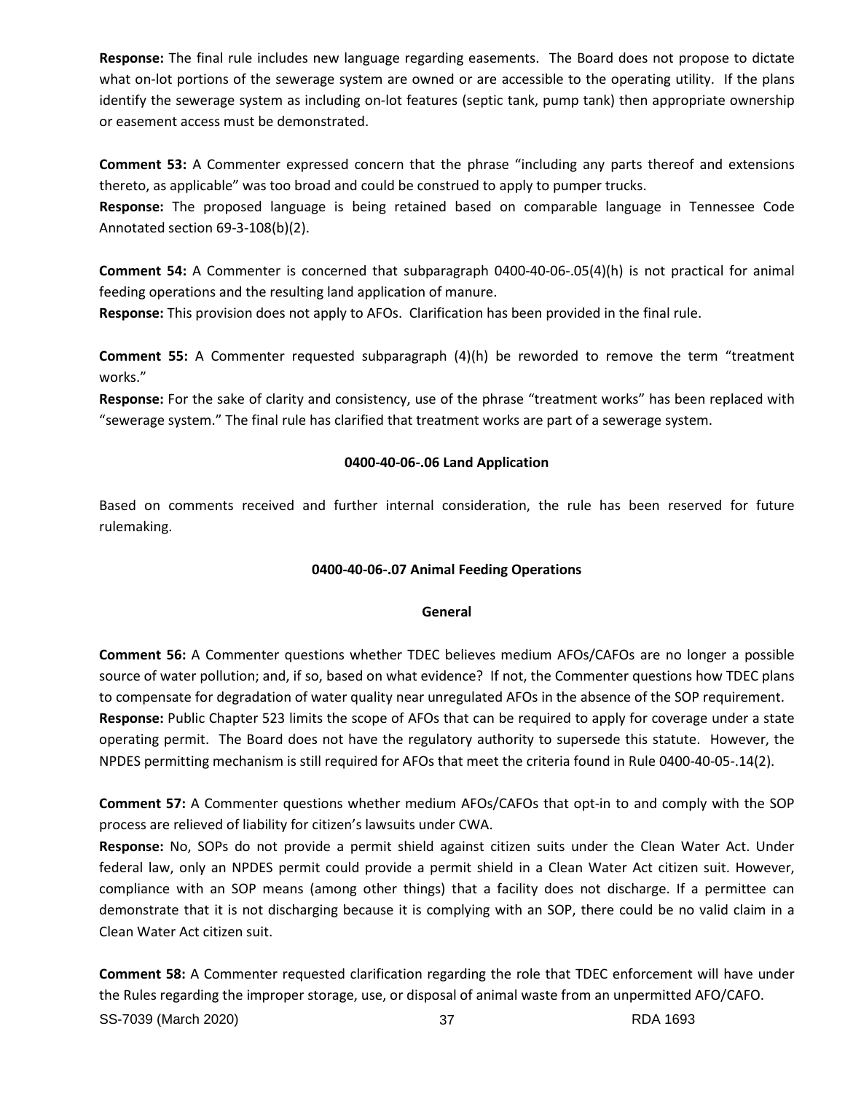**Response:** The final rule includes new language regarding easements. The Board does not propose to dictate what on-lot portions of the sewerage system are owned or are accessible to the operating utility. If the plans identify the sewerage system as including on-lot features (septic tank, pump tank) then appropriate ownership or easement access must be demonstrated.

**Comment 53:** A Commenter expressed concern that the phrase "including any parts thereof and extensions thereto, as applicable" was too broad and could be construed to apply to pumper trucks.

**Response:** The proposed language is being retained based on comparable language in Tennessee Code Annotated section 69-3-108(b)(2).

**Comment 54:** A Commenter is concerned that subparagraph 0400-40-06-.05(4)(h) is not practical for animal feeding operations and the resulting land application of manure.

**Response:** This provision does not apply to AFOs. Clarification has been provided in the final rule.

**Comment 55:** A Commenter requested subparagraph (4)(h) be reworded to remove the term "treatment works."

**Response:** For the sake of clarity and consistency, use of the phrase "treatment works" has been replaced with "sewerage system." The final rule has clarified that treatment works are part of a sewerage system.

# **0400-40-06-.06 Land Application**

Based on comments received and further internal consideration, the rule has been reserved for future rulemaking.

# **0400-40-06-.07 Animal Feeding Operations**

# **General**

**Comment 56:** A Commenter questions whether TDEC believes medium AFOs/CAFOs are no longer a possible source of water pollution; and, if so, based on what evidence? If not, the Commenter questions how TDEC plans to compensate for degradation of water quality near unregulated AFOs in the absence of the SOP requirement. **Response:** Public Chapter 523 limits the scope of AFOs that can be required to apply for coverage under a state operating permit. The Board does not have the regulatory authority to supersede this statute. However, the NPDES permitting mechanism is still required for AFOs that meet the criteria found in Rule 0400-40-05-.14(2).

**Comment 57:** A Commenter questions whether medium AFOs/CAFOs that opt-in to and comply with the SOP process are relieved of liability for citizen's lawsuits under CWA.

**Response:** No, SOPs do not provide a permit shield against citizen suits under the Clean Water Act. Under federal law, only an NPDES permit could provide a permit shield in a Clean Water Act citizen suit. However, compliance with an SOP means (among other things) that a facility does not discharge. If a permittee can demonstrate that it is not discharging because it is complying with an SOP, there could be no valid claim in a Clean Water Act citizen suit.

SS-7039 (March 2020) 37 RDA 1693 **Comment 58:** A Commenter requested clarification regarding the role that TDEC enforcement will have under the Rules regarding the improper storage, use, or disposal of animal waste from an unpermitted AFO/CAFO.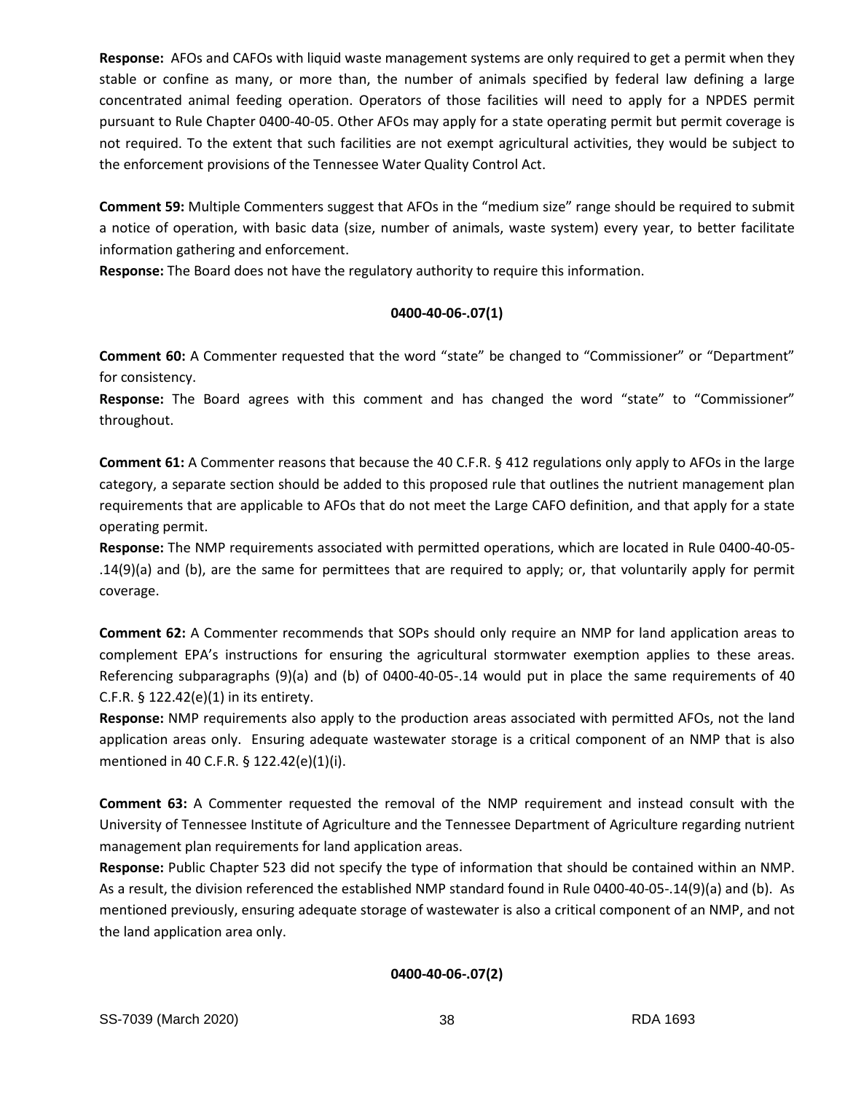**Response:** AFOs and CAFOs with liquid waste management systems are only required to get a permit when they stable or confine as many, or more than, the number of animals specified by federal law defining a large concentrated animal feeding operation. Operators of those facilities will need to apply for a NPDES permit pursuant to Rule Chapter 0400-40-05. Other AFOs may apply for a state operating permit but permit coverage is not required. To the extent that such facilities are not exempt agricultural activities, they would be subject to the enforcement provisions of the Tennessee Water Quality Control Act.

**Comment 59:** Multiple Commenters suggest that AFOs in the "medium size" range should be required to submit a notice of operation, with basic data (size, number of animals, waste system) every year, to better facilitate information gathering and enforcement.

**Response:** The Board does not have the regulatory authority to require this information.

# **0400-40-06-.07(1)**

**Comment 60:** A Commenter requested that the word "state" be changed to "Commissioner" or "Department" for consistency.

**Response:** The Board agrees with this comment and has changed the word "state" to "Commissioner" throughout.

**Comment 61:** A Commenter reasons that because the 40 C.F.R. § 412 regulations only apply to AFOs in the large category, a separate section should be added to this proposed rule that outlines the nutrient management plan requirements that are applicable to AFOs that do not meet the Large CAFO definition, and that apply for a state operating permit.

**Response:** The NMP requirements associated with permitted operations, which are located in Rule 0400-40-05- .14(9)(a) and (b), are the same for permittees that are required to apply; or, that voluntarily apply for permit coverage.

**Comment 62:** A Commenter recommends that SOPs should only require an NMP for land application areas to complement EPA's instructions for ensuring the agricultural stormwater exemption applies to these areas. Referencing subparagraphs (9)(a) and (b) of 0400-40-05-.14 would put in place the same requirements of 40 C.F.R. § 122.42(e)(1) in its entirety.

**Response:** NMP requirements also apply to the production areas associated with permitted AFOs, not the land application areas only. Ensuring adequate wastewater storage is a critical component of an NMP that is also mentioned in 40 C.F.R. § 122.42(e)(1)(i).

**Comment 63:** A Commenter requested the removal of the NMP requirement and instead consult with the University of Tennessee Institute of Agriculture and the Tennessee Department of Agriculture regarding nutrient management plan requirements for land application areas.

**Response:** Public Chapter 523 did not specify the type of information that should be contained within an NMP. As a result, the division referenced the established NMP standard found in Rule 0400-40-05-.14(9)(a) and (b). As mentioned previously, ensuring adequate storage of wastewater is also a critical component of an NMP, and not the land application area only.

**0400-40-06-.07(2)**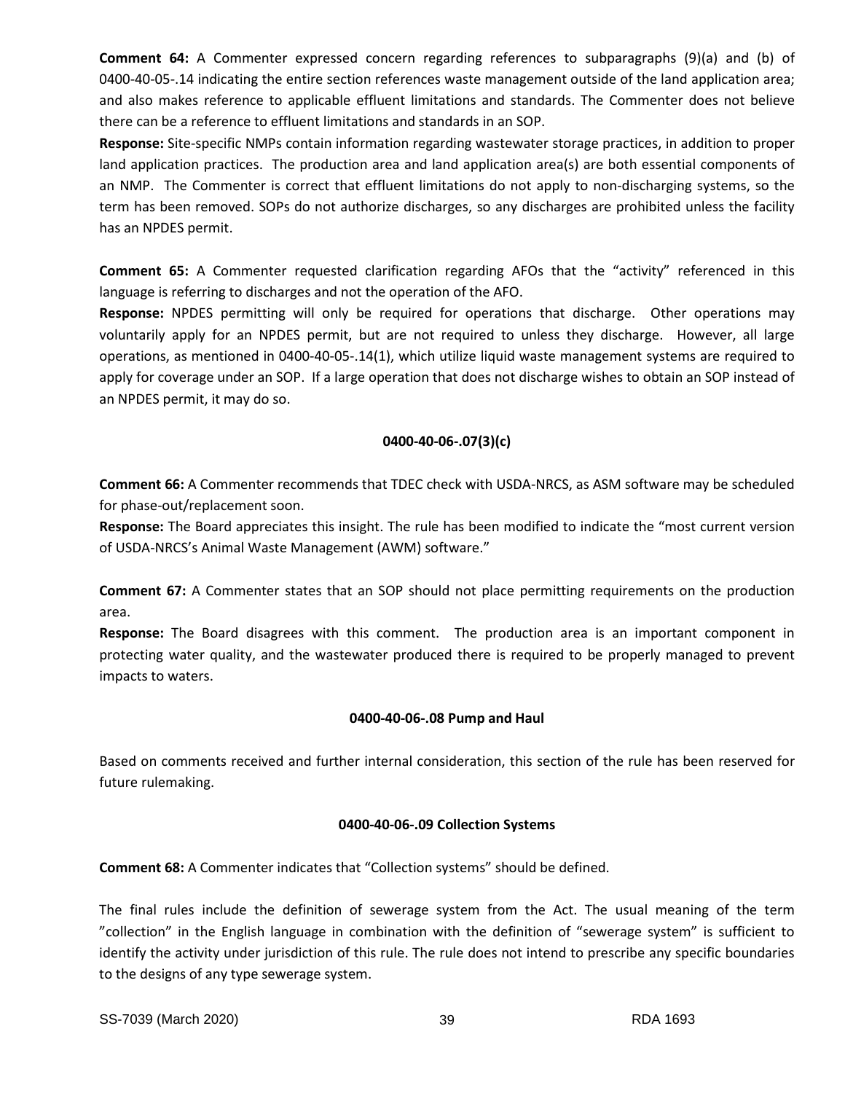**Comment 64:** A Commenter expressed concern regarding references to subparagraphs (9)(a) and (b) of 0400-40-05-.14 indicating the entire section references waste management outside of the land application area; and also makes reference to applicable effluent limitations and standards. The Commenter does not believe there can be a reference to effluent limitations and standards in an SOP.

**Response:** Site-specific NMPs contain information regarding wastewater storage practices, in addition to proper land application practices. The production area and land application area(s) are both essential components of an NMP. The Commenter is correct that effluent limitations do not apply to non-discharging systems, so the term has been removed. SOPs do not authorize discharges, so any discharges are prohibited unless the facility has an NPDES permit.

**Comment 65:** A Commenter requested clarification regarding AFOs that the "activity" referenced in this language is referring to discharges and not the operation of the AFO.

**Response:** NPDES permitting will only be required for operations that discharge. Other operations may voluntarily apply for an NPDES permit, but are not required to unless they discharge. However, all large operations, as mentioned in 0400-40-05-.14(1), which utilize liquid waste management systems are required to apply for coverage under an SOP. If a large operation that does not discharge wishes to obtain an SOP instead of an NPDES permit, it may do so.

# **0400-40-06-.07(3)(c)**

**Comment 66:** A Commenter recommends that TDEC check with USDA-NRCS, as ASM software may be scheduled for phase-out/replacement soon.

**Response:** The Board appreciates this insight. The rule has been modified to indicate the "most current version of USDA-NRCS's Animal Waste Management (AWM) software."

**Comment 67:** A Commenter states that an SOP should not place permitting requirements on the production area.

**Response:** The Board disagrees with this comment. The production area is an important component in protecting water quality, and the wastewater produced there is required to be properly managed to prevent impacts to waters.

# **0400-40-06-.08 Pump and Haul**

Based on comments received and further internal consideration, this section of the rule has been reserved for future rulemaking.

# **0400-40-06-.09 Collection Systems**

**Comment 68:** A Commenter indicates that "Collection systems" should be defined.

The final rules include the definition of sewerage system from the Act. The usual meaning of the term "collection" in the English language in combination with the definition of "sewerage system" is sufficient to identify the activity under jurisdiction of this rule. The rule does not intend to prescribe any specific boundaries to the designs of any type sewerage system.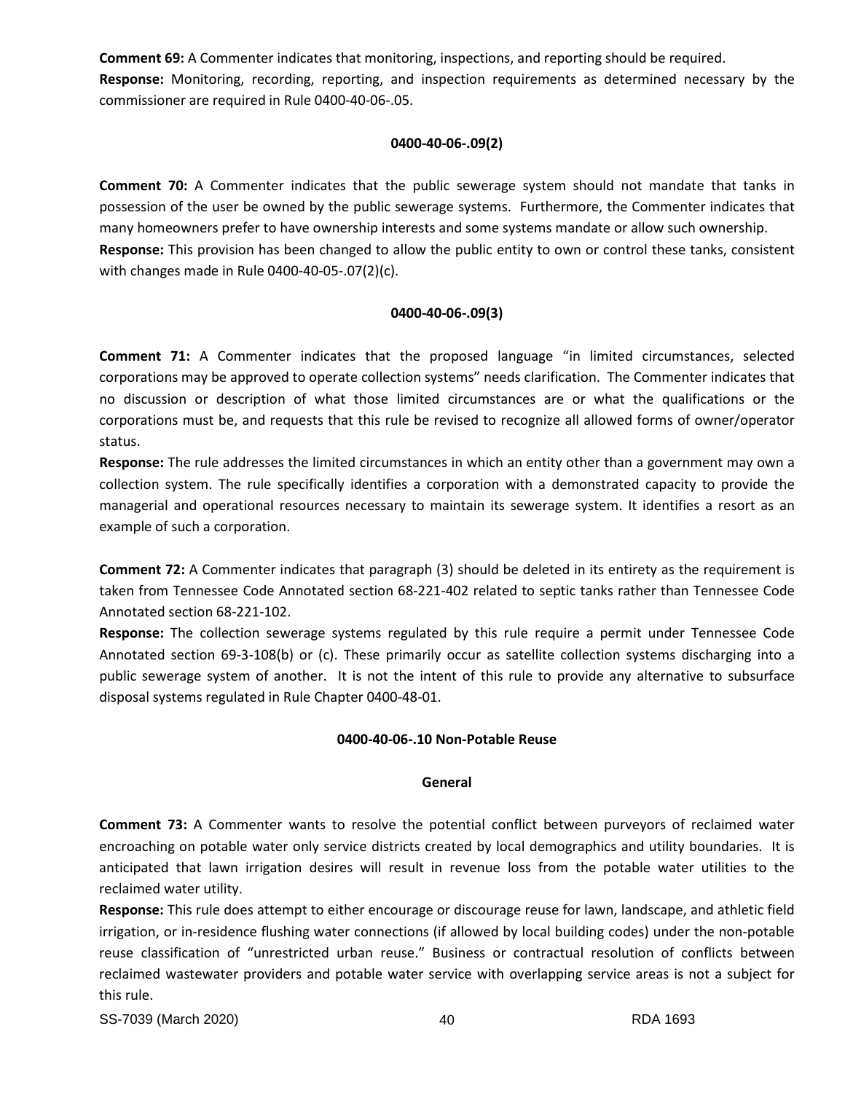**Comment 69:** A Commenter indicates that monitoring, inspections, and reporting should be required. **Response:** Monitoring, recording, reporting, and inspection requirements as determined necessary by the commissioner are required in Rule 0400-40-06-.05.

## **0400-40-06-.09(2)**

**Comment 70:** A Commenter indicates that the public sewerage system should not mandate that tanks in possession of the user be owned by the public sewerage systems. Furthermore, the Commenter indicates that many homeowners prefer to have ownership interests and some systems mandate or allow such ownership. **Response:** This provision has been changed to allow the public entity to own or control these tanks, consistent with changes made in Rule 0400-40-05-.07(2)(c).

# **0400-40-06-.09(3)**

**Comment 71:** A Commenter indicates that the proposed language "in limited circumstances, selected corporations may be approved to operate collection systems" needs clarification. The Commenter indicates that no discussion or description of what those limited circumstances are or what the qualifications or the corporations must be, and requests that this rule be revised to recognize all allowed forms of owner/operator status.

**Response:** The rule addresses the limited circumstances in which an entity other than a government may own a collection system. The rule specifically identifies a corporation with a demonstrated capacity to provide the managerial and operational resources necessary to maintain its sewerage system. It identifies a resort as an example of such a corporation.

**Comment 72:** A Commenter indicates that paragraph (3) should be deleted in its entirety as the requirement is taken from Tennessee Code Annotated section 68-221-402 related to septic tanks rather than Tennessee Code Annotated section 68-221-102.

**Response:** The collection sewerage systems regulated by this rule require a permit under Tennessee Code Annotated section 69-3-108(b) or (c). These primarily occur as satellite collection systems discharging into a public sewerage system of another. It is not the intent of this rule to provide any alternative to subsurface disposal systems regulated in Rule Chapter 0400-48-01.

# **0400-40-06-.10 Non-Potable Reuse**

# **General**

**Comment 73:** A Commenter wants to resolve the potential conflict between purveyors of reclaimed water encroaching on potable water only service districts created by local demographics and utility boundaries. It is anticipated that lawn irrigation desires will result in revenue loss from the potable water utilities to the reclaimed water utility.

**Response:** This rule does attempt to either encourage or discourage reuse for lawn, landscape, and athletic field irrigation, or in-residence flushing water connections (if allowed by local building codes) under the non-potable reuse classification of "unrestricted urban reuse." Business or contractual resolution of conflicts between reclaimed wastewater providers and potable water service with overlapping service areas is not a subject for this rule.

SS-7039 (March 2020) 40 RDA 1693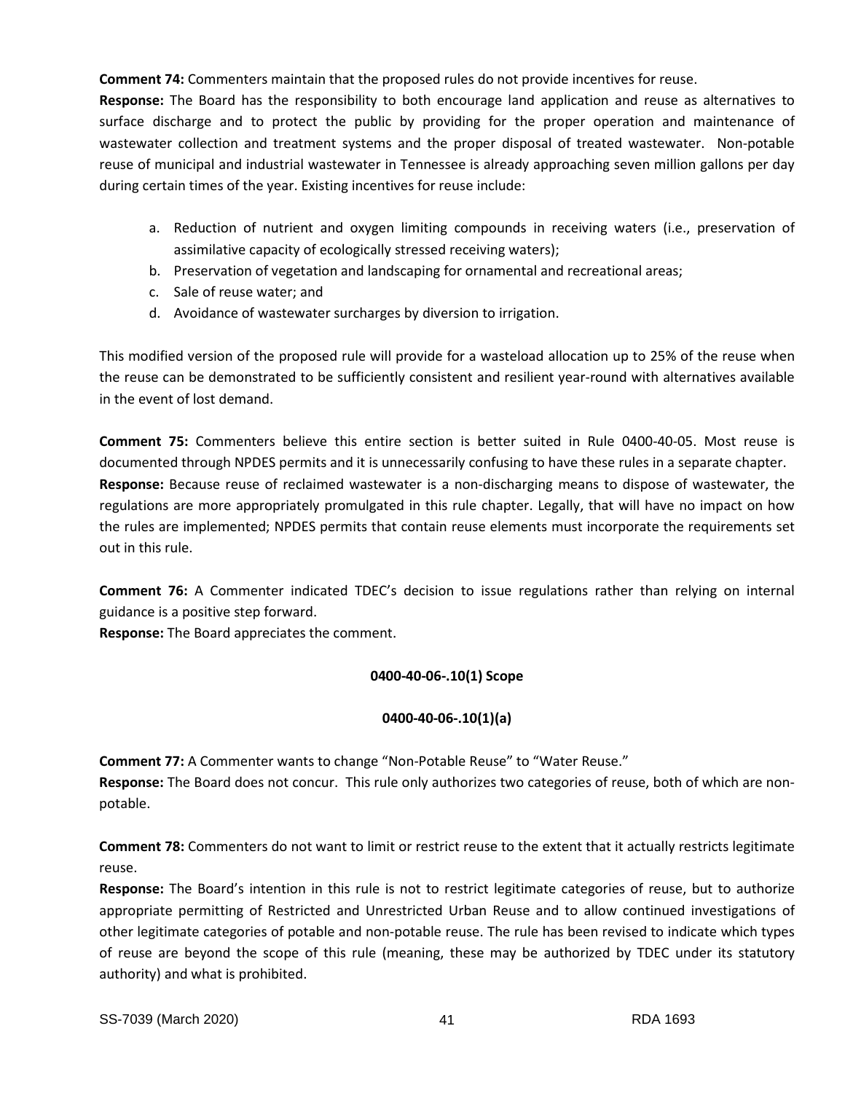**Comment 74:** Commenters maintain that the proposed rules do not provide incentives for reuse.

**Response:** The Board has the responsibility to both encourage land application and reuse as alternatives to surface discharge and to protect the public by providing for the proper operation and maintenance of wastewater collection and treatment systems and the proper disposal of treated wastewater. Non-potable reuse of municipal and industrial wastewater in Tennessee is already approaching seven million gallons per day during certain times of the year. Existing incentives for reuse include:

- a. Reduction of nutrient and oxygen limiting compounds in receiving waters (i.e., preservation of assimilative capacity of ecologically stressed receiving waters);
- b. Preservation of vegetation and landscaping for ornamental and recreational areas;
- c. Sale of reuse water; and
- d. Avoidance of wastewater surcharges by diversion to irrigation.

This modified version of the proposed rule will provide for a wasteload allocation up to 25% of the reuse when the reuse can be demonstrated to be sufficiently consistent and resilient year-round with alternatives available in the event of lost demand.

**Comment 75:** Commenters believe this entire section is better suited in Rule 0400-40-05. Most reuse is documented through NPDES permits and it is unnecessarily confusing to have these rules in a separate chapter. **Response:** Because reuse of reclaimed wastewater is a non-discharging means to dispose of wastewater, the regulations are more appropriately promulgated in this rule chapter. Legally, that will have no impact on how the rules are implemented; NPDES permits that contain reuse elements must incorporate the requirements set out in this rule.

**Comment 76:** A Commenter indicated TDEC's decision to issue regulations rather than relying on internal guidance is a positive step forward.

**Response:** The Board appreciates the comment.

# **0400-40-06-.10(1) Scope**

# **0400-40-06-.10(1)(a)**

**Comment 77:** A Commenter wants to change "Non-Potable Reuse" to "Water Reuse."

**Response:** The Board does not concur. This rule only authorizes two categories of reuse, both of which are nonpotable.

**Comment 78:** Commenters do not want to limit or restrict reuse to the extent that it actually restricts legitimate reuse.

**Response:** The Board's intention in this rule is not to restrict legitimate categories of reuse, but to authorize appropriate permitting of Restricted and Unrestricted Urban Reuse and to allow continued investigations of other legitimate categories of potable and non-potable reuse. The rule has been revised to indicate which types of reuse are beyond the scope of this rule (meaning, these may be authorized by TDEC under its statutory authority) and what is prohibited.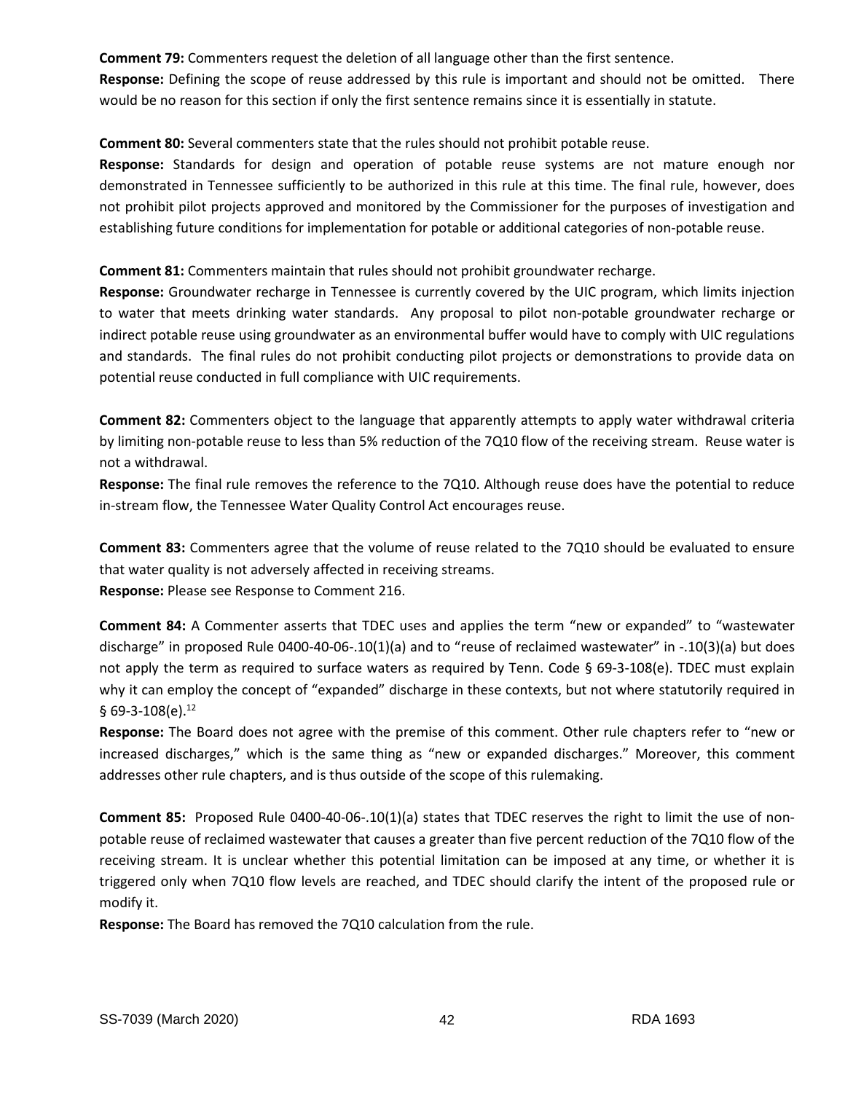**Comment 79:** Commenters request the deletion of all language other than the first sentence.

**Response:** Defining the scope of reuse addressed by this rule is important and should not be omitted. There would be no reason for this section if only the first sentence remains since it is essentially in statute.

**Comment 80:** Several commenters state that the rules should not prohibit potable reuse.

**Response:** Standards for design and operation of potable reuse systems are not mature enough nor demonstrated in Tennessee sufficiently to be authorized in this rule at this time. The final rule, however, does not prohibit pilot projects approved and monitored by the Commissioner for the purposes of investigation and establishing future conditions for implementation for potable or additional categories of non-potable reuse.

**Comment 81:** Commenters maintain that rules should not prohibit groundwater recharge.

**Response:** Groundwater recharge in Tennessee is currently covered by the UIC program, which limits injection to water that meets drinking water standards. Any proposal to pilot non-potable groundwater recharge or indirect potable reuse using groundwater as an environmental buffer would have to comply with UIC regulations and standards. The final rules do not prohibit conducting pilot projects or demonstrations to provide data on potential reuse conducted in full compliance with UIC requirements.

**Comment 82:** Commenters object to the language that apparently attempts to apply water withdrawal criteria by limiting non-potable reuse to less than 5% reduction of the 7Q10 flow of the receiving stream. Reuse water is not a withdrawal.

**Response:** The final rule removes the reference to the 7Q10. Although reuse does have the potential to reduce in-stream flow, the Tennessee Water Quality Control Act encourages reuse.

**Comment 83:** Commenters agree that the volume of reuse related to the 7Q10 should be evaluated to ensure that water quality is not adversely affected in receiving streams. **Response:** Please see Response to Comment 216.

**Comment 84:** A Commenter asserts that TDEC uses and applies the term "new or expanded" to "wastewater discharge" in proposed Rule 0400-40-06-.10(1)(a) and to "reuse of reclaimed wastewater" in -.10(3)(a) but does not apply the term as required to surface waters as required by Tenn. Code § 69-3-108(e). TDEC must explain why it can employ the concept of "expanded" discharge in these contexts, but not where statutorily required in § 69-3-108(e). $12$ 

**Response:** The Board does not agree with the premise of this comment. Other rule chapters refer to "new or increased discharges," which is the same thing as "new or expanded discharges." Moreover, this comment addresses other rule chapters, and is thus outside of the scope of this rulemaking.

**Comment 85:** Proposed Rule 0400-40-06-.10(1)(a) states that TDEC reserves the right to limit the use of nonpotable reuse of reclaimed wastewater that causes a greater than five percent reduction of the 7Q10 flow of the receiving stream. It is unclear whether this potential limitation can be imposed at any time, or whether it is triggered only when 7Q10 flow levels are reached, and TDEC should clarify the intent of the proposed rule or modify it.

**Response:** The Board has removed the 7Q10 calculation from the rule.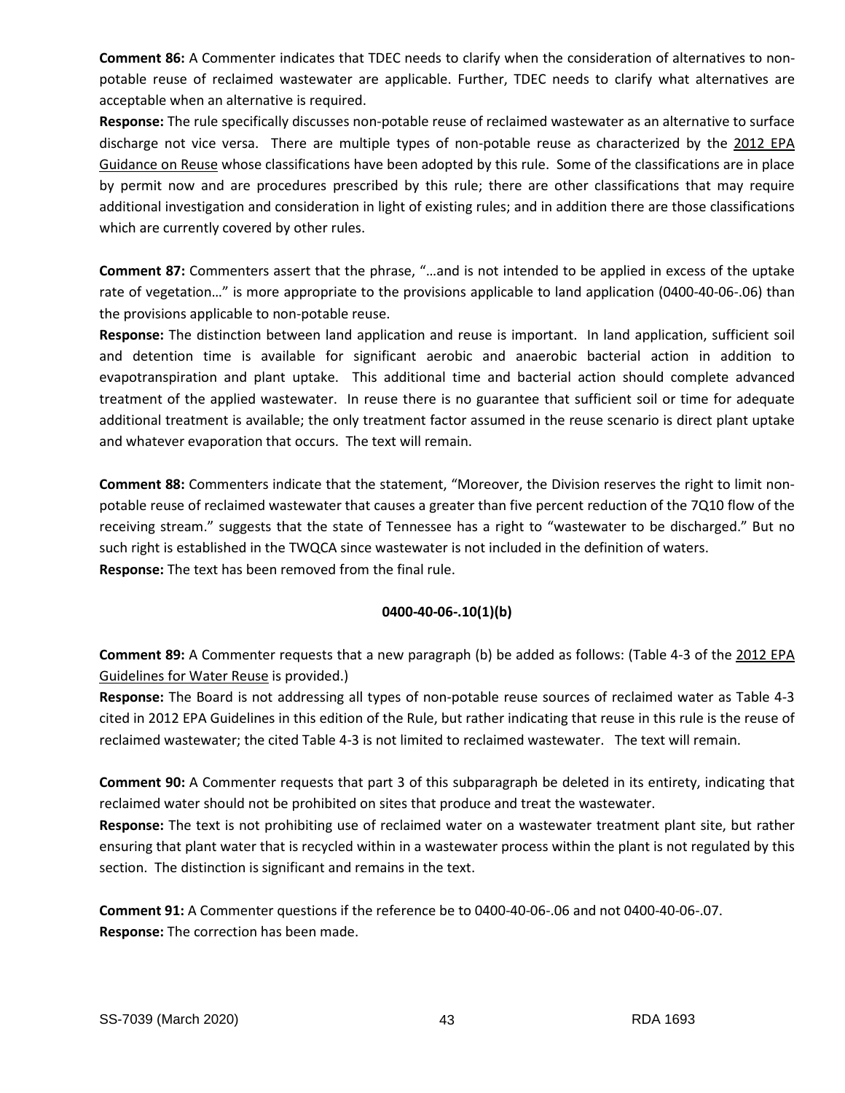**Comment 86:** A Commenter indicates that TDEC needs to clarify when the consideration of alternatives to nonpotable reuse of reclaimed wastewater are applicable. Further, TDEC needs to clarify what alternatives are acceptable when an alternative is required.

**Response:** The rule specifically discusses non-potable reuse of reclaimed wastewater as an alternative to surface discharge not vice versa. There are multiple types of non-potable reuse as characterized by the 2012 EPA Guidance on Reuse whose classifications have been adopted by this rule. Some of the classifications are in place by permit now and are procedures prescribed by this rule; there are other classifications that may require additional investigation and consideration in light of existing rules; and in addition there are those classifications which are currently covered by other rules.

**Comment 87:** Commenters assert that the phrase, "…and is not intended to be applied in excess of the uptake rate of vegetation…" is more appropriate to the provisions applicable to land application (0400-40-06-.06) than the provisions applicable to non-potable reuse.

**Response:** The distinction between land application and reuse is important. In land application, sufficient soil and detention time is available for significant aerobic and anaerobic bacterial action in addition to evapotranspiration and plant uptake. This additional time and bacterial action should complete advanced treatment of the applied wastewater. In reuse there is no guarantee that sufficient soil or time for adequate additional treatment is available; the only treatment factor assumed in the reuse scenario is direct plant uptake and whatever evaporation that occurs. The text will remain.

**Comment 88:** Commenters indicate that the statement, "Moreover, the Division reserves the right to limit nonpotable reuse of reclaimed wastewater that causes a greater than five percent reduction of the 7Q10 flow of the receiving stream." suggests that the state of Tennessee has a right to "wastewater to be discharged." But no such right is established in the TWQCA since wastewater is not included in the definition of waters. **Response:** The text has been removed from the final rule.

# **0400-40-06-.10(1)(b)**

**Comment 89:** A Commenter requests that a new paragraph (b) be added as follows: (Table 4-3 of the 2012 EPA Guidelines for Water Reuse is provided.)

**Response:** The Board is not addressing all types of non-potable reuse sources of reclaimed water as Table 4-3 cited in 2012 EPA Guidelines in this edition of the Rule, but rather indicating that reuse in this rule is the reuse of reclaimed wastewater; the cited Table 4-3 is not limited to reclaimed wastewater. The text will remain.

**Comment 90:** A Commenter requests that part 3 of this subparagraph be deleted in its entirety, indicating that reclaimed water should not be prohibited on sites that produce and treat the wastewater.

**Response:** The text is not prohibiting use of reclaimed water on a wastewater treatment plant site, but rather ensuring that plant water that is recycled within in a wastewater process within the plant is not regulated by this section. The distinction is significant and remains in the text.

**Comment 91:** A Commenter questions if the reference be to 0400-40-06-.06 and not 0400-40-06-.07. **Response:** The correction has been made.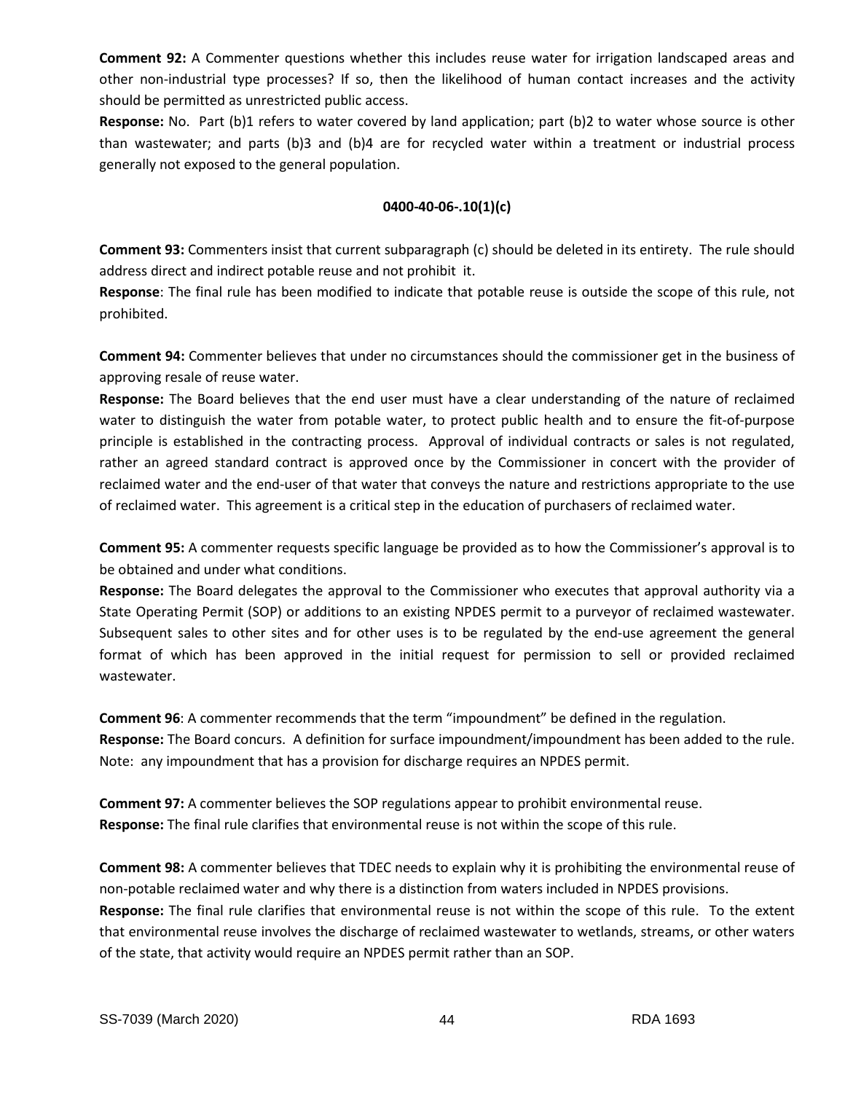**Comment 92:** A Commenter questions whether this includes reuse water for irrigation landscaped areas and other non-industrial type processes? If so, then the likelihood of human contact increases and the activity should be permitted as unrestricted public access.

**Response:** No. Part (b)1 refers to water covered by land application; part (b)2 to water whose source is other than wastewater; and parts (b)3 and (b)4 are for recycled water within a treatment or industrial process generally not exposed to the general population.

# **0400-40-06-.10(1)(c)**

**Comment 93:** Commenters insist that current subparagraph (c) should be deleted in its entirety. The rule should address direct and indirect potable reuse and not prohibit it.

**Response**: The final rule has been modified to indicate that potable reuse is outside the scope of this rule, not prohibited.

**Comment 94:** Commenter believes that under no circumstances should the commissioner get in the business of approving resale of reuse water.

**Response:** The Board believes that the end user must have a clear understanding of the nature of reclaimed water to distinguish the water from potable water, to protect public health and to ensure the fit-of-purpose principle is established in the contracting process. Approval of individual contracts or sales is not regulated, rather an agreed standard contract is approved once by the Commissioner in concert with the provider of reclaimed water and the end-user of that water that conveys the nature and restrictions appropriate to the use of reclaimed water. This agreement is a critical step in the education of purchasers of reclaimed water.

**Comment 95:** A commenter requests specific language be provided as to how the Commissioner's approval is to be obtained and under what conditions.

**Response:** The Board delegates the approval to the Commissioner who executes that approval authority via a State Operating Permit (SOP) or additions to an existing NPDES permit to a purveyor of reclaimed wastewater. Subsequent sales to other sites and for other uses is to be regulated by the end-use agreement the general format of which has been approved in the initial request for permission to sell or provided reclaimed wastewater.

**Comment 96**: A commenter recommends that the term "impoundment" be defined in the regulation. **Response:** The Board concurs. A definition for surface impoundment/impoundment has been added to the rule. Note: any impoundment that has a provision for discharge requires an NPDES permit.

**Comment 97:** A commenter believes the SOP regulations appear to prohibit environmental reuse. **Response:** The final rule clarifies that environmental reuse is not within the scope of this rule.

**Comment 98:** A commenter believes that TDEC needs to explain why it is prohibiting the environmental reuse of non-potable reclaimed water and why there is a distinction from waters included in NPDES provisions. **Response:** The final rule clarifies that environmental reuse is not within the scope of this rule. To the extent that environmental reuse involves the discharge of reclaimed wastewater to wetlands, streams, or other waters of the state, that activity would require an NPDES permit rather than an SOP.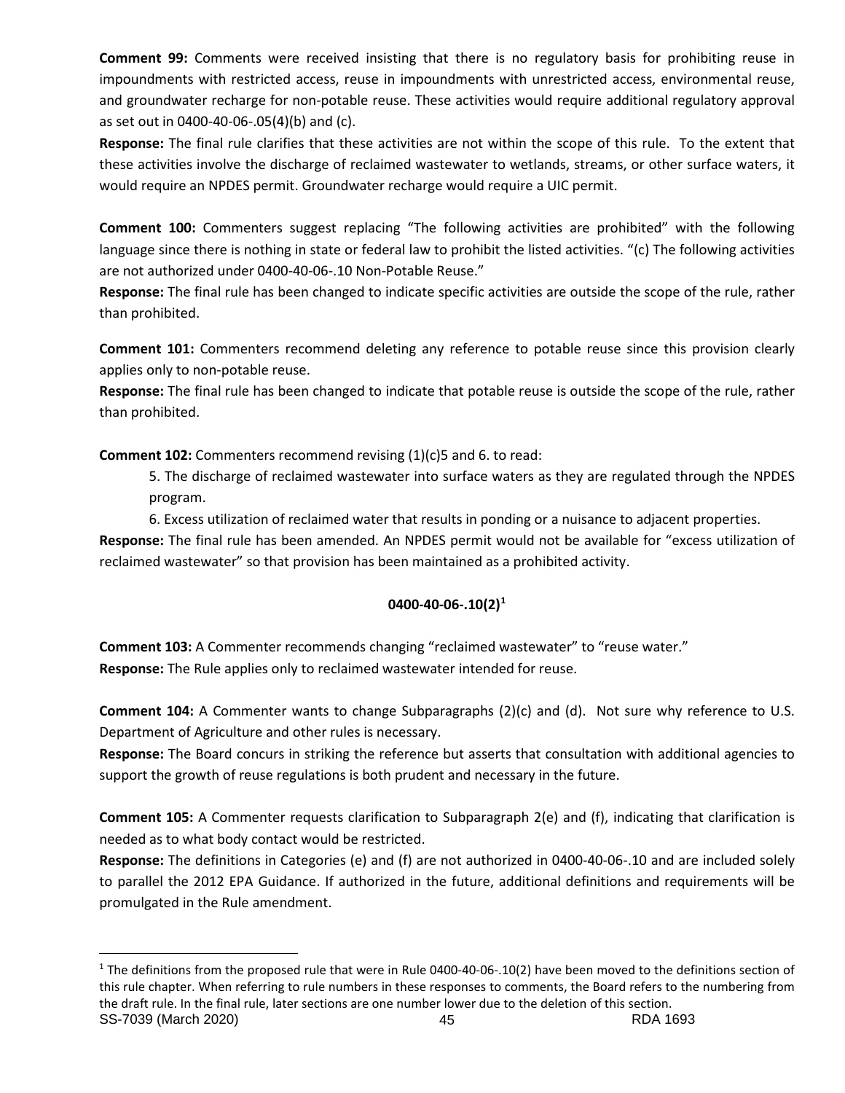**Comment 99:** Comments were received insisting that there is no regulatory basis for prohibiting reuse in impoundments with restricted access, reuse in impoundments with unrestricted access, environmental reuse, and groundwater recharge for non-potable reuse. These activities would require additional regulatory approval as set out in 0400-40-06-.05(4)(b) and (c).

**Response:** The final rule clarifies that these activities are not within the scope of this rule. To the extent that these activities involve the discharge of reclaimed wastewater to wetlands, streams, or other surface waters, it would require an NPDES permit. Groundwater recharge would require a UIC permit.

**Comment 100:** Commenters suggest replacing "The following activities are prohibited" with the following language since there is nothing in state or federal law to prohibit the listed activities. "(c) The following activities are not authorized under 0400-40-06-.10 Non-Potable Reuse."

**Response:** The final rule has been changed to indicate specific activities are outside the scope of the rule, rather than prohibited.

**Comment 101:** Commenters recommend deleting any reference to potable reuse since this provision clearly applies only to non-potable reuse.

**Response:** The final rule has been changed to indicate that potable reuse is outside the scope of the rule, rather than prohibited.

**Comment 102:** Commenters recommend revising (1)(c)5 and 6. to read:

5. The discharge of reclaimed wastewater into surface waters as they are regulated through the NPDES program.

6. Excess utilization of reclaimed water that results in ponding or a nuisance to adjacent properties.

**Response:** The final rule has been amended. An NPDES permit would not be available for "excess utilization of reclaimed wastewater" so that provision has been maintained as a prohibited activity.

# **0400-40-06-.10(2)[1](#page-44-0)**

**Comment 103:** A Commenter recommends changing "reclaimed wastewater" to "reuse water." **Response:** The Rule applies only to reclaimed wastewater intended for reuse.

**Comment 104:** A Commenter wants to change Subparagraphs (2)(c) and (d). Not sure why reference to U.S. Department of Agriculture and other rules is necessary.

**Response:** The Board concurs in striking the reference but asserts that consultation with additional agencies to support the growth of reuse regulations is both prudent and necessary in the future.

**Comment 105:** A Commenter requests clarification to Subparagraph 2(e) and (f), indicating that clarification is needed as to what body contact would be restricted.

**Response:** The definitions in Categories (e) and (f) are not authorized in 0400-40-06-.10 and are included solely to parallel the 2012 EPA Guidance. If authorized in the future, additional definitions and requirements will be promulgated in the Rule amendment.

<span id="page-44-0"></span>SS-7039 (March 2020) 45 RDA 1693  $1$  The definitions from the proposed rule that were in Rule 0400-40-06-.10(2) have been moved to the definitions section of this rule chapter. When referring to rule numbers in these responses to comments, the Board refers to the numbering from the draft rule. In the final rule, later sections are one number lower due to the deletion of this section.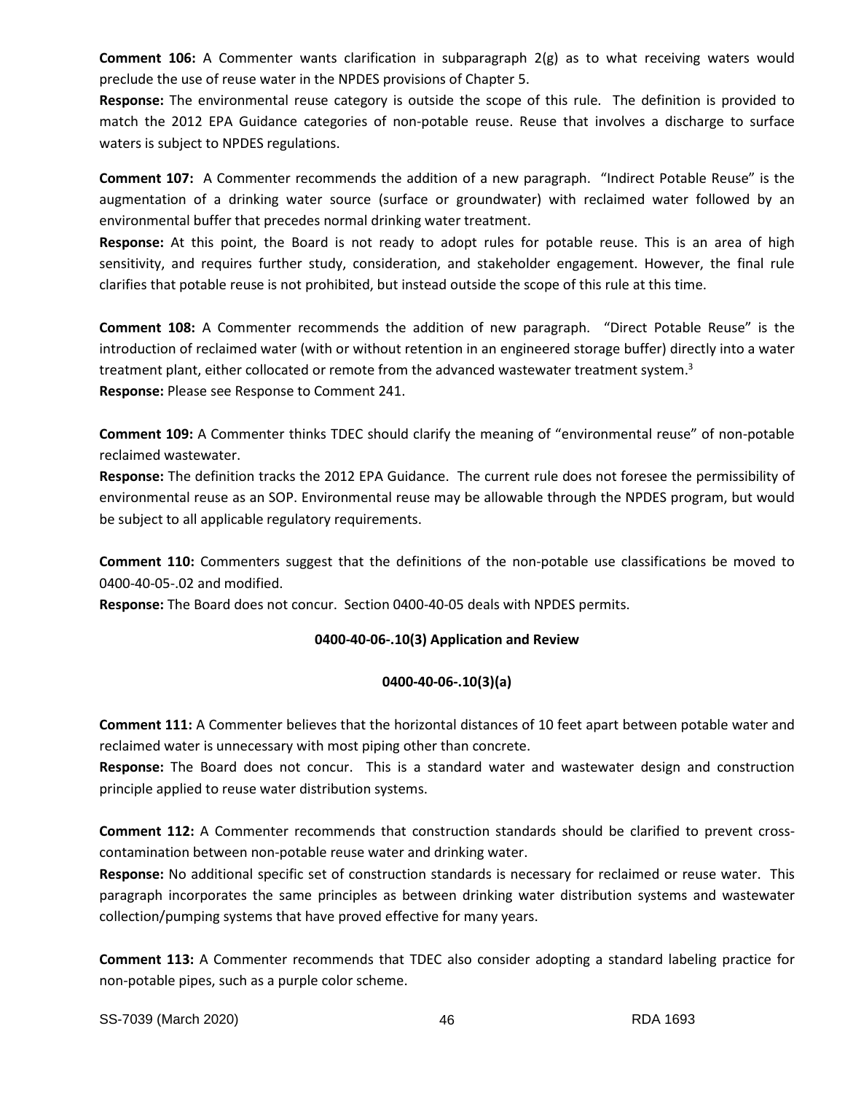**Comment 106:** A Commenter wants clarification in subparagraph 2(g) as to what receiving waters would preclude the use of reuse water in the NPDES provisions of Chapter 5.

**Response:** The environmental reuse category is outside the scope of this rule. The definition is provided to match the 2012 EPA Guidance categories of non-potable reuse. Reuse that involves a discharge to surface waters is subject to NPDES regulations.

**Comment 107:** A Commenter recommends the addition of a new paragraph. "Indirect Potable Reuse" is the augmentation of a drinking water source (surface or groundwater) with reclaimed water followed by an environmental buffer that precedes normal drinking water treatment.

**Response:** At this point, the Board is not ready to adopt rules for potable reuse. This is an area of high sensitivity, and requires further study, consideration, and stakeholder engagement. However, the final rule clarifies that potable reuse is not prohibited, but instead outside the scope of this rule at this time.

**Comment 108:** A Commenter recommends the addition of new paragraph. "Direct Potable Reuse" is the introduction of reclaimed water (with or without retention in an engineered storage buffer) directly into a water treatment plant, either collocated or remote from the advanced wastewater treatment system.<sup>3</sup> **Response:** Please see Response to Comment 241.

**Comment 109:** A Commenter thinks TDEC should clarify the meaning of "environmental reuse" of non-potable reclaimed wastewater.

**Response:** The definition tracks the 2012 EPA Guidance. The current rule does not foresee the permissibility of environmental reuse as an SOP. Environmental reuse may be allowable through the NPDES program, but would be subject to all applicable regulatory requirements.

**Comment 110:** Commenters suggest that the definitions of the non-potable use classifications be moved to 0400-40-05-.02 and modified.

**Response:** The Board does not concur. Section 0400-40-05 deals with NPDES permits.

# **0400-40-06-.10(3) Application and Review**

# **0400-40-06-.10(3)(a)**

**Comment 111:** A Commenter believes that the horizontal distances of 10 feet apart between potable water and reclaimed water is unnecessary with most piping other than concrete.

**Response:** The Board does not concur. This is a standard water and wastewater design and construction principle applied to reuse water distribution systems.

**Comment 112:** A Commenter recommends that construction standards should be clarified to prevent crosscontamination between non-potable reuse water and drinking water.

**Response:** No additional specific set of construction standards is necessary for reclaimed or reuse water. This paragraph incorporates the same principles as between drinking water distribution systems and wastewater collection/pumping systems that have proved effective for many years.

**Comment 113:** A Commenter recommends that TDEC also consider adopting a standard labeling practice for non-potable pipes, such as a purple color scheme.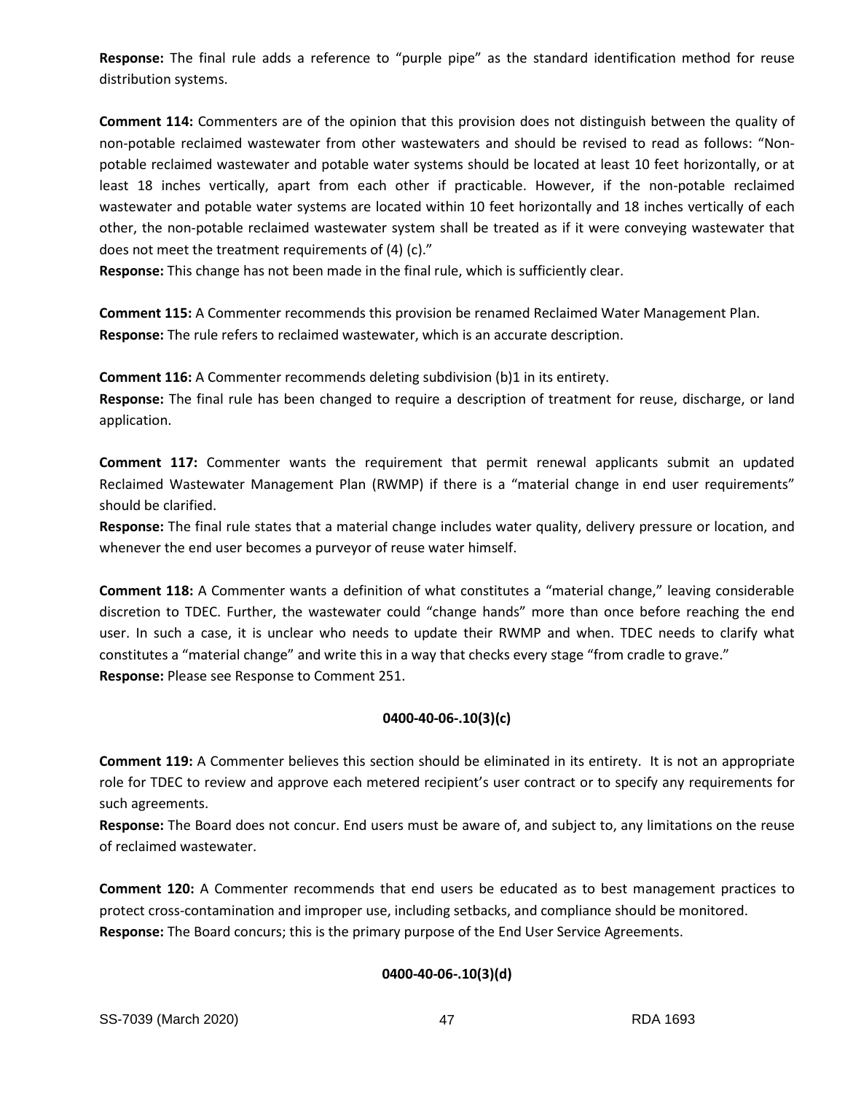**Response:** The final rule adds a reference to "purple pipe" as the standard identification method for reuse distribution systems.

**Comment 114:** Commenters are of the opinion that this provision does not distinguish between the quality of non-potable reclaimed wastewater from other wastewaters and should be revised to read as follows: "Nonpotable reclaimed wastewater and potable water systems should be located at least 10 feet horizontally, or at least 18 inches vertically, apart from each other if practicable. However, if the non-potable reclaimed wastewater and potable water systems are located within 10 feet horizontally and 18 inches vertically of each other, the non-potable reclaimed wastewater system shall be treated as if it were conveying wastewater that does not meet the treatment requirements of (4) (c)."

**Response:** This change has not been made in the final rule, which is sufficiently clear.

**Comment 115:** A Commenter recommends this provision be renamed Reclaimed Water Management Plan. **Response:** The rule refers to reclaimed wastewater, which is an accurate description.

**Comment 116:** A Commenter recommends deleting subdivision (b)1 in its entirety.

**Response:** The final rule has been changed to require a description of treatment for reuse, discharge, or land application.

**Comment 117:** Commenter wants the requirement that permit renewal applicants submit an updated Reclaimed Wastewater Management Plan (RWMP) if there is a "material change in end user requirements" should be clarified.

**Response:** The final rule states that a material change includes water quality, delivery pressure or location, and whenever the end user becomes a purveyor of reuse water himself.

**Comment 118:** A Commenter wants a definition of what constitutes a "material change," leaving considerable discretion to TDEC. Further, the wastewater could "change hands" more than once before reaching the end user. In such a case, it is unclear who needs to update their RWMP and when. TDEC needs to clarify what constitutes a "material change" and write this in a way that checks every stage "from cradle to grave." **Response:** Please see Response to Comment 251.

# **0400-40-06-.10(3)(c)**

**Comment 119:** A Commenter believes this section should be eliminated in its entirety. It is not an appropriate role for TDEC to review and approve each metered recipient's user contract or to specify any requirements for such agreements.

**Response:** The Board does not concur. End users must be aware of, and subject to, any limitations on the reuse of reclaimed wastewater.

**Comment 120:** A Commenter recommends that end users be educated as to best management practices to protect cross-contamination and improper use, including setbacks, and compliance should be monitored. **Response:** The Board concurs; this is the primary purpose of the End User Service Agreements.

# **0400-40-06-.10(3)(d)**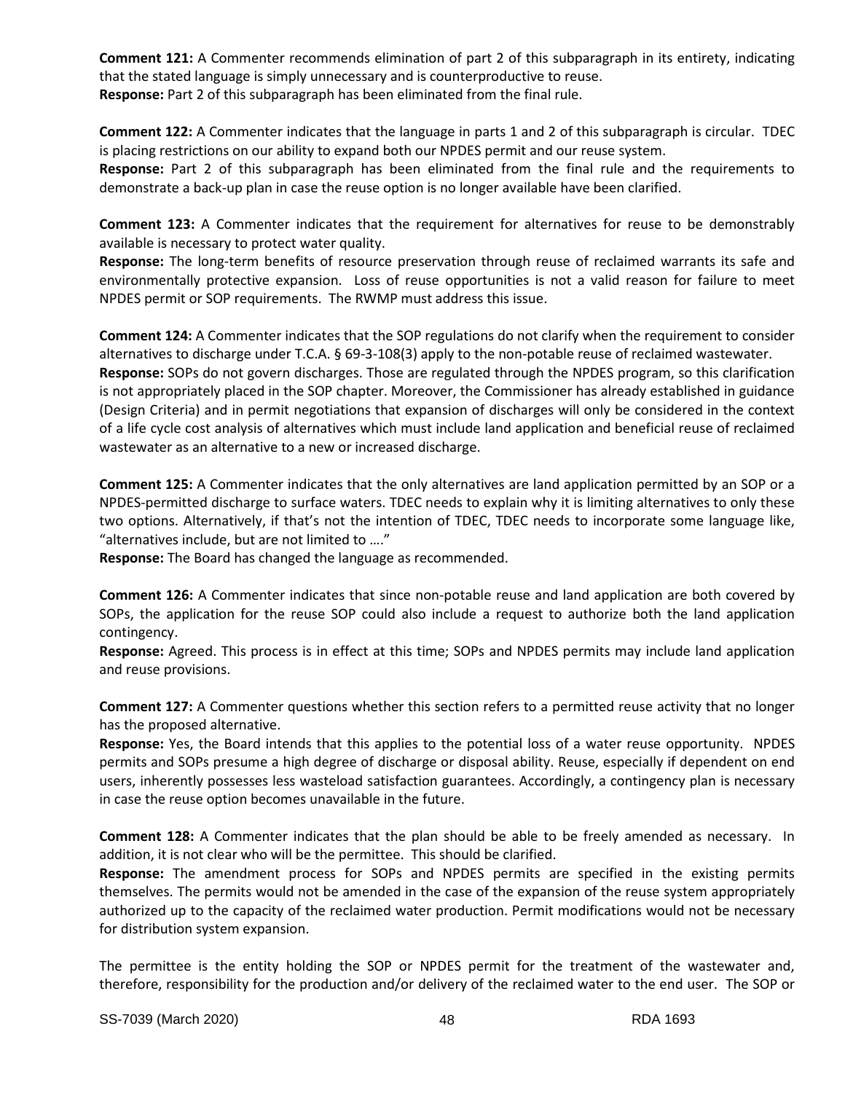**Comment 121:** A Commenter recommends elimination of part 2 of this subparagraph in its entirety, indicating that the stated language is simply unnecessary and is counterproductive to reuse. **Response:** Part 2 of this subparagraph has been eliminated from the final rule.

**Comment 122:** A Commenter indicates that the language in parts 1 and 2 of this subparagraph is circular. TDEC is placing restrictions on our ability to expand both our NPDES permit and our reuse system.

**Response:** Part 2 of this subparagraph has been eliminated from the final rule and the requirements to demonstrate a back-up plan in case the reuse option is no longer available have been clarified.

**Comment 123:** A Commenter indicates that the requirement for alternatives for reuse to be demonstrably available is necessary to protect water quality.

**Response:** The long-term benefits of resource preservation through reuse of reclaimed warrants its safe and environmentally protective expansion. Loss of reuse opportunities is not a valid reason for failure to meet NPDES permit or SOP requirements. The RWMP must address this issue.

**Comment 124:** A Commenter indicates that the SOP regulations do not clarify when the requirement to consider alternatives to discharge under T.C.A. § 69-3-108(3) apply to the non-potable reuse of reclaimed wastewater. **Response:** SOPs do not govern discharges. Those are regulated through the NPDES program, so this clarification is not appropriately placed in the SOP chapter. Moreover, the Commissioner has already established in guidance (Design Criteria) and in permit negotiations that expansion of discharges will only be considered in the context of a life cycle cost analysis of alternatives which must include land application and beneficial reuse of reclaimed wastewater as an alternative to a new or increased discharge.

**Comment 125:** A Commenter indicates that the only alternatives are land application permitted by an SOP or a NPDES-permitted discharge to surface waters. TDEC needs to explain why it is limiting alternatives to only these two options. Alternatively, if that's not the intention of TDEC, TDEC needs to incorporate some language like, "alternatives include, but are not limited to …."

**Response:** The Board has changed the language as recommended.

**Comment 126:** A Commenter indicates that since non-potable reuse and land application are both covered by SOPs, the application for the reuse SOP could also include a request to authorize both the land application contingency.

**Response:** Agreed. This process is in effect at this time; SOPs and NPDES permits may include land application and reuse provisions.

**Comment 127:** A Commenter questions whether this section refers to a permitted reuse activity that no longer has the proposed alternative.

**Response:** Yes, the Board intends that this applies to the potential loss of a water reuse opportunity. NPDES permits and SOPs presume a high degree of discharge or disposal ability. Reuse, especially if dependent on end users, inherently possesses less wasteload satisfaction guarantees. Accordingly, a contingency plan is necessary in case the reuse option becomes unavailable in the future.

**Comment 128:** A Commenter indicates that the plan should be able to be freely amended as necessary. In addition, it is not clear who will be the permittee. This should be clarified.

**Response:** The amendment process for SOPs and NPDES permits are specified in the existing permits themselves. The permits would not be amended in the case of the expansion of the reuse system appropriately authorized up to the capacity of the reclaimed water production. Permit modifications would not be necessary for distribution system expansion.

The permittee is the entity holding the SOP or NPDES permit for the treatment of the wastewater and, therefore, responsibility for the production and/or delivery of the reclaimed water to the end user. The SOP or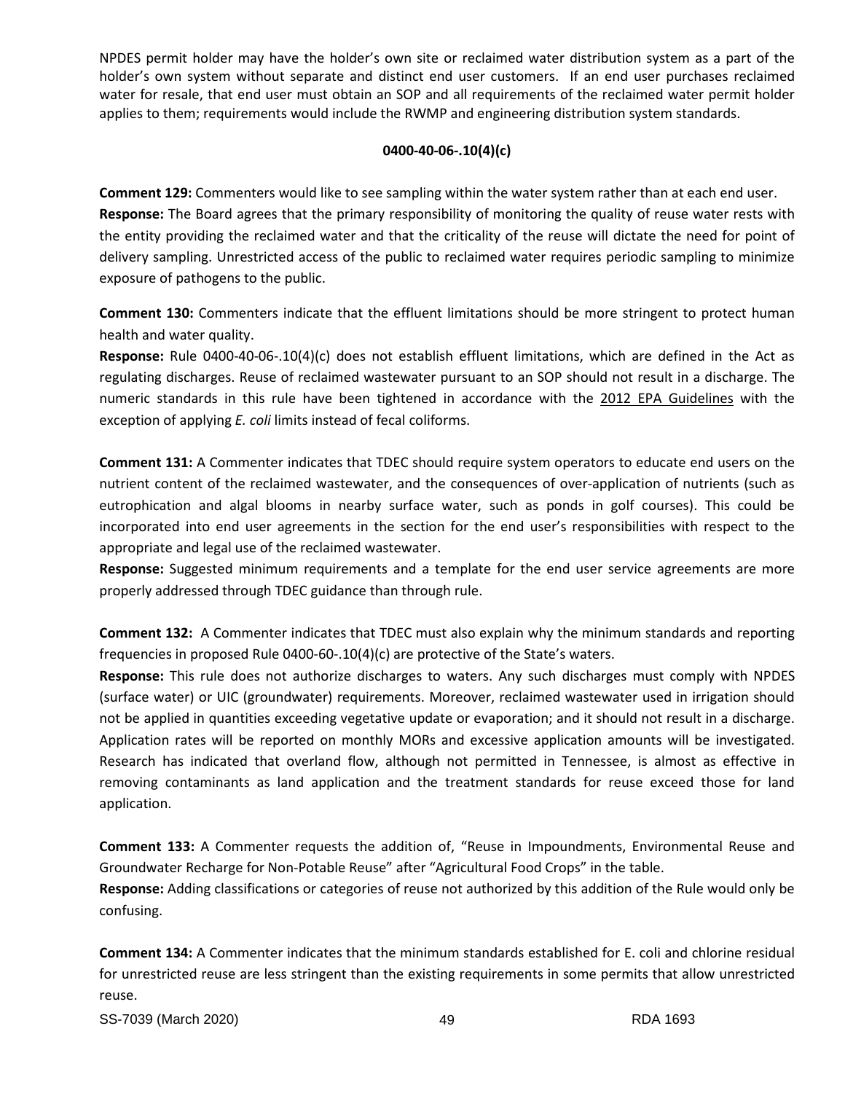NPDES permit holder may have the holder's own site or reclaimed water distribution system as a part of the holder's own system without separate and distinct end user customers. If an end user purchases reclaimed water for resale, that end user must obtain an SOP and all requirements of the reclaimed water permit holder applies to them; requirements would include the RWMP and engineering distribution system standards.

# **0400-40-06-.10(4)(c)**

**Comment 129:** Commenters would like to see sampling within the water system rather than at each end user. **Response:** The Board agrees that the primary responsibility of monitoring the quality of reuse water rests with the entity providing the reclaimed water and that the criticality of the reuse will dictate the need for point of delivery sampling. Unrestricted access of the public to reclaimed water requires periodic sampling to minimize exposure of pathogens to the public.

**Comment 130:** Commenters indicate that the effluent limitations should be more stringent to protect human health and water quality.

**Response:** Rule 0400-40-06-.10(4)(c) does not establish effluent limitations, which are defined in the Act as regulating discharges. Reuse of reclaimed wastewater pursuant to an SOP should not result in a discharge. The numeric standards in this rule have been tightened in accordance with the 2012 EPA Guidelines with the exception of applying *E. coli* limits instead of fecal coliforms.

**Comment 131:** A Commenter indicates that TDEC should require system operators to educate end users on the nutrient content of the reclaimed wastewater, and the consequences of over-application of nutrients (such as eutrophication and algal blooms in nearby surface water, such as ponds in golf courses). This could be incorporated into end user agreements in the section for the end user's responsibilities with respect to the appropriate and legal use of the reclaimed wastewater.

**Response:** Suggested minimum requirements and a template for the end user service agreements are more properly addressed through TDEC guidance than through rule.

**Comment 132:** A Commenter indicates that TDEC must also explain why the minimum standards and reporting frequencies in proposed Rule 0400-60-.10(4)(c) are protective of the State's waters.

**Response:** This rule does not authorize discharges to waters. Any such discharges must comply with NPDES (surface water) or UIC (groundwater) requirements. Moreover, reclaimed wastewater used in irrigation should not be applied in quantities exceeding vegetative update or evaporation; and it should not result in a discharge. Application rates will be reported on monthly MORs and excessive application amounts will be investigated. Research has indicated that overland flow, although not permitted in Tennessee, is almost as effective in removing contaminants as land application and the treatment standards for reuse exceed those for land application.

**Comment 133:** A Commenter requests the addition of, "Reuse in Impoundments, Environmental Reuse and Groundwater Recharge for Non-Potable Reuse" after "Agricultural Food Crops" in the table.

**Response:** Adding classifications or categories of reuse not authorized by this addition of the Rule would only be confusing.

**Comment 134:** A Commenter indicates that the minimum standards established for E. coli and chlorine residual for unrestricted reuse are less stringent than the existing requirements in some permits that allow unrestricted reuse.

SS-7039 (March 2020) 49 RDA 1693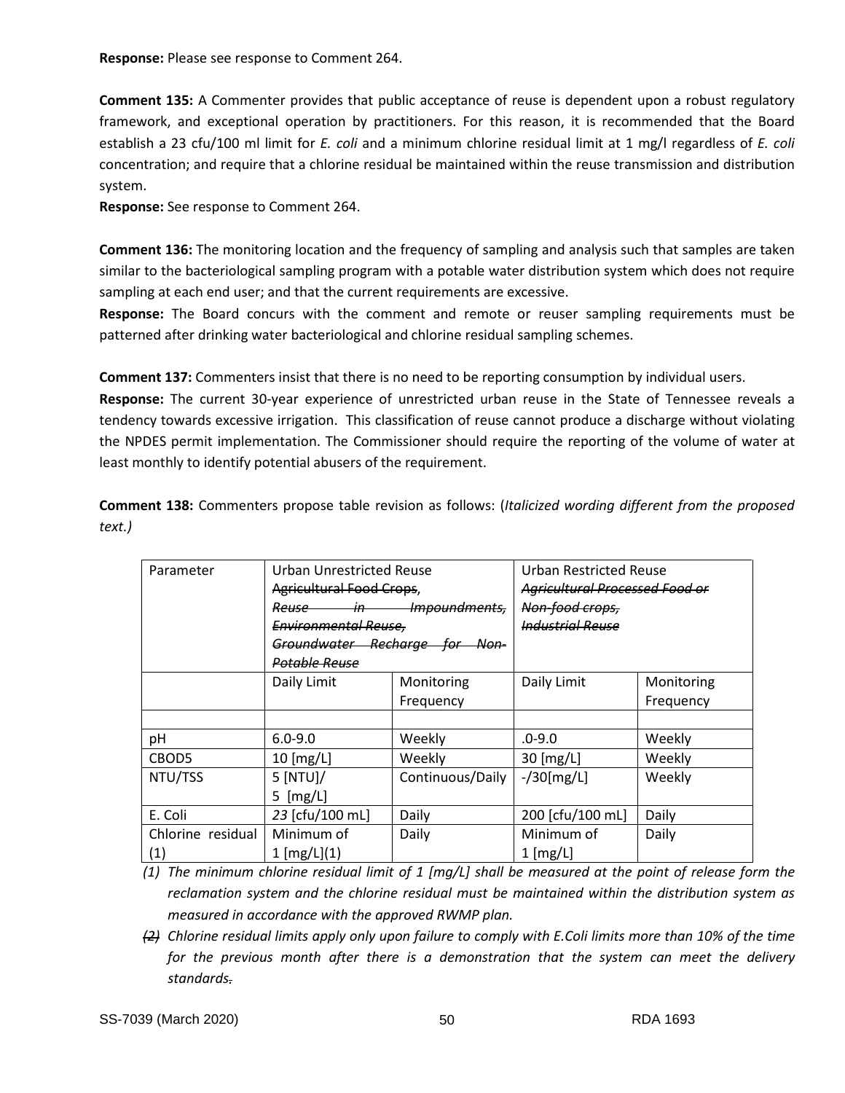**Response:** Please see response to Comment 264.

**Comment 135:** A Commenter provides that public acceptance of reuse is dependent upon a robust regulatory framework, and exceptional operation by practitioners. For this reason, it is recommended that the Board establish a 23 cfu/100 ml limit for *E. coli* and a minimum chlorine residual limit at 1 mg/l regardless of *E. coli* concentration; and require that a chlorine residual be maintained within the reuse transmission and distribution system.

**Response:** See response to Comment 264.

**Comment 136:** The monitoring location and the frequency of sampling and analysis such that samples are taken similar to the bacteriological sampling program with a potable water distribution system which does not require sampling at each end user; and that the current requirements are excessive.

**Response:** The Board concurs with the comment and remote or reuser sampling requirements must be patterned after drinking water bacteriological and chlorine residual sampling schemes.

**Comment 137:** Commenters insist that there is no need to be reporting consumption by individual users.

**Response:** The current 30-year experience of unrestricted urban reuse in the State of Tennessee reveals a tendency towards excessive irrigation. This classification of reuse cannot produce a discharge without violating the NPDES permit implementation. The Commissioner should require the reporting of the volume of water at least monthly to identify potential abusers of the requirement.

**Comment 138:** Commenters propose table revision as follows: (*Italicized wording different from the proposed text.)*

| Parameter         | <b>Urban Unrestricted Reuse</b> |                  | <b>Urban Restricted Reuse</b>         |            |
|-------------------|---------------------------------|------------------|---------------------------------------|------------|
|                   | <b>Agricultural Food Crops,</b> |                  | <b>Agricultural Processed Food or</b> |            |
|                   | Impoundments,<br>Reuse in       |                  | Non-food crops,                       |            |
|                   | <b>Environmental Reuse,</b>     |                  | <b>Industrial Reuse</b>               |            |
|                   | Groundwater Recharge for Non-   |                  |                                       |            |
|                   | <b>Potable Reuse</b>            |                  |                                       |            |
|                   | Daily Limit                     | Monitoring       | Daily Limit                           | Monitoring |
|                   |                                 | Frequency        |                                       | Frequency  |
|                   |                                 |                  |                                       |            |
| pH                | $6.0 - 9.0$                     | Weekly           | $.0 - 9.0$                            | Weekly     |
| CBOD <sub>5</sub> | $10$ [mg/L]                     | Weekly           | $30$ [mg/L]                           | Weekly     |
| NTU/TSS           | $5$ [NTU]/                      | Continuous/Daily | $-$ /30[mg/L]                         | Weekly     |
|                   | $5$ [mg/L]                      |                  |                                       |            |
| E. Coli           | 23 [cfu/100 mL]                 | Daily            | 200 [cfu/100 mL]                      | Daily      |
| Chlorine residual | Minimum of                      | Daily            | Minimum of                            | Daily      |
| (1)               | 1 [mg/L](1)                     |                  | $1$ [mg/L]                            |            |

*(1) The minimum chlorine residual limit of 1 [mg/L] shall be measured at the point of release form the reclamation system and the chlorine residual must be maintained within the distribution system as measured in accordance with the approved RWMP plan.*

*(2) Chlorine residual limits apply only upon failure to comply with E.Coli limits more than 10% of the time for the previous month after there is a demonstration that the system can meet the delivery standards.*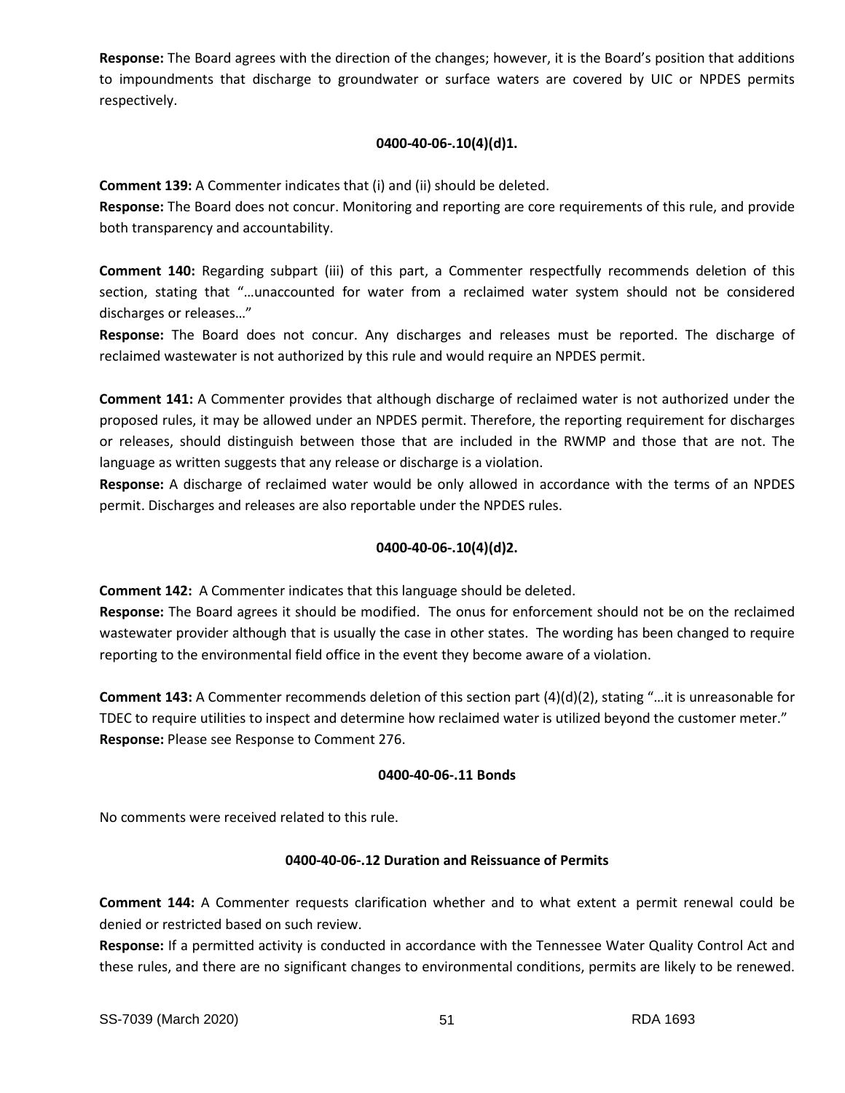**Response:** The Board agrees with the direction of the changes; however, it is the Board's position that additions to impoundments that discharge to groundwater or surface waters are covered by UIC or NPDES permits respectively.

# **0400-40-06-.10(4)(d)1.**

**Comment 139:** A Commenter indicates that (i) and (ii) should be deleted.

**Response:** The Board does not concur. Monitoring and reporting are core requirements of this rule, and provide both transparency and accountability.

**Comment 140:** Regarding subpart (iii) of this part, a Commenter respectfully recommends deletion of this section, stating that "…unaccounted for water from a reclaimed water system should not be considered discharges or releases…"

**Response:** The Board does not concur. Any discharges and releases must be reported. The discharge of reclaimed wastewater is not authorized by this rule and would require an NPDES permit.

**Comment 141:** A Commenter provides that although discharge of reclaimed water is not authorized under the proposed rules, it may be allowed under an NPDES permit. Therefore, the reporting requirement for discharges or releases, should distinguish between those that are included in the RWMP and those that are not. The language as written suggests that any release or discharge is a violation.

**Response:** A discharge of reclaimed water would be only allowed in accordance with the terms of an NPDES permit. Discharges and releases are also reportable under the NPDES rules.

# **0400-40-06-.10(4)(d)2.**

**Comment 142:** A Commenter indicates that this language should be deleted.

**Response:** The Board agrees it should be modified. The onus for enforcement should not be on the reclaimed wastewater provider although that is usually the case in other states. The wording has been changed to require reporting to the environmental field office in the event they become aware of a violation.

**Comment 143:** A Commenter recommends deletion of this section part (4)(d)(2), stating "…it is unreasonable for TDEC to require utilities to inspect and determine how reclaimed water is utilized beyond the customer meter." **Response:** Please see Response to Comment 276.

# **0400-40-06-.11 Bonds**

No comments were received related to this rule.

# **0400-40-06-.12 Duration and Reissuance of Permits**

**Comment 144:** A Commenter requests clarification whether and to what extent a permit renewal could be denied or restricted based on such review.

**Response:** If a permitted activity is conducted in accordance with the Tennessee Water Quality Control Act and these rules, and there are no significant changes to environmental conditions, permits are likely to be renewed.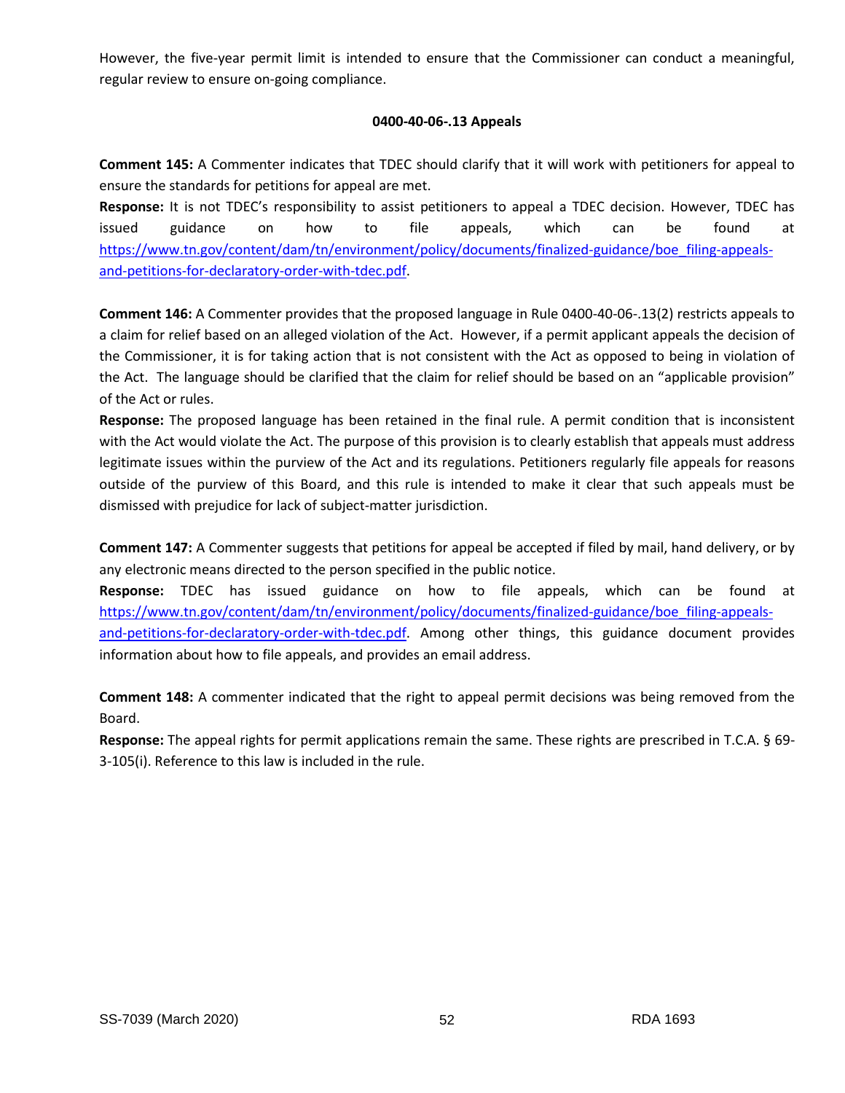However, the five-year permit limit is intended to ensure that the Commissioner can conduct a meaningful, regular review to ensure on-going compliance.

# **0400-40-06-.13 Appeals**

**Comment 145:** A Commenter indicates that TDEC should clarify that it will work with petitioners for appeal to ensure the standards for petitions for appeal are met.

**Response:** It is not TDEC's responsibility to assist petitioners to appeal a TDEC decision. However, TDEC has issued guidance on how to file appeals, which can be found at [https://www.tn.gov/content/dam/tn/environment/policy/documents/finalized-guidance/boe\\_filing-appeals](https://www.tn.gov/content/dam/tn/environment/policy/documents/finalized-guidance/boe_filing-appeals-and-petitions-for-declaratory-order-with-tdec.pdf)[and-petitions-for-declaratory-order-with-tdec.pdf.](https://www.tn.gov/content/dam/tn/environment/policy/documents/finalized-guidance/boe_filing-appeals-and-petitions-for-declaratory-order-with-tdec.pdf)

**Comment 146:** A Commenter provides that the proposed language in Rule 0400-40-06-.13(2) restricts appeals to a claim for relief based on an alleged violation of the Act. However, if a permit applicant appeals the decision of the Commissioner, it is for taking action that is not consistent with the Act as opposed to being in violation of the Act. The language should be clarified that the claim for relief should be based on an "applicable provision" of the Act or rules.

**Response:** The proposed language has been retained in the final rule. A permit condition that is inconsistent with the Act would violate the Act. The purpose of this provision is to clearly establish that appeals must address legitimate issues within the purview of the Act and its regulations. Petitioners regularly file appeals for reasons outside of the purview of this Board, and this rule is intended to make it clear that such appeals must be dismissed with prejudice for lack of subject-matter jurisdiction.

**Comment 147:** A Commenter suggests that petitions for appeal be accepted if filed by mail, hand delivery, or by any electronic means directed to the person specified in the public notice.

**Response:** TDEC has issued guidance on how to file appeals, which can be found at [https://www.tn.gov/content/dam/tn/environment/policy/documents/finalized-guidance/boe\\_filing-appeals](https://www.tn.gov/content/dam/tn/environment/policy/documents/finalized-guidance/boe_filing-appeals-and-petitions-for-declaratory-order-with-tdec.pdf)[and-petitions-for-declaratory-order-with-tdec.pdf.](https://www.tn.gov/content/dam/tn/environment/policy/documents/finalized-guidance/boe_filing-appeals-and-petitions-for-declaratory-order-with-tdec.pdf) Among other things, this guidance document provides information about how to file appeals, and provides an email address.

**Comment 148:** A commenter indicated that the right to appeal permit decisions was being removed from the Board.

**Response:** The appeal rights for permit applications remain the same. These rights are prescribed in T.C.A. § 69- 3-105(i). Reference to this law is included in the rule.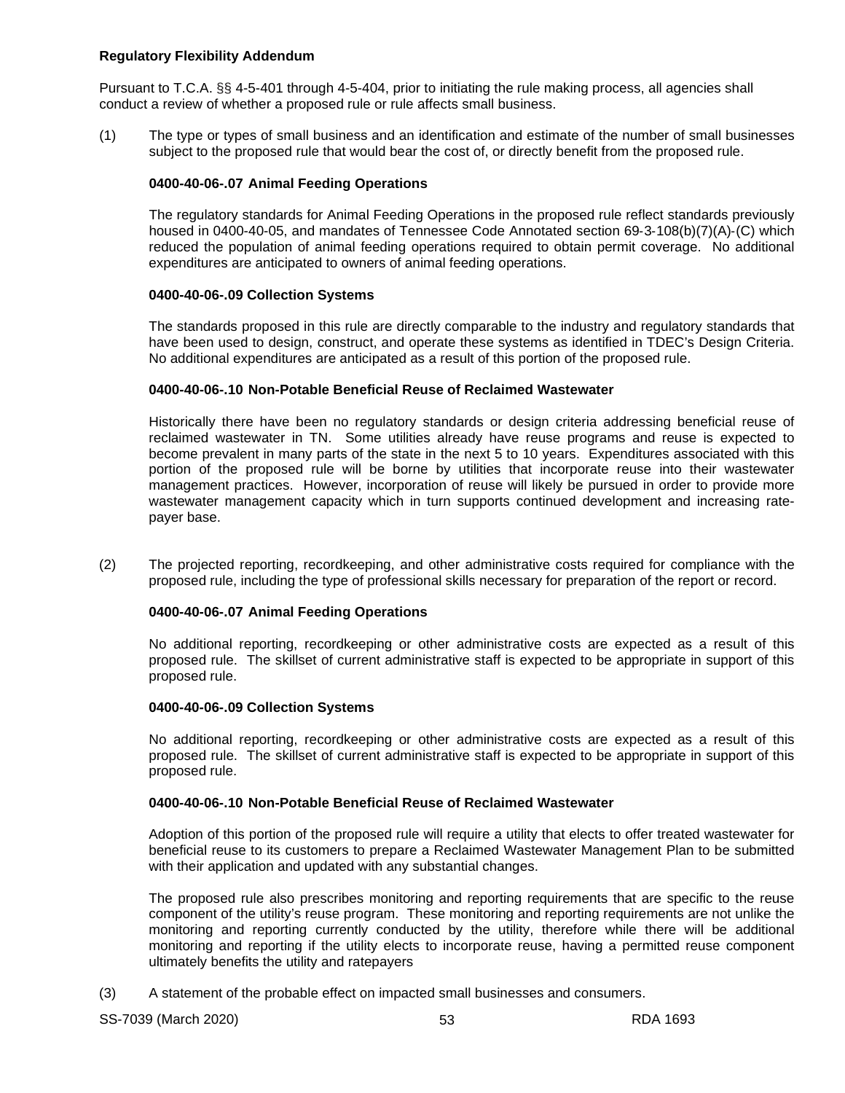## **Regulatory Flexibility Addendum**

Pursuant to T.C.A. §§ 4-5-401 through 4-5-404, prior to initiating the rule making process, all agencies shall conduct a review of whether a proposed rule or rule affects small business.

(1) The type or types of small business and an identification and estimate of the number of small businesses subject to the proposed rule that would bear the cost of, or directly benefit from the proposed rule.

## **0400-40-06-.07 Animal Feeding Operations**

The regulatory standards for Animal Feeding Operations in the proposed rule reflect standards previously housed in 0400-40-05, and mandates of Tennessee Code Annotated section 69‐3‐108(b)(7)(A)‐(C) which reduced the population of animal feeding operations required to obtain permit coverage. No additional expenditures are anticipated to owners of animal feeding operations.

## **0400-40-06-.09 Collection Systems**

The standards proposed in this rule are directly comparable to the industry and regulatory standards that have been used to design, construct, and operate these systems as identified in TDEC's Design Criteria. No additional expenditures are anticipated as a result of this portion of the proposed rule.

## **0400-40-06-.10 Non-Potable Beneficial Reuse of Reclaimed Wastewater**

Historically there have been no regulatory standards or design criteria addressing beneficial reuse of reclaimed wastewater in TN. Some utilities already have reuse programs and reuse is expected to become prevalent in many parts of the state in the next 5 to 10 years. Expenditures associated with this portion of the proposed rule will be borne by utilities that incorporate reuse into their wastewater management practices. However, incorporation of reuse will likely be pursued in order to provide more wastewater management capacity which in turn supports continued development and increasing ratepayer base.

(2) The projected reporting, recordkeeping, and other administrative costs required for compliance with the proposed rule, including the type of professional skills necessary for preparation of the report or record.

# **0400-40-06-.07 Animal Feeding Operations**

No additional reporting, recordkeeping or other administrative costs are expected as a result of this proposed rule. The skillset of current administrative staff is expected to be appropriate in support of this proposed rule.

## **0400-40-06-.09 Collection Systems**

No additional reporting, recordkeeping or other administrative costs are expected as a result of this proposed rule. The skillset of current administrative staff is expected to be appropriate in support of this proposed rule.

## **0400-40-06-.10 Non-Potable Beneficial Reuse of Reclaimed Wastewater**

Adoption of this portion of the proposed rule will require a utility that elects to offer treated wastewater for beneficial reuse to its customers to prepare a Reclaimed Wastewater Management Plan to be submitted with their application and updated with any substantial changes.

The proposed rule also prescribes monitoring and reporting requirements that are specific to the reuse component of the utility's reuse program. These monitoring and reporting requirements are not unlike the monitoring and reporting currently conducted by the utility, therefore while there will be additional monitoring and reporting if the utility elects to incorporate reuse, having a permitted reuse component ultimately benefits the utility and ratepayers

(3) A statement of the probable effect on impacted small businesses and consumers.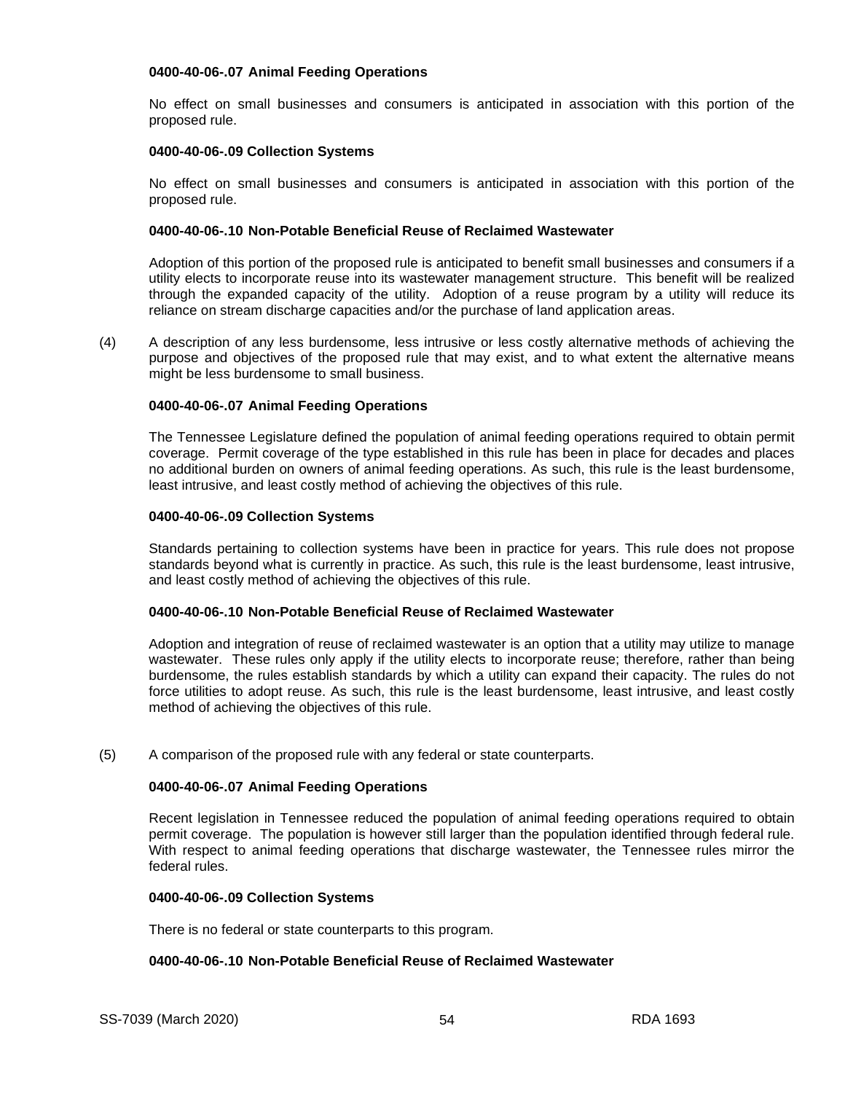#### **0400-40-06-.07 Animal Feeding Operations**

No effect on small businesses and consumers is anticipated in association with this portion of the proposed rule.

#### **0400-40-06-.09 Collection Systems**

No effect on small businesses and consumers is anticipated in association with this portion of the proposed rule.

#### **0400-40-06-.10 Non-Potable Beneficial Reuse of Reclaimed Wastewater**

Adoption of this portion of the proposed rule is anticipated to benefit small businesses and consumers if a utility elects to incorporate reuse into its wastewater management structure. This benefit will be realized through the expanded capacity of the utility. Adoption of a reuse program by a utility will reduce its reliance on stream discharge capacities and/or the purchase of land application areas.

(4) A description of any less burdensome, less intrusive or less costly alternative methods of achieving the purpose and objectives of the proposed rule that may exist, and to what extent the alternative means might be less burdensome to small business.

## **0400-40-06-.07 Animal Feeding Operations**

The Tennessee Legislature defined the population of animal feeding operations required to obtain permit coverage. Permit coverage of the type established in this rule has been in place for decades and places no additional burden on owners of animal feeding operations. As such, this rule is the least burdensome, least intrusive, and least costly method of achieving the objectives of this rule.

#### **0400-40-06-.09 Collection Systems**

Standards pertaining to collection systems have been in practice for years. This rule does not propose standards beyond what is currently in practice. As such, this rule is the least burdensome, least intrusive, and least costly method of achieving the objectives of this rule.

## **0400-40-06-.10 Non-Potable Beneficial Reuse of Reclaimed Wastewater**

Adoption and integration of reuse of reclaimed wastewater is an option that a utility may utilize to manage wastewater. These rules only apply if the utility elects to incorporate reuse; therefore, rather than being burdensome, the rules establish standards by which a utility can expand their capacity. The rules do not force utilities to adopt reuse. As such, this rule is the least burdensome, least intrusive, and least costly method of achieving the objectives of this rule.

## (5) A comparison of the proposed rule with any federal or state counterparts.

## **0400-40-06-.07 Animal Feeding Operations**

Recent legislation in Tennessee reduced the population of animal feeding operations required to obtain permit coverage. The population is however still larger than the population identified through federal rule. With respect to animal feeding operations that discharge wastewater, the Tennessee rules mirror the federal rules.

#### **0400-40-06-.09 Collection Systems**

There is no federal or state counterparts to this program.

## **0400-40-06-.10 Non-Potable Beneficial Reuse of Reclaimed Wastewater**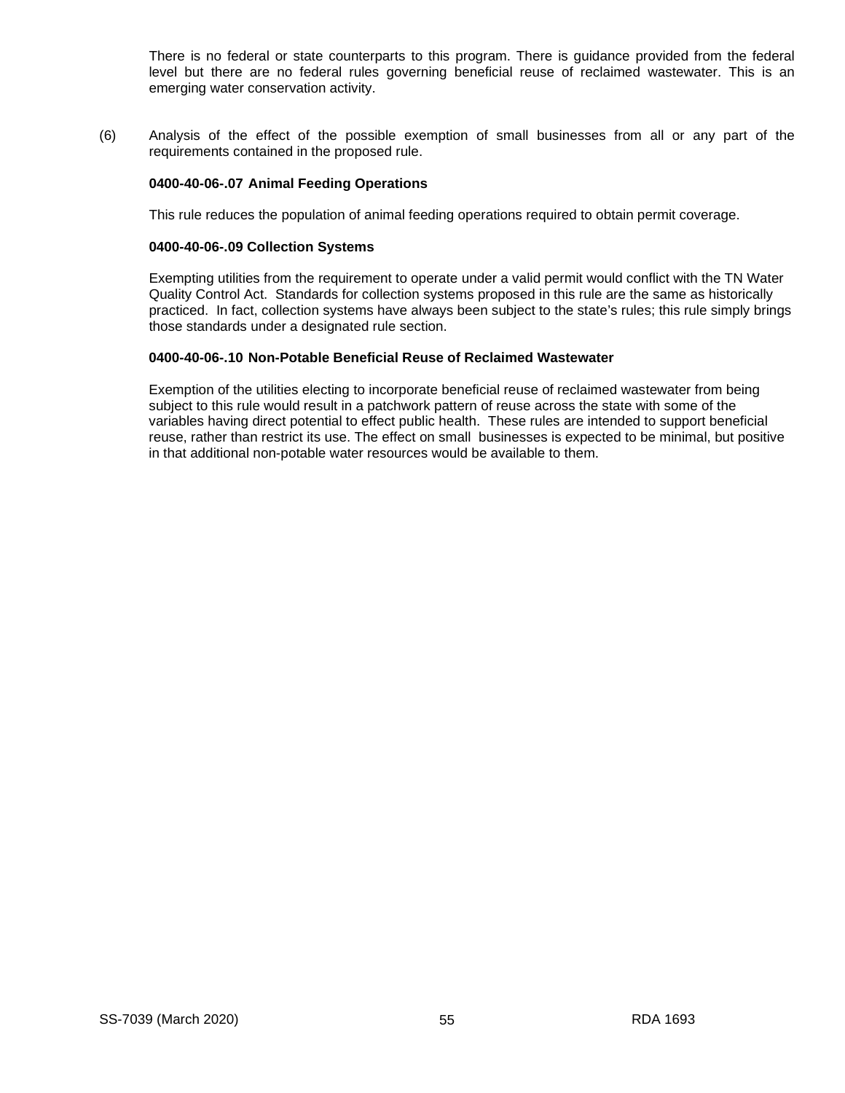There is no federal or state counterparts to this program. There is guidance provided from the federal level but there are no federal rules governing beneficial reuse of reclaimed wastewater. This is an emerging water conservation activity.

(6) Analysis of the effect of the possible exemption of small businesses from all or any part of the requirements contained in the proposed rule.

#### **0400-40-06-.07 Animal Feeding Operations**

This rule reduces the population of animal feeding operations required to obtain permit coverage.

#### **0400-40-06-.09 Collection Systems**

Exempting utilities from the requirement to operate under a valid permit would conflict with the TN Water Quality Control Act. Standards for collection systems proposed in this rule are the same as historically practiced. In fact, collection systems have always been subject to the state's rules; this rule simply brings those standards under a designated rule section.

## **0400-40-06-.10 Non-Potable Beneficial Reuse of Reclaimed Wastewater**

Exemption of the utilities electing to incorporate beneficial reuse of reclaimed wastewater from being subject to this rule would result in a patchwork pattern of reuse across the state with some of the variables having direct potential to effect public health. These rules are intended to support beneficial reuse, rather than restrict its use. The effect on small businesses is expected to be minimal, but positive in that additional non-potable water resources would be available to them.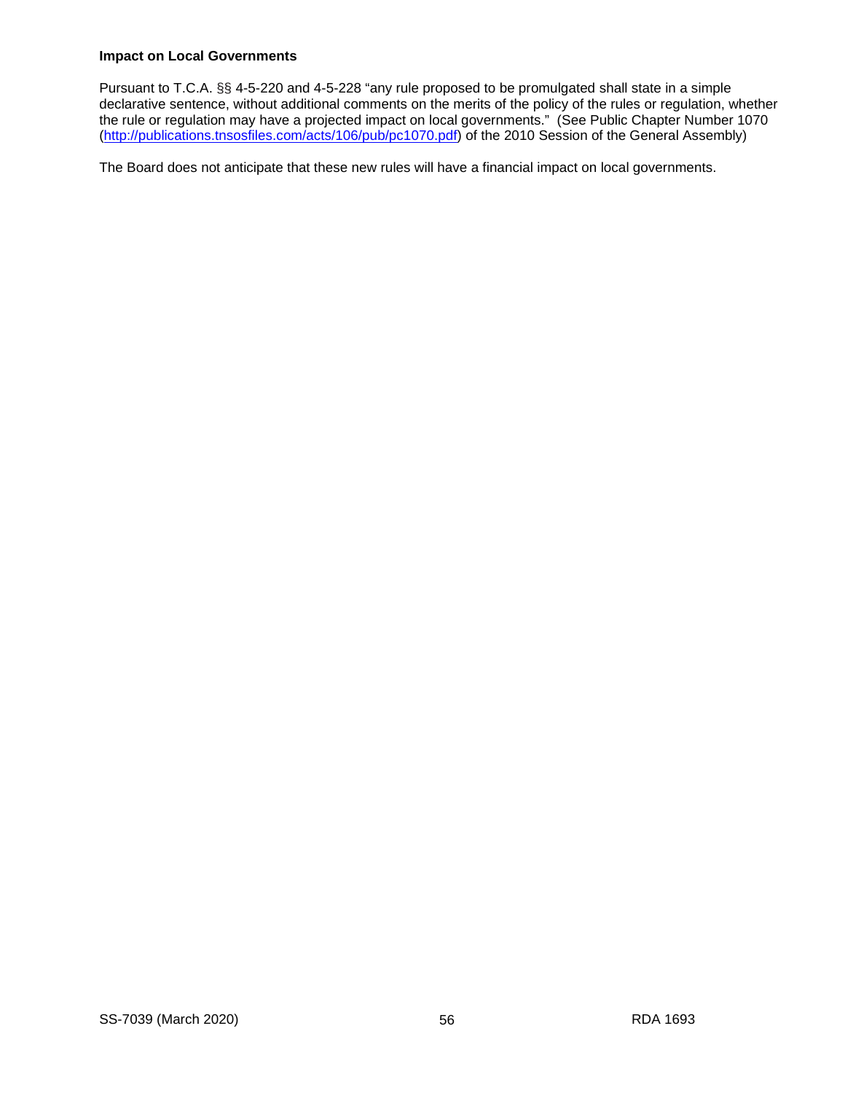## **Impact on Local Governments**

Pursuant to T.C.A. §§ 4-5-220 and 4-5-228 "any rule proposed to be promulgated shall state in a simple declarative sentence, without additional comments on the merits of the policy of the rules or regulation, whether the rule or regulation may have a projected impact on local governments." (See Public Chapter Number 1070 [\(http://publications.tnsosfiles.com/acts/106/pub/pc1070.pdf\)](http://publications.tnsosfiles.com/acts/106/pub/pc1070.pdf) of the 2010 Session of the General Assembly)

The Board does not anticipate that these new rules will have a financial impact on local governments.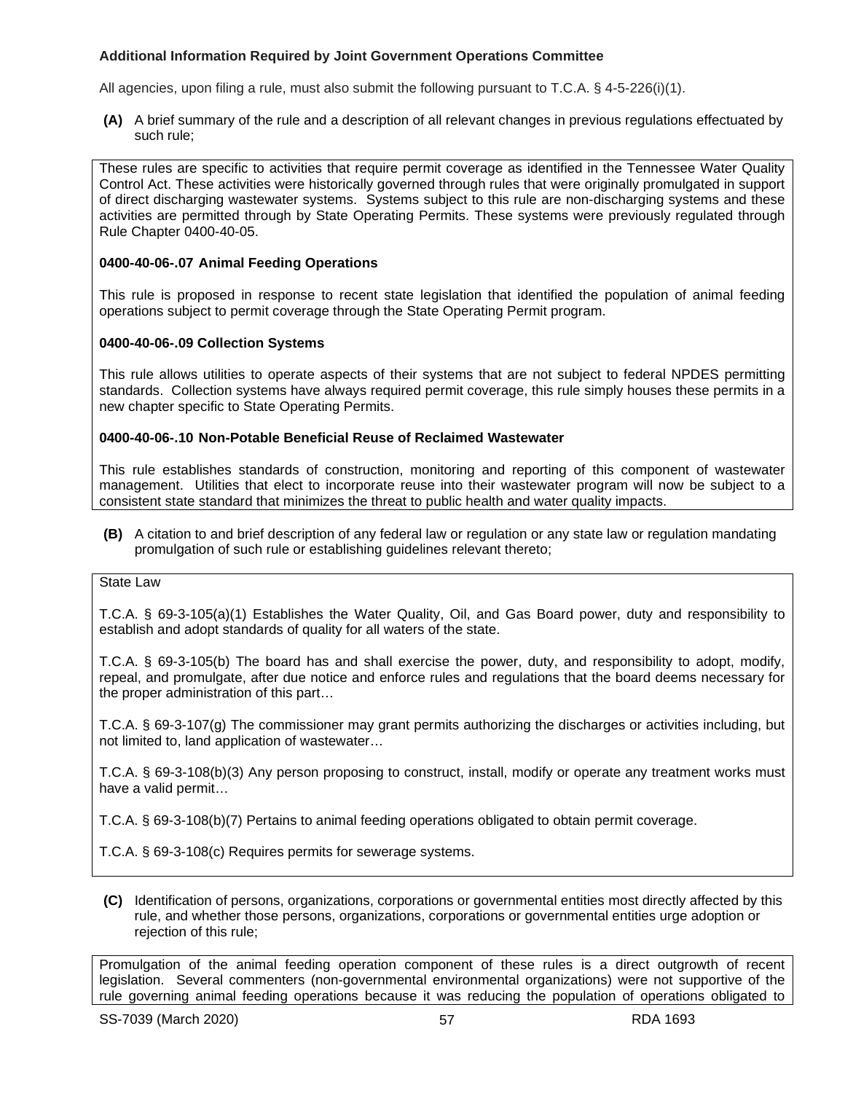# **Additional Information Required by Joint Government Operations Committee**

All agencies, upon filing a rule, must also submit the following pursuant to T.C.A. § 4-5-226(i)(1).

**(A)** A brief summary of the rule and a description of all relevant changes in previous regulations effectuated by such rule;

These rules are specific to activities that require permit coverage as identified in the Tennessee Water Quality Control Act. These activities were historically governed through rules that were originally promulgated in support of direct discharging wastewater systems. Systems subject to this rule are non-discharging systems and these activities are permitted through by State Operating Permits. These systems were previously regulated through Rule Chapter 0400-40-05.

## **0400-40-06-.07 Animal Feeding Operations**

This rule is proposed in response to recent state legislation that identified the population of animal feeding operations subject to permit coverage through the State Operating Permit program.

## **0400-40-06-.09 Collection Systems**

This rule allows utilities to operate aspects of their systems that are not subject to federal NPDES permitting standards. Collection systems have always required permit coverage, this rule simply houses these permits in a new chapter specific to State Operating Permits.

## **0400-40-06-.10 Non-Potable Beneficial Reuse of Reclaimed Wastewater**

This rule establishes standards of construction, monitoring and reporting of this component of wastewater management. Utilities that elect to incorporate reuse into their wastewater program will now be subject to a consistent state standard that minimizes the threat to public health and water quality impacts.

**(B)** A citation to and brief description of any federal law or regulation or any state law or regulation mandating promulgation of such rule or establishing guidelines relevant thereto;

## State Law

T.C.A. § 69-3-105(a)(1) Establishes the Water Quality, Oil, and Gas Board power, duty and responsibility to establish and adopt standards of quality for all waters of the state.

T.C.A. § 69-3-105(b) The board has and shall exercise the power, duty, and responsibility to adopt, modify, repeal, and promulgate, after due notice and enforce rules and regulations that the board deems necessary for the proper administration of this part…

T.C.A. § 69-3-107(g) The commissioner may grant permits authorizing the discharges or activities including, but not limited to, land application of wastewater…

T.C.A. § 69-3-108(b)(3) Any person proposing to construct, install, modify or operate any treatment works must have a valid permit…

T.C.A. § 69-3-108(b)(7) Pertains to animal feeding operations obligated to obtain permit coverage.

T.C.A. § 69-3-108(c) Requires permits for sewerage systems.

**(C)** Identification of persons, organizations, corporations or governmental entities most directly affected by this rule, and whether those persons, organizations, corporations or governmental entities urge adoption or rejection of this rule;

Promulgation of the animal feeding operation component of these rules is a direct outgrowth of recent legislation. Several commenters (non-governmental environmental organizations) were not supportive of the rule governing animal feeding operations because it was reducing the population of operations obligated to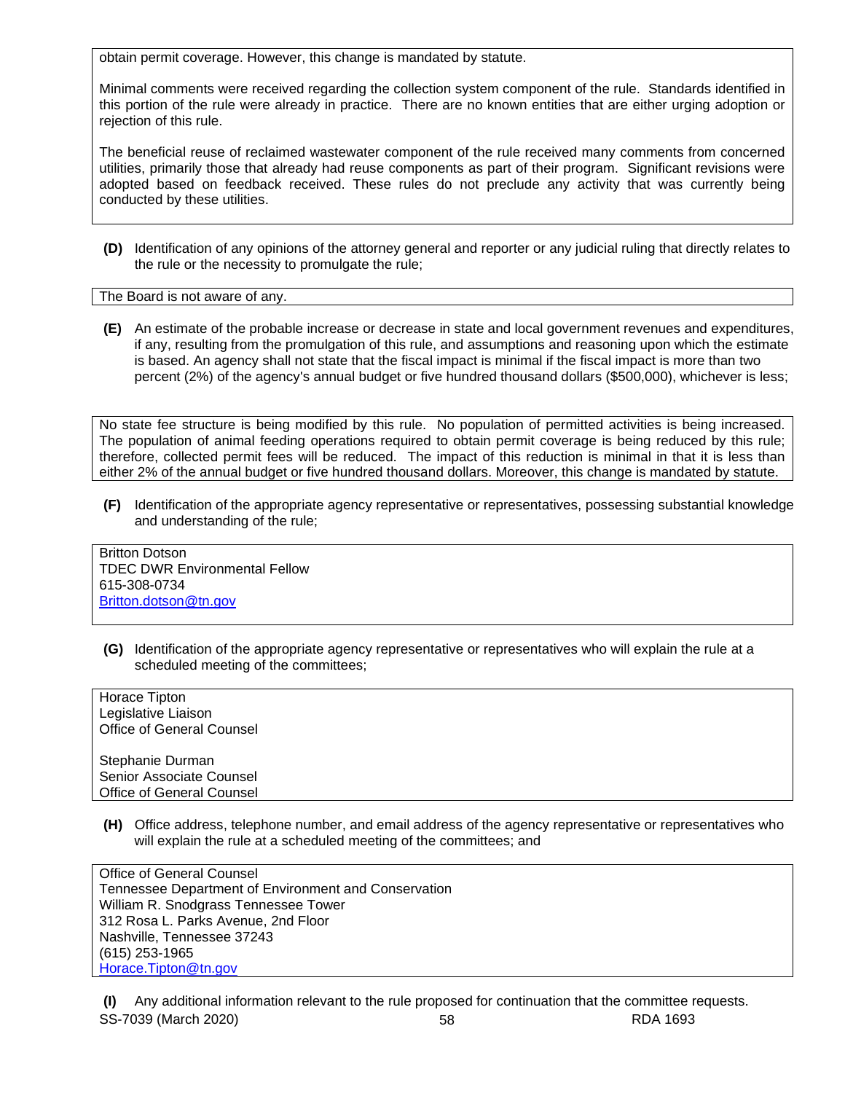obtain permit coverage. However, this change is mandated by statute.

Minimal comments were received regarding the collection system component of the rule. Standards identified in this portion of the rule were already in practice. There are no known entities that are either urging adoption or rejection of this rule.

The beneficial reuse of reclaimed wastewater component of the rule received many comments from concerned utilities, primarily those that already had reuse components as part of their program. Significant revisions were adopted based on feedback received. These rules do not preclude any activity that was currently being conducted by these utilities.

**(D)** Identification of any opinions of the attorney general and reporter or any judicial ruling that directly relates to the rule or the necessity to promulgate the rule;

The Board is not aware of any.

**(E)** An estimate of the probable increase or decrease in state and local government revenues and expenditures, if any, resulting from the promulgation of this rule, and assumptions and reasoning upon which the estimate is based. An agency shall not state that the fiscal impact is minimal if the fiscal impact is more than two percent (2%) of the agency's annual budget or five hundred thousand dollars (\$500,000), whichever is less;

No state fee structure is being modified by this rule. No population of permitted activities is being increased. The population of animal feeding operations required to obtain permit coverage is being reduced by this rule; therefore, collected permit fees will be reduced. The impact of this reduction is minimal in that it is less than either 2% of the annual budget or five hundred thousand dollars. Moreover, this change is mandated by statute.

**(F)** Identification of the appropriate agency representative or representatives, possessing substantial knowledge and understanding of the rule;

Britton Dotson TDEC DWR Environmental Fellow 615-308-0734 [Britton.dotson@tn.gov](mailto:Britton.dotson@tn.gov)

**(G)** Identification of the appropriate agency representative or representatives who will explain the rule at a scheduled meeting of the committees;

Horace Tipton Legislative Liaison Office of General Counsel Stephanie Durman Senior Associate Counsel Office of General Counsel

**(H)** Office address, telephone number, and email address of the agency representative or representatives who will explain the rule at a scheduled meeting of the committees; and

Office of General Counsel Tennessee Department of Environment and Conservation William R. Snodgrass Tennessee Tower 312 Rosa L. Parks Avenue, 2nd Floor Nashville, Tennessee 37243 (615) 253-1965 [Horace.Tipton@tn.gov](mailto:Horace.Tipton@tn.gov)

SS-7039 (March 2020) 58 RDA 1693 **(I)** Any additional information relevant to the rule proposed for continuation that the committee requests.